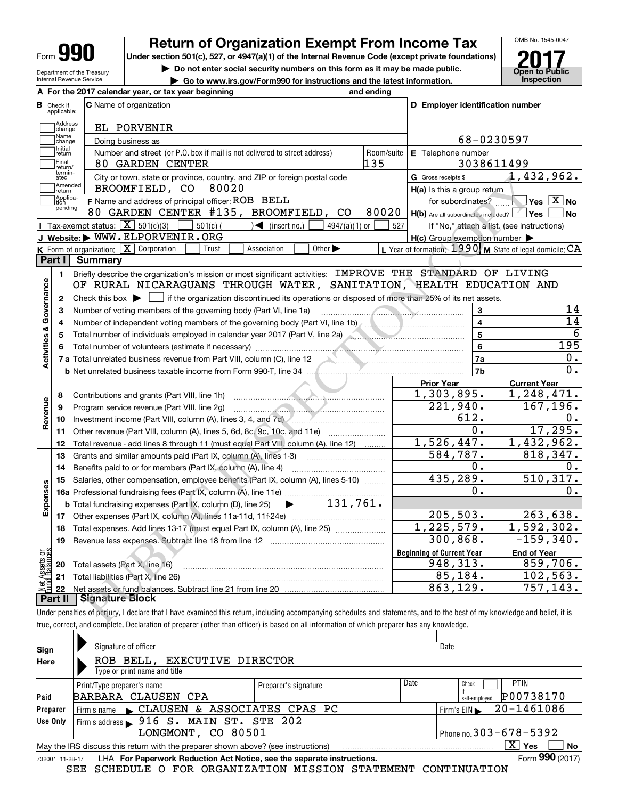| ïΠ<br>Form<br>c. |
|------------------|
|------------------|

# **Return of Organization Exempt From Income Tax**

**Under section 501(c), 527, or 4947(a)(1) of the Internal Revenue Code (except private foundations)**

**| Do not enter social security numbers on this form as it may be made public.**

▶ Go to www.irs.gov/Form990 for instructions and the latest information. **Inspection** 



Department of the Treasury Internal Revenue Service

|                         |                   | A For the 2017 calendar year, or tax year beginning                                                                                         | and ending         |                                                                                                                            |                                                             |
|-------------------------|-------------------|---------------------------------------------------------------------------------------------------------------------------------------------|--------------------|----------------------------------------------------------------------------------------------------------------------------|-------------------------------------------------------------|
| <b>B</b> Check if       | applicable:       | <b>C</b> Name of organization                                                                                                               |                    | D Employer identification number                                                                                           |                                                             |
|                         | Address<br>change | EL PORVENIR                                                                                                                                 |                    |                                                                                                                            |                                                             |
|                         | Name<br>change    | Doing business as                                                                                                                           |                    | 68-0230597                                                                                                                 |                                                             |
|                         | Initial<br>return | Room/suite<br>Number and street (or P.O. box if mail is not delivered to street address)                                                    | E Telephone number |                                                                                                                            |                                                             |
|                         | Final<br>return/  | 80 GARDEN CENTER                                                                                                                            | 135                |                                                                                                                            | 3038611499                                                  |
|                         | termin-<br>ated   | City or town, state or province, country, and ZIP or foreign postal code                                                                    |                    | G Gross receipts \$                                                                                                        | 1,432,962.                                                  |
|                         | Amended<br>return | 80020<br>BROOMFIELD, CO                                                                                                                     |                    | H(a) Is this a group return                                                                                                |                                                             |
|                         | Applica-<br>tion  | F Name and address of principal officer: ROB BELL                                                                                           |                    | for subordinates?                                                                                                          | $\blacksquare$ Yes $\boxed{\text{X}}$ No                    |
|                         | pending           | 80 GARDEN CENTER #135, BROOMFIELD, CO                                                                                                       | 80020              | H(b) Are all subordinates included? Yes                                                                                    | No                                                          |
|                         |                   | Tax-exempt status: $\boxed{\mathbf{X}}$ 501(c)(3)<br>$501(c)$ (<br>$\rightarrow$ (insert no.)<br>$4947(a)(1)$ or                            | 527                |                                                                                                                            | If "No," attach a list. (see instructions)                  |
|                         |                   | J Website: WWW.ELPORVENIR.ORG                                                                                                               |                    | $H(c)$ Group exemption number $\blacktriangleright$                                                                        |                                                             |
|                         |                   | Other $\blacktriangleright$<br>K Form of organization: $\boxed{\mathbf{X}}$ Corporation<br>Association<br>Trust                             |                    |                                                                                                                            | L Year of formation: $1990$ M State of legal domicile: $CA$ |
| Part I                  |                   | <b>Summary</b>                                                                                                                              |                    |                                                                                                                            |                                                             |
|                         | 1.                | Briefly describe the organization's mission or most significant activities: IMPROVE THE STANDARD OF LIVING                                  |                    |                                                                                                                            |                                                             |
|                         |                   | OF RURAL NICARAGUANS THROUGH WATER, SANITATION, HEALTH EDUCATION AND                                                                        |                    |                                                                                                                            |                                                             |
|                         | 2                 | Check this box $\blacktriangleright$ $\Box$ if the organization discontinued its operations or disposed of more than 25% of its net assets. |                    |                                                                                                                            |                                                             |
| Governance              | з                 | Number of voting members of the governing body (Part VI, line 1a)                                                                           |                    | 3                                                                                                                          | 14                                                          |
|                         | 4                 | Number of independent voting members of the governing body (Part VI, line 1b) [11] (11] (11] (11] (11] (11] (1                              |                    | $\overline{4}$                                                                                                             | $\overline{14}$                                             |
|                         | 5                 | Total number of individuals employed in calendar year 2017 (Part V, line 2a)                                                                |                    | 5                                                                                                                          | 6                                                           |
|                         | 6                 |                                                                                                                                             |                    | 6                                                                                                                          | 195                                                         |
| <b>Activities &amp;</b> |                   | 7 a Total unrelated business revenue from Part VIII, column (C), line 12                                                                    |                    | 7a<br><u> 2000 - 2000 - 2000 - 2000 - 2000 - 2000 - 2000 - 2000 - 2000 - 2000 - 2000 - 2000 - 2000 - 2000 - 2000 - 200</u> | 0.                                                          |
|                         |                   | b Net unrelated business taxable income from Form 990-T, line 34                                                                            |                    | 7b                                                                                                                         | 0.                                                          |
|                         |                   |                                                                                                                                             |                    | <b>Prior Year</b>                                                                                                          | <b>Current Year</b>                                         |
|                         | 8                 | $\lambda$<br>Contributions and grants (Part VIII, line 1h)                                                                                  |                    | 1,303,895.                                                                                                                 | 1,248,471.                                                  |
| Revenue                 | 9                 | Program service revenue (Part VIII, line 2g)<br>$\overline{a}$                                                                              |                    | 221,940.                                                                                                                   | 167, 196.                                                   |
|                         | 10                |                                                                                                                                             |                    | 612.                                                                                                                       | 0.                                                          |
|                         | 11                | Other revenue (Part VIII, column (A), lines 5, 6d, 8c, 9c, 10c, and 11e)                                                                    |                    | 0.                                                                                                                         | 17, 295.                                                    |
|                         | 12                | Total revenue - add lines 8 through 11 (must equal Part VIII, column (A), line 12)                                                          |                    | 1,526,447.                                                                                                                 | 1,432,962.                                                  |
|                         | 13                | Grants and similar amounts paid (Part IX, column (A), lines 1-3)                                                                            |                    | 584,787.                                                                                                                   | 818,347.                                                    |
|                         | 14                | Benefits paid to or for members (Part IX, column (A), line 4)                                                                               |                    | 0.                                                                                                                         | 0.                                                          |
|                         | 15                | Salaries, other compensation, employee benefits (Part IX, column (A), lines 5-10)                                                           |                    | 435,289.                                                                                                                   | 510, 317.                                                   |
|                         |                   |                                                                                                                                             |                    | 0.                                                                                                                         | 0.                                                          |
| Expenses                |                   | $\blacktriangleright$ __ 131,761.<br><b>b</b> Total fundraising expenses (Part IX, column (D), line 25)                                     |                    |                                                                                                                            |                                                             |
|                         | 17                |                                                                                                                                             |                    | 205,503.<br>$\overline{1,225},579.$                                                                                        | 263,638.                                                    |
|                         | 18                | Total expenses. Add lines 13-17 (must equal Part IX, column (A), line 25)                                                                   |                    |                                                                                                                            | 1,592,302.                                                  |
|                         | 19                | Revenue less expenses. Subtract line 18 from line 12                                                                                        |                    | 300,868.                                                                                                                   | $-159,340.$                                                 |
| Assets or<br>dBalances  |                   |                                                                                                                                             |                    | <b>Beginning of Current Year</b>                                                                                           | <b>End of Year</b><br>859,706.                              |
|                         | 20                | Total assets (Part X, line 16)                                                                                                              |                    | 948,313.                                                                                                                   |                                                             |
|                         | 21                | Total liabilities (Part X, line 26)                                                                                                         |                    | 85,184.                                                                                                                    | 102, 563.                                                   |
|                         | 22                |                                                                                                                                             |                    | 863,129.                                                                                                                   | 757,143.                                                    |
| Part II                 |                   | <b>Signature Block</b>                                                                                                                      |                    |                                                                                                                            |                                                             |

Under penalties of perjury, I declare that I have examined this return, including accompanying schedules and statements, and to the best of my knowledge and belief, it is true, correct, and complete. Declaration of preparer (other than officer) is based on all information of which preparer has any knowledge.

| Sign            | Signature of officer                                                              |                      |      | Date                       |  |  |  |  |  |  |
|-----------------|-----------------------------------------------------------------------------------|----------------------|------|----------------------------|--|--|--|--|--|--|
| Here            | ROB BELL, EXECUTIVE DIRECTOR                                                      |                      |      |                            |  |  |  |  |  |  |
|                 | Type or print name and title                                                      |                      |      |                            |  |  |  |  |  |  |
|                 | Print/Type preparer's name                                                        | Preparer's signature | Date | <b>PTIN</b><br>Check       |  |  |  |  |  |  |
| Paid            | BARBARA CLAUSEN CPA                                                               |                      |      | P00738170<br>self-emploved |  |  |  |  |  |  |
| Preparer        | Firm's name CLAUSEN & ASSOCIATES CPAS PC                                          |                      |      | 20-1461086<br>Firm's $EIN$ |  |  |  |  |  |  |
| Use Only        | Firm's address > 916 S. MAIN ST. STE 202                                          |                      |      |                            |  |  |  |  |  |  |
|                 | Phone no. $303 - 678 - 5392$<br>LONGMONT, CO 80501                                |                      |      |                            |  |  |  |  |  |  |
|                 | May the IRS discuss this return with the preparer shown above? (see instructions) |                      |      | $X \mid Y$ es<br>No        |  |  |  |  |  |  |
| 732001 11-28-17 | LHA For Paperwork Reduction Act Notice, see the separate instructions.            |                      |      | Form 990 (2017)            |  |  |  |  |  |  |

-<sub>28-17</sub> LHA For Paperwork Reduction Act Notice, see the separate instructions.<br>SEE SCHEDULE O FOR ORGANIZATION MISSION STATEMENT CONTINUATION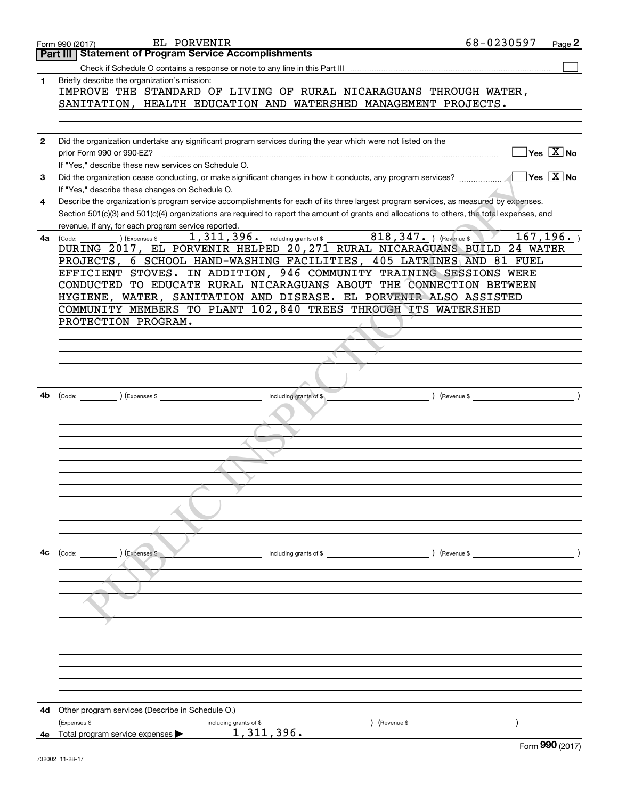|              | 68-0230597<br>EL PORVENIR<br>Page 2<br>Form 990 (2017)                                                                                                                                                                                                                                                                                                                                       |
|--------------|----------------------------------------------------------------------------------------------------------------------------------------------------------------------------------------------------------------------------------------------------------------------------------------------------------------------------------------------------------------------------------------------|
|              | <b>Statement of Program Service Accomplishments</b><br>Part III                                                                                                                                                                                                                                                                                                                              |
|              |                                                                                                                                                                                                                                                                                                                                                                                              |
|              |                                                                                                                                                                                                                                                                                                                                                                                              |
| 1            | Briefly describe the organization's mission:                                                                                                                                                                                                                                                                                                                                                 |
|              | IMPROVE THE STANDARD OF LIVING OF RURAL NICARAGUANS THROUGH WATER,                                                                                                                                                                                                                                                                                                                           |
|              | SANITATION, HEALTH EDUCATION AND WATERSHED MANAGEMENT PROJECTS.                                                                                                                                                                                                                                                                                                                              |
|              |                                                                                                                                                                                                                                                                                                                                                                                              |
|              |                                                                                                                                                                                                                                                                                                                                                                                              |
| $\mathbf{2}$ | Did the organization undertake any significant program services during the year which were not listed on the                                                                                                                                                                                                                                                                                 |
|              |                                                                                                                                                                                                                                                                                                                                                                                              |
|              | $\exists$ Yes $\boxed{\text{X}}$ No                                                                                                                                                                                                                                                                                                                                                          |
|              | If "Yes." describe these new services on Schedule O.                                                                                                                                                                                                                                                                                                                                         |
| 3            | Did the organization cease conducting, or make significant changes in how it conducts, any program services? $\Box$ Thes $[X]$ No                                                                                                                                                                                                                                                            |
|              | If "Yes," describe these changes on Schedule O.                                                                                                                                                                                                                                                                                                                                              |
| 4            | Describe the organization's program service accomplishments for each of its three largest program services, as measured by expenses.                                                                                                                                                                                                                                                         |
|              |                                                                                                                                                                                                                                                                                                                                                                                              |
|              | Section 501(c)(3) and 501(c)(4) organizations are required to report the amount of grants and allocations to others, the total expenses, and                                                                                                                                                                                                                                                 |
|              | revenue, if any, for each program service reported.                                                                                                                                                                                                                                                                                                                                          |
| 4a           | $\overline{818}$ , $347.$ ) (Revenue \$<br>$1,311,396$ encluding grants of \$<br>167, 196.<br>(Expenses \$<br>(Code:                                                                                                                                                                                                                                                                         |
|              | DURING 2017, EL PORVENIR HELPED 20, 271 RURAL NICARAGUANS BUILD 24 WATER                                                                                                                                                                                                                                                                                                                     |
|              | PROJECTS, 6 SCHOOL HAND-WASHING FACILITIES, 405 LATRINES AND 81 FUEL                                                                                                                                                                                                                                                                                                                         |
|              | EFFICIENT STOVES. IN ADDITION, 946 COMMUNITY TRAINING SESSIONS WERE                                                                                                                                                                                                                                                                                                                          |
|              | CONDUCTED TO EDUCATE RURAL NICARAGUANS ABOUT THE CONNECTION BETWEEN                                                                                                                                                                                                                                                                                                                          |
|              | HYGIENE, WATER, SANITATION AND DISEASE. EL PORVENIR ALSO ASSISTED                                                                                                                                                                                                                                                                                                                            |
|              |                                                                                                                                                                                                                                                                                                                                                                                              |
|              | COMMUNITY MEMBERS TO PLANT 102,840 TREES THROUGH ITS WATERSHED                                                                                                                                                                                                                                                                                                                               |
|              | PROTECTION PROGRAM.                                                                                                                                                                                                                                                                                                                                                                          |
|              |                                                                                                                                                                                                                                                                                                                                                                                              |
|              |                                                                                                                                                                                                                                                                                                                                                                                              |
|              |                                                                                                                                                                                                                                                                                                                                                                                              |
|              |                                                                                                                                                                                                                                                                                                                                                                                              |
|              |                                                                                                                                                                                                                                                                                                                                                                                              |
|              |                                                                                                                                                                                                                                                                                                                                                                                              |
| 4b           | $\begin{picture}(180,10) \put(0,0){\vector(1,0){100}} \put(15,0){\vector(1,0){100}} \put(15,0){\vector(1,0){100}} \put(15,0){\vector(1,0){100}} \put(15,0){\vector(1,0){100}} \put(15,0){\vector(1,0){100}} \put(15,0){\vector(1,0){100}} \put(15,0){\vector(1,0){100}} \put(15,0){\vector(1,0){100}} \put(15,0){\vector(1,0){100}} \put(15,0){\vector(1,0){100}}$<br>including grants of \$ |
|              |                                                                                                                                                                                                                                                                                                                                                                                              |
|              |                                                                                                                                                                                                                                                                                                                                                                                              |
|              |                                                                                                                                                                                                                                                                                                                                                                                              |
|              |                                                                                                                                                                                                                                                                                                                                                                                              |
|              |                                                                                                                                                                                                                                                                                                                                                                                              |
|              |                                                                                                                                                                                                                                                                                                                                                                                              |
|              |                                                                                                                                                                                                                                                                                                                                                                                              |
|              |                                                                                                                                                                                                                                                                                                                                                                                              |
|              |                                                                                                                                                                                                                                                                                                                                                                                              |
|              |                                                                                                                                                                                                                                                                                                                                                                                              |
|              |                                                                                                                                                                                                                                                                                                                                                                                              |
|              |                                                                                                                                                                                                                                                                                                                                                                                              |
| 4с           | $\left(\text{Code:}\right)$ $\left(\text{Expenses $}\right)$<br>including grants of $$$                                                                                                                                                                                                                                                                                                      |
|              |                                                                                                                                                                                                                                                                                                                                                                                              |
|              |                                                                                                                                                                                                                                                                                                                                                                                              |
|              |                                                                                                                                                                                                                                                                                                                                                                                              |
|              |                                                                                                                                                                                                                                                                                                                                                                                              |
|              |                                                                                                                                                                                                                                                                                                                                                                                              |
|              |                                                                                                                                                                                                                                                                                                                                                                                              |
|              |                                                                                                                                                                                                                                                                                                                                                                                              |
|              |                                                                                                                                                                                                                                                                                                                                                                                              |
|              |                                                                                                                                                                                                                                                                                                                                                                                              |
|              |                                                                                                                                                                                                                                                                                                                                                                                              |
|              |                                                                                                                                                                                                                                                                                                                                                                                              |
|              |                                                                                                                                                                                                                                                                                                                                                                                              |
|              |                                                                                                                                                                                                                                                                                                                                                                                              |
|              |                                                                                                                                                                                                                                                                                                                                                                                              |
| 4d           | Other program services (Describe in Schedule O.)                                                                                                                                                                                                                                                                                                                                             |
|              | (Revenue \$<br>(Expenses \$<br>including grants of \$                                                                                                                                                                                                                                                                                                                                        |
|              | 1,311,396.<br><b>4e</b> Total program service expenses $\blacktriangleright$<br>$000 \sim$                                                                                                                                                                                                                                                                                                   |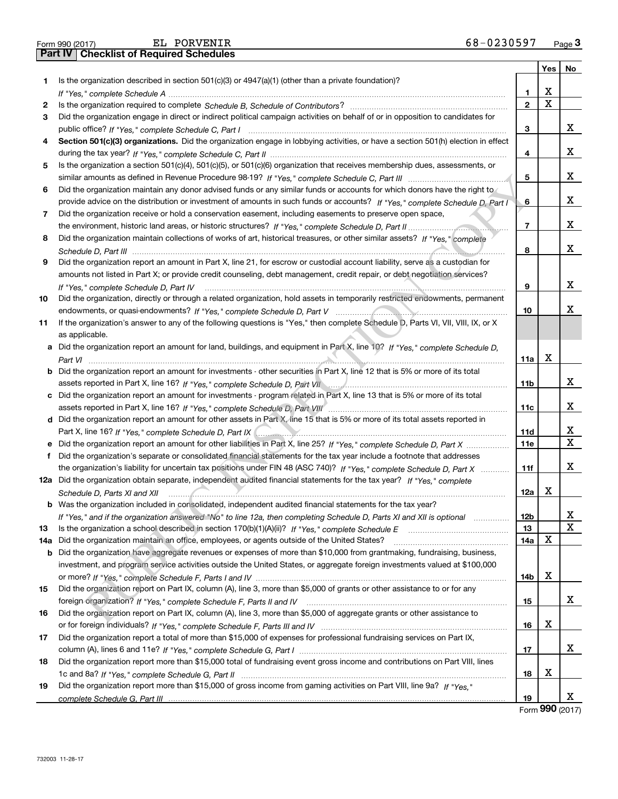| 0 (2017 |  |  |  |
|---------|--|--|--|
|         |  |  |  |

|     |                                                                                                                                      |                 | Yes | No |
|-----|--------------------------------------------------------------------------------------------------------------------------------------|-----------------|-----|----|
| 1.  | Is the organization described in section $501(c)(3)$ or $4947(a)(1)$ (other than a private foundation)?                              |                 |     |    |
|     |                                                                                                                                      | 1               | X   |    |
| 2   |                                                                                                                                      | $\overline{2}$  | X   |    |
| 3   | Did the organization engage in direct or indirect political campaign activities on behalf of or in opposition to candidates for      |                 |     |    |
|     |                                                                                                                                      | 3               |     | x  |
| 4   | Section 501(c)(3) organizations. Did the organization engage in lobbying activities, or have a section 501(h) election in effect     |                 |     |    |
|     |                                                                                                                                      |                 |     | х  |
|     |                                                                                                                                      | 4               |     |    |
| 5   | Is the organization a section 501(c)(4), 501(c)(5), or 501(c)(6) organization that receives membership dues, assessments, or         |                 |     | X  |
|     |                                                                                                                                      | 5               |     |    |
| 6   | Did the organization maintain any donor advised funds or any similar funds or accounts for which donors have the right to            |                 |     |    |
|     | provide advice on the distribution or investment of amounts in such funds or accounts? If "Yes," complete Schedule D, Part I         | 6               |     | x  |
| 7   | Did the organization receive or hold a conservation easement, including easements to preserve open space,                            |                 |     |    |
|     |                                                                                                                                      | $\overline{7}$  |     | X  |
| 8   | Did the organization maintain collections of works of art, historical treasures, or other similar assets? If "Yes," complete         |                 |     |    |
|     |                                                                                                                                      | 8               |     | x  |
| 9   | Did the organization report an amount in Part X, line 21, for escrow or custodial account liability, serve as a custodian for        |                 |     |    |
|     | amounts not listed in Part X; or provide credit counseling, debt management, credit repair, or debt negotiation services?            |                 |     |    |
|     | If "Yes," complete Schedule D, Part IV                                                                                               | 9               |     | X  |
| 10  | Did the organization, directly or through a related organization, hold assets in temporarily restricted endowments, permanent        |                 |     |    |
|     |                                                                                                                                      | 10              |     | x  |
| 11  | If the organization's answer to any of the following questions is "Yes," then complete Schedule D, Parts VI, VIII, VIII, IX, or X    |                 |     |    |
|     | as applicable.                                                                                                                       |                 |     |    |
|     | a Did the organization report an amount for land, buildings, and equipment in Part X, line 10? If "Yes," complete Schedule D,        |                 |     |    |
|     |                                                                                                                                      | 11a             | х   |    |
|     | <b>b</b> Did the organization report an amount for investments - other securities in Part X, line 12 that is 5% or more of its total |                 |     |    |
|     |                                                                                                                                      | 11 <sub>b</sub> |     | x  |
|     | assets reported in Part X, line 16? If "Yes," complete Schedule D, Part VII                                                          |                 |     |    |
|     | c Did the organization report an amount for investments - program related in Part X, line 13 that is 5% or more of its total         |                 |     | x  |
|     |                                                                                                                                      | 11c             |     |    |
|     | d Did the organization report an amount for other assets in Part X, line 15 that is 5% or more of its total assets reported in       |                 |     |    |
|     |                                                                                                                                      | 11d             |     | х  |
|     | e Did the organization report an amount for other liabilities in Part X, line 25? If "Yes," complete Schedule D, Part X              | 11e             |     | х  |
|     | Did the organization's separate or consolidated financial statements for the tax year include a footnote that addresses              |                 |     |    |
|     | the organization's liability for uncertain tax positions under FIN 48 (ASC 740)? If "Yes," complete Schedule D, Part X               | 11f             |     | x  |
|     | 12a Did the organization obtain separate, independent audited financial statements for the tax year? If "Yes." complete              |                 |     |    |
|     | Schedule D, Parts XI and XII                                                                                                         | 12a             | x   |    |
|     | <b>b</b> Was the organization included in consolidated, independent audited financial statements for the tax year?                   |                 |     |    |
|     | If "Yes," and if the organization answered "No" to line 12a, then completing Schedule D, Parts XI and XII is optional                | 12b             |     | Χ  |
| 13  | Is the organization a school described in section 170(b)(1)(A)(ii)? If "Yes," complete Schedule E                                    | 13              |     | Х  |
| 14a | Did the organization maintain an office, employees, or agents outside of the United States?                                          | 14a             | x   |    |
|     | b Did the organization have aggregate revenues or expenses of more than \$10,000 from grantmaking, fundraising, business,            |                 |     |    |
|     | investment, and program service activities outside the United States, or aggregate foreign investments valued at \$100,000           |                 |     |    |
|     |                                                                                                                                      | 14b             | х   |    |
| 15  | Did the organization report on Part IX, column (A), line 3, more than \$5,000 of grants or other assistance to or for any            |                 |     |    |
|     |                                                                                                                                      | 15              |     | х  |
| 16  | Did the organization report on Part IX, column (A), line 3, more than \$5,000 of aggregate grants or other assistance to             |                 |     |    |
|     |                                                                                                                                      | 16              | х   |    |
| 17  | Did the organization report a total of more than \$15,000 of expenses for professional fundraising services on Part IX,              |                 |     |    |
|     |                                                                                                                                      | 17              |     | х  |
|     | Did the organization report more than \$15,000 total of fundraising event gross income and contributions on Part VIII, lines         |                 |     |    |
| 18  |                                                                                                                                      |                 | x   |    |
|     |                                                                                                                                      | 18              |     |    |
| 19  | Did the organization report more than \$15,000 of gross income from gaming activities on Part VIII, line 9a? If "Yes."               |                 |     |    |
|     |                                                                                                                                      | 19              |     | x  |

Form (2017) **990**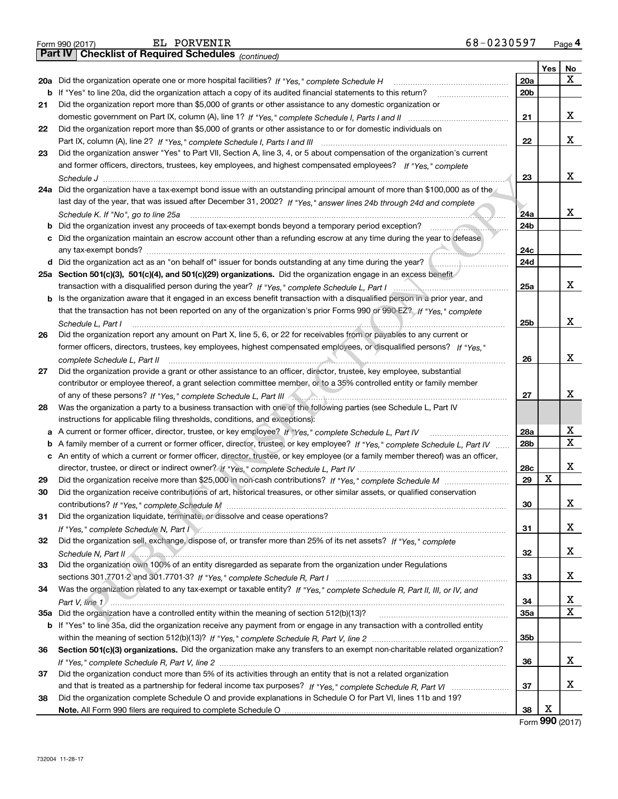|    | 68-0230597<br>EL PORVENIR<br>Form 990 (2017)                                                                                      |                 |     | Page 4                  |
|----|-----------------------------------------------------------------------------------------------------------------------------------|-----------------|-----|-------------------------|
|    | <b>Checklist of Required Schedules</b> (continued)<br>Part IV                                                                     |                 |     |                         |
|    |                                                                                                                                   |                 | Yes | No                      |
|    |                                                                                                                                   | 20a             |     | х                       |
|    | <b>b</b> If "Yes" to line 20a, did the organization attach a copy of its audited financial statements to this return?             | 20 <sub>b</sub> |     |                         |
| 21 | Did the organization report more than \$5,000 of grants or other assistance to any domestic organization or                       |                 |     |                         |
|    |                                                                                                                                   | 21              |     | x                       |
| 22 | Did the organization report more than \$5,000 of grants or other assistance to or for domestic individuals on                     |                 |     |                         |
|    |                                                                                                                                   | 22              |     | x                       |
| 23 | Did the organization answer "Yes" to Part VII, Section A, line 3, 4, or 5 about compensation of the organization's current        |                 |     |                         |
|    | and former officers, directors, trustees, key employees, and highest compensated employees? If "Yes," complete                    |                 |     |                         |
|    |                                                                                                                                   | 23              |     | X                       |
|    | 24a Did the organization have a tax-exempt bond issue with an outstanding principal amount of more than \$100,000 as of the       |                 |     |                         |
|    | last day of the year, that was issued after December 31, 2002? If "Yes," answer lines 24b through 24d and complete                |                 |     |                         |
|    | Schedule K. If "No", go to line 25a                                                                                               | 24a             |     | x                       |
|    | b Did the organization invest any proceeds of tax-exempt bonds beyond a temporary period exception?                               | 24b             |     |                         |
|    | c Did the organization maintain an escrow account other than a refunding escrow at any time during the year to defease            |                 |     |                         |
|    |                                                                                                                                   | 24c             |     |                         |
|    | d Did the organization act as an "on behalf of" issuer for bonds outstanding at any time during the year?                         | 24d             |     |                         |
|    | 25a Section 501(c)(3), 501(c)(4), and 501(c)(29) organizations. Did the organization engage in an excess benefit                  |                 |     |                         |
|    |                                                                                                                                   | 25a             |     | x                       |
|    | b Is the organization aware that it engaged in an excess benefit transaction with a disqualified person in a prior year, and      |                 |     |                         |
|    | that the transaction has not been reported on any of the organization's prior Forms 990 or 990-EZ? If "Yes." complete             |                 |     |                         |
|    | Schedule L, Part I                                                                                                                | 25b             |     | x                       |
| 26 | Did the organization report any amount on Part X, line 5, 6, or 22 for receivables from or payables to any current or             |                 |     |                         |
|    | former officers, directors, trustees, key employees, highest compensated employees, or disqualified persons? If "Yes."            |                 |     |                         |
|    | complete Schedule L, Part II                                                                                                      | 26              |     | X                       |
| 27 | Did the organization provide a grant or other assistance to an officer, director, trustee, key employee, substantial              |                 |     |                         |
|    | contributor or employee thereof, a grant selection committee member, or to a 35% controlled entity or family member               |                 |     |                         |
|    | of any of these persons? If "Yes," complete Schedule L, Part III (And All And All And All And All And All And A                   | 27              |     | х                       |
| 28 | Was the organization a party to a business transaction with one of the following parties (see Schedule L, Part IV                 |                 |     |                         |
|    | instructions for applicable filing thresholds, conditions, and exceptions):                                                       |                 |     |                         |
|    |                                                                                                                                   | 28a             |     | х                       |
|    | b A family member of a current or former officer, director, trustee, or key employee? If "Yes," complete Schedule L, Part IV      | 28 <sub>b</sub> |     | $\mathbf X$             |
|    | c An entity of which a current or former officer, director, trustee, or key employee (or a family member thereof) was an officer, |                 |     |                         |
|    |                                                                                                                                   | 28c             |     | X                       |
| 29 |                                                                                                                                   | 29              | X   |                         |
| 30 | Did the organization receive contributions of art, historical treasures, or other similar assets, or qualified conservation       |                 |     |                         |
|    |                                                                                                                                   | 30              |     | х                       |
| 31 | Did the organization liquidate, terminate, or dissolve and cease operations?                                                      |                 |     |                         |
|    | If "Yes," complete Schedule N, Part I Manual Communication of the Ves," complete Schedule N, Part I                               | 31              |     | х                       |
| 32 | Did the organization sell, exchange, dispose of, or transfer more than 25% of its net assets? If "Yes," complete                  |                 |     |                         |
|    |                                                                                                                                   | 32              |     | х                       |
| 33 | Did the organization own 100% of an entity disregarded as separate from the organization under Regulations                        |                 |     |                         |
|    |                                                                                                                                   | 33              |     | х                       |
| 34 | Was the organization related to any tax-exempt or taxable entity? If "Yes," complete Schedule R, Part II, III, or IV, and         |                 |     |                         |
|    | Part V, line $1$                                                                                                                  | 34              |     | х                       |
|    |                                                                                                                                   | 35a             |     | $\overline{\mathbf{x}}$ |
|    | b If "Yes" to line 35a, did the organization receive any payment from or engage in any transaction with a controlled entity       |                 |     |                         |
|    |                                                                                                                                   | 35b             |     |                         |
| 36 | Section 501(c)(3) organizations. Did the organization make any transfers to an exempt non-charitable related organization?        |                 |     |                         |
|    |                                                                                                                                   | 36              |     | х                       |
| 37 | Did the organization conduct more than 5% of its activities through an entity that is not a related organization                  |                 |     |                         |
|    |                                                                                                                                   | 37              |     | х                       |
| 38 | Did the organization complete Schedule O and provide explanations in Schedule O for Part VI, lines 11b and 19?                    |                 |     |                         |
|    |                                                                                                                                   | 38              | х   |                         |
|    |                                                                                                                                   |                 |     | Form 990 (2017)         |
|    |                                                                                                                                   |                 |     |                         |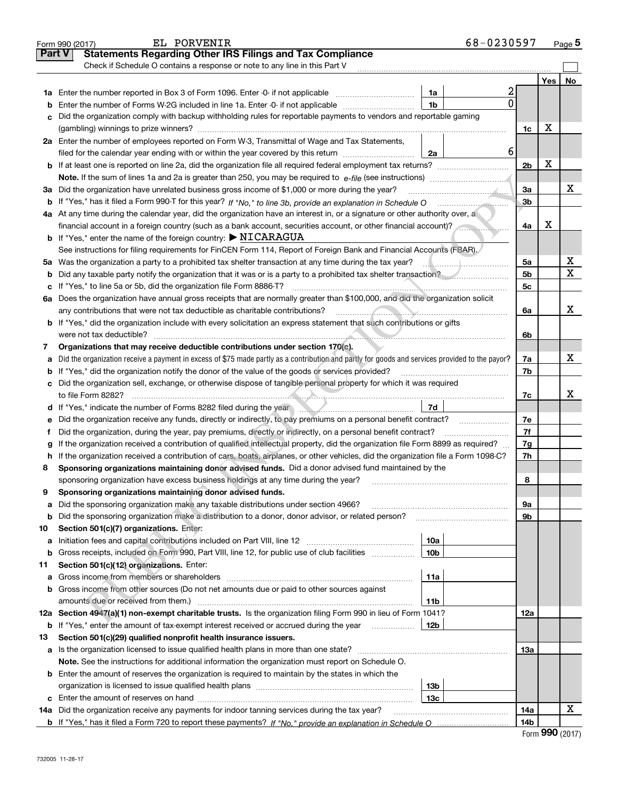|               | EL PORVENIR<br>Form 990 (2017)                                                                                                                                                                                                 |                 | 68-0230597                      |                |     | Page $5$ |
|---------------|--------------------------------------------------------------------------------------------------------------------------------------------------------------------------------------------------------------------------------|-----------------|---------------------------------|----------------|-----|----------|
| <b>Part V</b> | <b>Statements Regarding Other IRS Filings and Tax Compliance</b>                                                                                                                                                               |                 |                                 |                |     |          |
|               | Check if Schedule O contains a response or note to any line in this Part V                                                                                                                                                     |                 |                                 |                |     |          |
|               |                                                                                                                                                                                                                                |                 |                                 |                | Yes | No       |
|               |                                                                                                                                                                                                                                | 1a              | 2                               |                |     |          |
| b             | Enter the number of Forms W-2G included in line 1a. Enter -0- if not applicable                                                                                                                                                | 1b              | $\Omega$                        |                |     |          |
| с             | Did the organization comply with backup withholding rules for reportable payments to vendors and reportable gaming                                                                                                             |                 |                                 |                |     |          |
|               |                                                                                                                                                                                                                                |                 |                                 | 1c             | х   |          |
|               | 2a Enter the number of employees reported on Form W-3, Transmittal of Wage and Tax Statements,                                                                                                                                 |                 |                                 |                |     |          |
|               | filed for the calendar year ending with or within the year covered by this return                                                                                                                                              | 2a              | 6                               |                |     |          |
|               |                                                                                                                                                                                                                                |                 |                                 | 2 <sub>b</sub> | х   |          |
|               |                                                                                                                                                                                                                                |                 |                                 |                |     |          |
| За            | Did the organization have unrelated business gross income of \$1,000 or more during the year?                                                                                                                                  |                 |                                 | За             |     | х        |
|               |                                                                                                                                                                                                                                |                 |                                 | 3b             |     |          |
|               | 4a At any time during the calendar year, did the organization have an interest in, or a signature or other authority over, a                                                                                                   |                 |                                 |                |     |          |
|               | financial account in a foreign country (such as a bank account, securities account, or other financial account)?                                                                                                               |                 |                                 | 4a             | х   |          |
|               | <b>b</b> If "Yes," enter the name of the foreign country: $\triangleright$ NICARAGUA                                                                                                                                           |                 |                                 |                |     |          |
|               | See instructions for filing requirements for FinCEN Form 114, Report of Foreign Bank and Financial Accounts (FBAR).                                                                                                            |                 |                                 |                |     |          |
|               | 5a Was the organization a party to a prohibited tax shelter transaction at any time during the tax year?                                                                                                                       |                 | the contract of the contract of | 5a             |     | х        |
| b             | Did any taxable party notify the organization that it was or is a party to a prohibited tax shelter transaction?                                                                                                               |                 |                                 | 5b             |     | X        |
| c             | If "Yes," to line 5a or 5b, did the organization file Form 8886-T?                                                                                                                                                             |                 |                                 | 5с             |     |          |
|               | 6a Does the organization have annual gross receipts that are normally greater than \$100,000, and did the organization solicit                                                                                                 |                 |                                 |                |     |          |
|               | any contributions that were not tax deductible as charitable contributions?                                                                                                                                                    |                 |                                 | 6a             |     | X        |
|               | <b>b</b> If "Yes," did the organization include with every solicitation an express statement that such contributions or gifts                                                                                                  |                 |                                 |                |     |          |
|               | were not tax deductible?                                                                                                                                                                                                       |                 |                                 | 6b             |     |          |
| 7             | Organizations that may receive deductible contributions under section 170(c).                                                                                                                                                  |                 |                                 |                |     |          |
| а             | Did the organization receive a payment in excess of \$75 made partly as a contribution and partly for goods and services provided to the payor?                                                                                |                 |                                 | 7a             |     | х        |
| b             | If "Yes," did the organization notify the donor of the value of the goods or services provided?                                                                                                                                |                 |                                 | 7b             |     |          |
|               | c Did the organization sell, exchange, or otherwise dispose of tangible personal property for which it was required                                                                                                            |                 |                                 |                |     |          |
|               |                                                                                                                                                                                                                                |                 |                                 | 7c             |     | x        |
|               | d If "Yes," indicate the number of Forms 8282 filed during the year manufactured in the set of the number of Forms 8282 filed during the year manufactured in the set of the number of Forms 8282 filed during the year manufa | 7d              |                                 |                |     |          |
| е             | Did the organization receive any funds, directly or indirectly, to pay premiums on a personal benefit contract?                                                                                                                |                 |                                 | 7е             |     |          |
| f             | Did the organization, during the year, pay premiums, directly or indirectly, on a personal benefit contract?                                                                                                                   |                 |                                 | 7f             |     |          |
| g             | If the organization received a contribution of qualified intellectual property, did the organization file Form 8899 as required?                                                                                               |                 |                                 | 7g             |     |          |
| h.            | If the organization received a contribution of cars, boats, airplanes, or other vehicles, did the organization file a Form 1098-C?                                                                                             |                 |                                 | 7h             |     |          |
| 8             | Sponsoring organizations maintaining donor advised funds. Did a donor advised fund maintained by the                                                                                                                           |                 |                                 |                |     |          |
|               | sponsoring organization have excess business holdings at any time during the year?                                                                                                                                             |                 |                                 | 8              |     |          |
|               | Sponsoring organizations maintaining donor advised funds.                                                                                                                                                                      |                 |                                 |                |     |          |
| а             | Did the sponsoring organization make any taxable distributions under section 4966?                                                                                                                                             |                 |                                 | 9а             |     |          |
| b             | Did the sponsoring organization make a distribution to a donor, donor advisor, or related person?                                                                                                                              |                 |                                 | 9b             |     |          |
| 10            | Section 501(c)(7) organizations. Enter:                                                                                                                                                                                        |                 |                                 |                |     |          |
| а             | Initiation fees and capital contributions included on Part VIII, line 12                                                                                                                                                       | 10a             |                                 |                |     |          |
| b             | Gross receipts, included on Form 990, Part VIII, line 12, for public use of club facilities                                                                                                                                    | 10 <sub>b</sub> |                                 |                |     |          |
| 11            | Section 501(c)(12) organizations. Enter:                                                                                                                                                                                       |                 |                                 |                |     |          |
| а             | Gross income from members or shareholders                                                                                                                                                                                      | 11a             |                                 |                |     |          |
| b             | Gross income from other sources (Do not net amounts due or paid to other sources against                                                                                                                                       |                 |                                 |                |     |          |
|               | amounts due or received from them.)                                                                                                                                                                                            | 11b             |                                 |                |     |          |
|               | 12a Section 4947(a)(1) non-exempt charitable trusts. Is the organization filing Form 990 in lieu of Form 1041?                                                                                                                 |                 |                                 | 12a            |     |          |
| b             | If "Yes," enter the amount of tax-exempt interest received or accrued during the year                                                                                                                                          | 12b             |                                 |                |     |          |
| 13            | Section 501(c)(29) qualified nonprofit health insurance issuers.                                                                                                                                                               |                 |                                 |                |     |          |
|               | a Is the organization licensed to issue qualified health plans in more than one state?                                                                                                                                         |                 |                                 | 13а            |     |          |
|               | Note. See the instructions for additional information the organization must report on Schedule O.                                                                                                                              |                 |                                 |                |     |          |
|               | <b>b</b> Enter the amount of reserves the organization is required to maintain by the states in which the                                                                                                                      |                 |                                 |                |     |          |
|               |                                                                                                                                                                                                                                | 13b             |                                 |                |     |          |
|               |                                                                                                                                                                                                                                | 13с             |                                 |                |     |          |
|               | 14a Did the organization receive any payments for indoor tanning services during the tax year?                                                                                                                                 |                 |                                 | 14a            |     | x        |
|               |                                                                                                                                                                                                                                |                 |                                 | 14b            |     |          |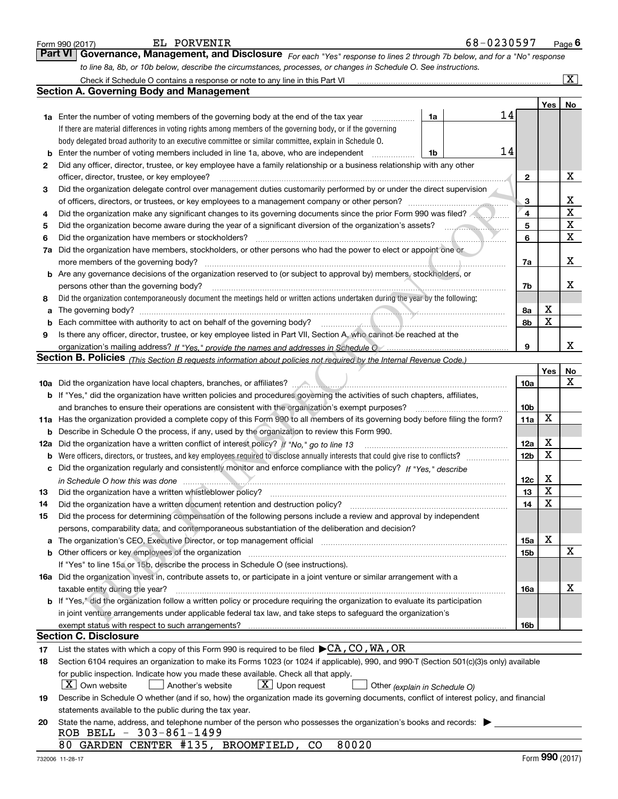|    | 68-0230597<br>EL PORVENIR<br>Form 990 (2017)                                                                                                                               |                 |        | <u>Page</u> 6           |
|----|----------------------------------------------------------------------------------------------------------------------------------------------------------------------------|-----------------|--------|-------------------------|
|    | <b>Part VI</b><br>Governance, Management, and Disclosure For each "Yes" response to lines 2 through 7b below, and for a "No" response                                      |                 |        |                         |
|    | to line 8a, 8b, or 10b below, describe the circumstances, processes, or changes in Schedule O. See instructions.                                                           |                 |        |                         |
|    |                                                                                                                                                                            |                 |        | $\overline{\mathbf{x}}$ |
|    | Section A. Governing Body and Management                                                                                                                                   |                 |        |                         |
|    |                                                                                                                                                                            |                 | Yes    | No                      |
|    | 14<br><b>1a</b> Enter the number of voting members of the governing body at the end of the tax year<br>1a                                                                  |                 |        |                         |
|    | If there are material differences in voting rights among members of the governing body, or if the governing                                                                |                 |        |                         |
|    | body delegated broad authority to an executive committee or similar committee, explain in Schedule O.                                                                      |                 |        |                         |
| b  | 14<br>Enter the number of voting members included in line 1a, above, who are independent <i>manumum</i><br>1b                                                              |                 |        |                         |
| 2  | Did any officer, director, trustee, or key employee have a family relationship or a business relationship with any other                                                   |                 |        |                         |
|    | officer, director, trustee, or key employee?                                                                                                                               | $\mathbf{2}$    |        | X                       |
| 3  | Did the organization delegate control over management duties customarily performed by or under the direct supervision                                                      |                 |        |                         |
|    | of officers, directors, or trustees, or key employees to a management company or other person?                                                                             | 3               |        | х                       |
| 4  | Did the organization make any significant changes to its governing documents since the prior Form 990 was filed?                                                           | 4               |        | $\mathbf X$             |
| 5  | Did the organization become aware during the year of a significant diversion of the organization's assets?                                                                 | 5               |        | х                       |
| 6  | Did the organization have members or stockholders?                                                                                                                         | 6               |        | X                       |
| 7a | Did the organization have members, stockholders, or other persons who had the power to elect or appoint one or                                                             |                 |        |                         |
|    | more members of the governing body?                                                                                                                                        | 7a              |        | x                       |
|    | <b>b</b> Are any governance decisions of the organization reserved to (or subject to approval by) members, stockholders, or                                                |                 |        |                         |
|    | persons other than the governing body?                                                                                                                                     | 7b              |        | x                       |
| 8  | Did the organization contemporaneously document the meetings held or written actions undertaken during the year by the following:                                          |                 |        |                         |
| a  | The governing body?                                                                                                                                                        | 8а              | X<br>x |                         |
| b  | Each committee with authority to act on behalf of the governing body?                                                                                                      | 8b              |        |                         |
| 9  | Is there any officer, director, trustee, or key employee listed in Part VII, Section A, who cannot be reached at the                                                       | 9               |        | x                       |
|    |                                                                                                                                                                            |                 |        |                         |
|    | Section B. Policies <sub>(This Section B requests information about policies not required by the Internal Revenue Code.)</sub>                                             |                 | Yes    |                         |
|    |                                                                                                                                                                            | 10a             |        | No<br>x                 |
|    | b If "Yes," did the organization have written policies and procedures governing the activities of such chapters, affiliates,                                               |                 |        |                         |
|    | and branches to ensure their operations are consistent with the organization's exempt purposes?                                                                            | 10 <sub>b</sub> |        |                         |
|    | 11a Has the organization provided a complete copy of this Form 990 to all members of its governing body before filing the form?                                            | 11a             | X      |                         |
|    | <b>b</b> Describe in Schedule O the process, if any, used by the organization to review this Form 990.                                                                     |                 |        |                         |
|    | 12a Did the organization have a written conflict of interest policy? If "No," go to line 13                                                                                | 12a             | X      |                         |
| b  | Were officers, directors, or trustees, and key employees required to disclose annually interests that could give rise to conflicts?                                        | 12 <sub>b</sub> | X      |                         |
| с  | Did the organization regularly and consistently monitor and enforce compliance with the policy? If "Yes," describe                                                         |                 |        |                         |
|    |                                                                                                                                                                            | 12c             | Χ      |                         |
| 13 | Did the organization have a written whistleblower policy?                                                                                                                  | 13              | Y      |                         |
| 14 | Did the organization have a written document retention and destruction policy?                                                                                             | 14              | X      |                         |
| 15 | Did the process for determining compensation of the following persons include a review and approval by independent                                                         |                 |        |                         |
|    | persons, comparability data, and contemporaneous substantiation of the deliberation and decision?                                                                          |                 |        |                         |
| а  | The organization's CEO, Executive Director, or top management official manufactured content of the organization's CEO, Executive Director, or top management official      | 15a             | х      |                         |
| b  | Other officers or key employees of the organization                                                                                                                        | 15b             |        | х                       |
|    | If "Yes" to line 15a or 15b, describe the process in Schedule O (see instructions).                                                                                        |                 |        |                         |
|    | 16a Did the organization invest in, contribute assets to, or participate in a joint venture or similar arrangement with a                                                  |                 |        |                         |
|    | taxable entity during the year?                                                                                                                                            | 16a             |        | х                       |
|    | <b>b</b> If "Yes," did the organization follow a written policy or procedure requiring the organization to evaluate its participation                                      |                 |        |                         |
|    | in joint venture arrangements under applicable federal tax law, and take steps to safeguard the organization's                                                             |                 |        |                         |
|    |                                                                                                                                                                            | 16b             |        |                         |
|    | <b>Section C. Disclosure</b>                                                                                                                                               |                 |        |                         |
| 17 | List the states with which a copy of this Form 990 is required to be filed $\blacktriangleright$ CA, CO, WA, OR                                                            |                 |        |                         |
| 18 | Section 6104 requires an organization to make its Forms 1023 (or 1024 if applicable), 990, and 990-T (Section 501(c)(3)s only) available                                   |                 |        |                         |
|    | for public inspection. Indicate how you made these available. Check all that apply.<br>$X$ Own website<br>$X$ Upon request<br>Another's website                            |                 |        |                         |
| 19 | Other (explain in Schedule O)<br>Describe in Schedule O whether (and if so, how) the organization made its governing documents, conflict of interest policy, and financial |                 |        |                         |
|    | statements available to the public during the tax year.                                                                                                                    |                 |        |                         |
| 20 | State the name, address, and telephone number of the person who possesses the organization's books and records:                                                            |                 |        |                         |
|    | ROB BELL - 303-861-1499                                                                                                                                                    |                 |        |                         |
|    | GARDEN CENTER #135, BROOMFIELD,<br>80020<br>80.<br>CO.                                                                                                                     |                 |        |                         |
|    |                                                                                                                                                                            |                 | ~~~    |                         |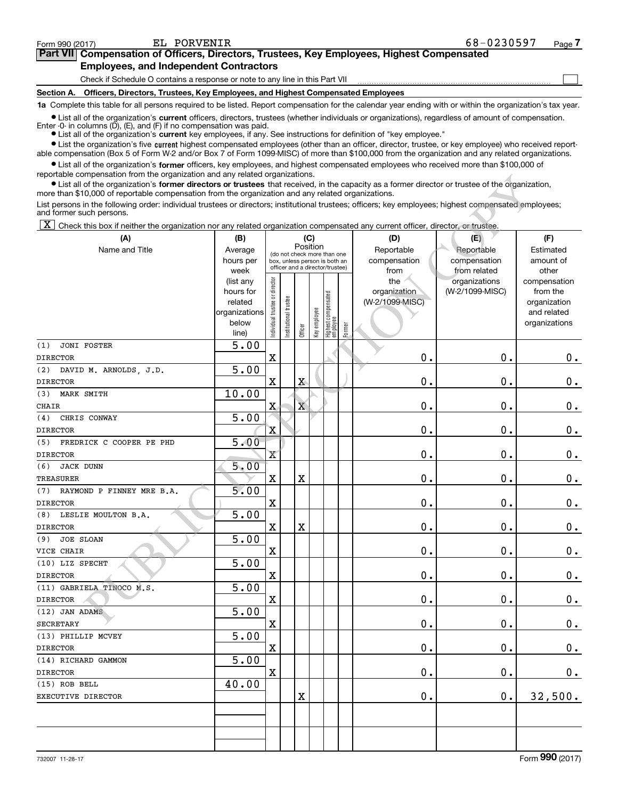$\mathcal{L}^{\text{max}}$ 

# **7Part VII Compensation of Officers, Directors, Trustees, Key Employees, Highest Compensated Employees, and Independent Contractors**

Check if Schedule O contains a response or note to any line in this Part VII

**Section A. Officers, Directors, Trustees, Key Employees, and Highest Compensated Employees**

**1a**  Complete this table for all persons required to be listed. Report compensation for the calendar year ending with or within the organization's tax year.

**•** List all of the organization's current officers, directors, trustees (whether individuals or organizations), regardless of amount of compensation. Enter -0- in columns (D), (E), and (F) if no compensation was paid.

● List all of the organization's **current** key employees, if any. See instructions for definition of "key employee."

**In List the organization's five current highest compensated employees (other than an officer, director, trustee, or key employee) who received report-**■ List the organization's five current highest compensated employees (other than an officer, director, trustee, or key employee) who received report-<br>able compensation (Box 5 of Form W-2 and/or Box 7 of Form 1099-MISC) of

 $\bullet$  List all of the organization's **former** officers, key employees, and highest compensated employees who received more than \$100,000 of reportable compensation from the organization and any related organizations.

| reportable compensation from the organization and any related organizations.<br>• List all of the organization's former directors or trustees that received, in the capacity as a former director or trustee of the organization,<br>more than \$10,000 of reportable compensation from the organization and any related organizations. |                        |                               |                                                                  |                         |              |                                   |        |                     |                                  |                          |
|-----------------------------------------------------------------------------------------------------------------------------------------------------------------------------------------------------------------------------------------------------------------------------------------------------------------------------------------|------------------------|-------------------------------|------------------------------------------------------------------|-------------------------|--------------|-----------------------------------|--------|---------------------|----------------------------------|--------------------------|
| List persons in the following order: individual trustees or directors; institutional trustees; officers; key employees; highest compensated employees;                                                                                                                                                                                  |                        |                               |                                                                  |                         |              |                                   |        |                     |                                  |                          |
| and former such persons.                                                                                                                                                                                                                                                                                                                |                        |                               |                                                                  |                         |              |                                   |        |                     |                                  |                          |
| X<br>Check this box if neither the organization nor any related organization compensated any current officer, director, or trustee.                                                                                                                                                                                                     |                        |                               |                                                                  |                         |              |                                   |        |                     |                                  |                          |
| (A)                                                                                                                                                                                                                                                                                                                                     | (B)                    |                               |                                                                  |                         | (C)          |                                   |        | (D)                 | (E)                              | (F)                      |
| Name and Title                                                                                                                                                                                                                                                                                                                          | Average                |                               | (do not check more than one                                      | Position                |              |                                   |        | Reportable          | Reportable                       | Estimated                |
|                                                                                                                                                                                                                                                                                                                                         | hours per              |                               | box, unless person is both an<br>officer and a director/trustee) |                         |              |                                   |        | compensation        | compensation                     | amount of                |
|                                                                                                                                                                                                                                                                                                                                         | week                   |                               |                                                                  |                         |              |                                   |        | from                | from related                     | other                    |
|                                                                                                                                                                                                                                                                                                                                         | (list any<br>hours for |                               |                                                                  |                         |              |                                   |        | the<br>organization | organizations<br>(W-2/1099-MISC) | compensation<br>from the |
|                                                                                                                                                                                                                                                                                                                                         | related                |                               |                                                                  |                         |              |                                   |        | (W-2/1099-MISC)     |                                  | organization             |
|                                                                                                                                                                                                                                                                                                                                         | organizations          |                               |                                                                  |                         |              |                                   |        |                     |                                  | and related              |
|                                                                                                                                                                                                                                                                                                                                         | below                  | ndividual trustee or director | nstitutional trustee                                             |                         | Key employee |                                   |        |                     |                                  | organizations            |
|                                                                                                                                                                                                                                                                                                                                         | line)                  |                               |                                                                  | Officer                 |              | Highest compensated<br>  employee | Former |                     |                                  |                          |
| (1)<br><b>JONI FOSTER</b>                                                                                                                                                                                                                                                                                                               | $\overline{5.00}$      |                               |                                                                  |                         |              |                                   |        |                     |                                  |                          |
| <b>DIRECTOR</b>                                                                                                                                                                                                                                                                                                                         |                        | $\mathbf X$                   |                                                                  |                         |              |                                   |        | 0.                  | 0.                               | $0$ .                    |
| DAVID M. ARNOLDS, J.D.<br>(2)                                                                                                                                                                                                                                                                                                           | $\overline{5.00}$      |                               |                                                                  |                         |              |                                   |        |                     |                                  |                          |
| <b>DIRECTOR</b>                                                                                                                                                                                                                                                                                                                         |                        | $\mathbf X$                   |                                                                  | $\mathbf X$             |              |                                   |        | 0.                  | 0.                               | 0.                       |
| (3)<br>MARK SMITH                                                                                                                                                                                                                                                                                                                       | 10.00                  |                               |                                                                  |                         |              |                                   |        |                     |                                  |                          |
| <b>CHAIR</b>                                                                                                                                                                                                                                                                                                                            |                        | X                             |                                                                  | $\overline{\mathbf{X}}$ |              |                                   |        | 0.                  | 0.                               | 0.                       |
| (4)<br>CHRIS CONWAY                                                                                                                                                                                                                                                                                                                     | 5.00                   |                               |                                                                  |                         |              |                                   |        |                     |                                  |                          |
| <b>DIRECTOR</b>                                                                                                                                                                                                                                                                                                                         |                        | $\mathbf{x}$                  |                                                                  |                         |              |                                   |        | 0.                  | 0.                               | 0.                       |
| FREDRICK C COOPER PE PHD<br>(5)                                                                                                                                                                                                                                                                                                         | 5.00                   |                               |                                                                  |                         |              |                                   |        |                     |                                  |                          |
| <b>DIRECTOR</b>                                                                                                                                                                                                                                                                                                                         |                        | X                             |                                                                  |                         |              |                                   |        | 0.                  | 0.                               | 0.                       |
| <b>JACK DUNN</b><br>(6)                                                                                                                                                                                                                                                                                                                 | 5.00                   |                               |                                                                  |                         |              |                                   |        |                     |                                  |                          |
| <b>TREASURER</b>                                                                                                                                                                                                                                                                                                                        |                        | $\mathbf X$                   |                                                                  | $\mathbf X$             |              |                                   |        | 0.                  | 0.                               | 0.                       |
| RAYMOND P FINNEY MRE B.A.<br>(7)                                                                                                                                                                                                                                                                                                        | 5.00                   |                               |                                                                  |                         |              |                                   |        |                     |                                  |                          |
| <b>DIRECTOR</b>                                                                                                                                                                                                                                                                                                                         |                        | $\mathbf X$                   |                                                                  |                         |              |                                   |        | 0.                  | 0.                               | 0.                       |
| LESLIE MOULTON B.A.<br>(8)                                                                                                                                                                                                                                                                                                              | 5.00                   |                               |                                                                  |                         |              |                                   |        |                     |                                  |                          |
| <b>DIRECTOR</b>                                                                                                                                                                                                                                                                                                                         |                        | $\mathbf X$                   |                                                                  | $\mathbf X$             |              |                                   |        | 0.                  | 0.                               | 0.                       |
| <b>JOE SLOAN</b><br>(9)                                                                                                                                                                                                                                                                                                                 | 5.00                   |                               |                                                                  |                         |              |                                   |        |                     |                                  |                          |
| VICE CHAIR                                                                                                                                                                                                                                                                                                                              |                        | $\mathbf X$                   |                                                                  |                         |              |                                   |        | 0.                  | 0.                               | 0.                       |
| (10) LIZ SPECHT                                                                                                                                                                                                                                                                                                                         | 5.00                   |                               |                                                                  |                         |              |                                   |        |                     |                                  |                          |
| <b>DIRECTOR</b>                                                                                                                                                                                                                                                                                                                         |                        | $\mathbf X$                   |                                                                  |                         |              |                                   |        | 0.                  | 0.                               | $0$ .                    |
| (11) GABRIELA TINOCO M.S.                                                                                                                                                                                                                                                                                                               | 5.00                   |                               |                                                                  |                         |              |                                   |        |                     |                                  |                          |
| <b>DIRECTOR</b>                                                                                                                                                                                                                                                                                                                         |                        | $\mathbf X$                   |                                                                  |                         |              |                                   |        | 0.                  | О.                               | $0$ .                    |
| (12) JAN ADAMS                                                                                                                                                                                                                                                                                                                          | 5.00                   | $\mathbf x$                   |                                                                  |                         |              |                                   |        |                     |                                  |                          |
| SECRETARY<br>(13) PHILLIP MCVEY                                                                                                                                                                                                                                                                                                         | 5.00                   |                               |                                                                  |                         |              |                                   |        | 0.                  | 0.                               | 0.                       |
| <b>DIRECTOR</b>                                                                                                                                                                                                                                                                                                                         |                        | $\mathbf X$                   |                                                                  |                         |              |                                   |        | $\mathbf 0$ .       | 0.                               | $0$ .                    |
| (14) RICHARD GAMMON                                                                                                                                                                                                                                                                                                                     | 5.00                   |                               |                                                                  |                         |              |                                   |        |                     |                                  |                          |
| <b>DIRECTOR</b>                                                                                                                                                                                                                                                                                                                         |                        | $\mathbf X$                   |                                                                  |                         |              |                                   |        | $\mathbf 0$ .       | $\mathbf 0$ .                    | 0.                       |
| (15) ROB BELL                                                                                                                                                                                                                                                                                                                           | 40.00                  |                               |                                                                  |                         |              |                                   |        |                     |                                  |                          |
| EXECUTIVE DIRECTOR                                                                                                                                                                                                                                                                                                                      |                        |                               |                                                                  | X                       |              |                                   |        | 0.                  | $\mathbf 0$ .                    | 32,500.                  |
|                                                                                                                                                                                                                                                                                                                                         |                        |                               |                                                                  |                         |              |                                   |        |                     |                                  |                          |
|                                                                                                                                                                                                                                                                                                                                         |                        |                               |                                                                  |                         |              |                                   |        |                     |                                  |                          |
|                                                                                                                                                                                                                                                                                                                                         |                        |                               |                                                                  |                         |              |                                   |        |                     |                                  |                          |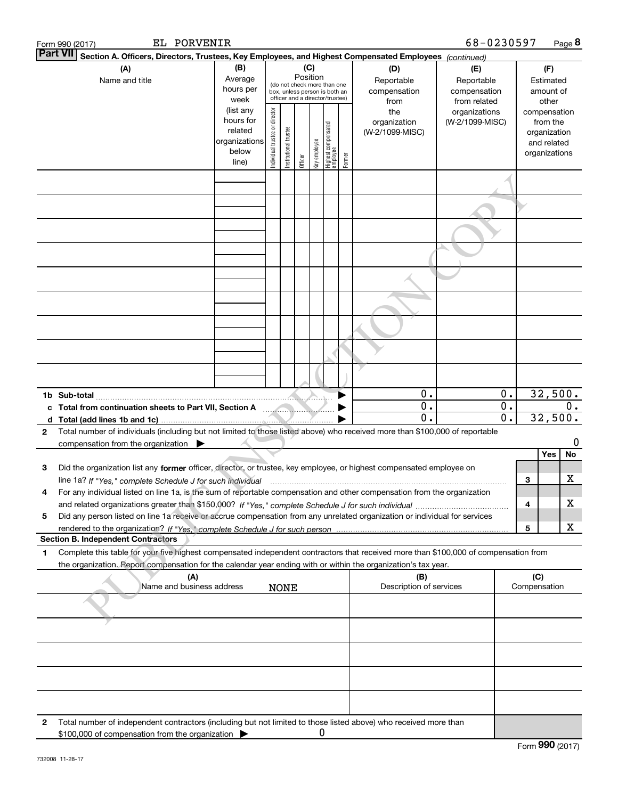|                 | EL PORVENIR<br>Form 990 (2017)                                                                                                                                                                                                                         |                                                                      |                                                                                                                    |                        |         |              |                                   |                                           |                                                   | 68-0230597                       |                                 |                                        |                                                                          | Page 8                      |
|-----------------|--------------------------------------------------------------------------------------------------------------------------------------------------------------------------------------------------------------------------------------------------------|----------------------------------------------------------------------|--------------------------------------------------------------------------------------------------------------------|------------------------|---------|--------------|-----------------------------------|-------------------------------------------|---------------------------------------------------|----------------------------------|---------------------------------|----------------------------------------|--------------------------------------------------------------------------|-----------------------------|
| <b>Part VII</b> | Section A. Officers, Directors, Trustees, Key Employees, and Highest Compensated Employees (continued)                                                                                                                                                 |                                                                      |                                                                                                                    |                        |         |              |                                   |                                           |                                                   |                                  |                                 |                                        |                                                                          |                             |
|                 | (A)<br>Name and title                                                                                                                                                                                                                                  | (B)<br>Average<br>hours per<br>week                                  | (C)<br>Position<br>(do not check more than one<br>box, unless person is both an<br>officer and a director/trustee) |                        |         |              |                                   | (D)<br>Reportable<br>compensation<br>from | (E)<br>Reportable<br>compensation<br>from related |                                  |                                 | (F)<br>Estimated<br>amount of<br>other |                                                                          |                             |
|                 |                                                                                                                                                                                                                                                        | (list any<br>hours for<br>related<br>organizations<br>below<br>line) | Individual trustee or director                                                                                     | In stitutional trustee | Officer | Key employee | Highest compensated<br>  employee | Former                                    | the<br>organization<br>(W-2/1099-MISC)            | organizations<br>(W-2/1099-MISC) |                                 |                                        | compensation<br>from the<br>organization<br>and related<br>organizations |                             |
|                 |                                                                                                                                                                                                                                                        |                                                                      |                                                                                                                    |                        |         |              |                                   |                                           |                                                   |                                  |                                 |                                        |                                                                          |                             |
|                 |                                                                                                                                                                                                                                                        |                                                                      |                                                                                                                    |                        |         |              |                                   |                                           |                                                   |                                  |                                 |                                        |                                                                          |                             |
|                 |                                                                                                                                                                                                                                                        |                                                                      |                                                                                                                    |                        |         |              |                                   |                                           |                                                   |                                  |                                 |                                        |                                                                          |                             |
|                 |                                                                                                                                                                                                                                                        |                                                                      |                                                                                                                    |                        |         |              |                                   |                                           |                                                   |                                  |                                 |                                        |                                                                          |                             |
|                 |                                                                                                                                                                                                                                                        |                                                                      |                                                                                                                    |                        |         |              |                                   |                                           |                                                   |                                  |                                 |                                        |                                                                          |                             |
|                 |                                                                                                                                                                                                                                                        |                                                                      |                                                                                                                    |                        |         |              |                                   |                                           |                                                   |                                  |                                 |                                        |                                                                          |                             |
|                 |                                                                                                                                                                                                                                                        |                                                                      |                                                                                                                    |                        |         |              |                                   |                                           |                                                   |                                  |                                 |                                        |                                                                          |                             |
|                 |                                                                                                                                                                                                                                                        |                                                                      |                                                                                                                    |                        |         |              |                                   |                                           |                                                   |                                  |                                 |                                        |                                                                          |                             |
|                 | 1b Sub-total                                                                                                                                                                                                                                           |                                                                      |                                                                                                                    |                        |         |              |                                   |                                           | 0.<br>О.                                          |                                  | 0.<br>$\overline{\mathbf{0}}$ . |                                        |                                                                          | 32,500.<br>0.               |
|                 |                                                                                                                                                                                                                                                        |                                                                      |                                                                                                                    |                        |         |              |                                   |                                           | $\mathbf 0$ .                                     |                                  | $\overline{0}$ .                |                                        | 32,500.                                                                  |                             |
| 2               | Total number of individuals (including but not limited to those listed above) who received more than \$100,000 of reportable<br>compensation from the organization $\blacktriangleright$                                                               |                                                                      |                                                                                                                    |                        |         |              |                                   |                                           |                                                   |                                  |                                 |                                        |                                                                          | O                           |
|                 |                                                                                                                                                                                                                                                        |                                                                      |                                                                                                                    |                        |         |              |                                   |                                           |                                                   |                                  |                                 |                                        | Yes                                                                      | No                          |
| з               | Did the organization list any former officer, director, or trustee, key employee, or highest compensated employee on<br>line 1a? If "Yes," complete Schedule J for such individual                                                                     |                                                                      |                                                                                                                    |                        |         |              |                                   |                                           |                                                   |                                  |                                 | З                                      |                                                                          | x                           |
| 4               | For any individual listed on line 1a, is the sum of reportable compensation and other compensation from the organization                                                                                                                               |                                                                      |                                                                                                                    |                        |         |              |                                   |                                           |                                                   |                                  |                                 |                                        |                                                                          |                             |
|                 |                                                                                                                                                                                                                                                        |                                                                      |                                                                                                                    |                        |         |              |                                   |                                           |                                                   |                                  |                                 | 4                                      |                                                                          | x                           |
| 5               | Did any person listed on line 1a receive or accrue compensation from any unrelated organization or individual for services                                                                                                                             |                                                                      |                                                                                                                    |                        |         |              |                                   |                                           |                                                   |                                  |                                 | 5                                      |                                                                          | x                           |
|                 | <b>Section B. Independent Contractors</b>                                                                                                                                                                                                              |                                                                      |                                                                                                                    |                        |         |              |                                   |                                           |                                                   |                                  |                                 |                                        |                                                                          |                             |
| 1               | Complete this table for your five highest compensated independent contractors that received more than \$100,000 of compensation from<br>the organization. Report compensation for the calendar year ending with or within the organization's tax year. |                                                                      |                                                                                                                    |                        |         |              |                                   |                                           |                                                   |                                  |                                 |                                        |                                                                          |                             |
|                 | (A)<br>Name and business address                                                                                                                                                                                                                       |                                                                      |                                                                                                                    | <b>NONE</b>            |         |              |                                   |                                           | (B)<br>Description of services                    |                                  |                                 | (C)<br>Compensation                    |                                                                          |                             |
|                 |                                                                                                                                                                                                                                                        |                                                                      |                                                                                                                    |                        |         |              |                                   |                                           |                                                   |                                  |                                 |                                        |                                                                          |                             |
|                 |                                                                                                                                                                                                                                                        |                                                                      |                                                                                                                    |                        |         |              |                                   |                                           |                                                   |                                  |                                 |                                        |                                                                          |                             |
|                 |                                                                                                                                                                                                                                                        |                                                                      |                                                                                                                    |                        |         |              |                                   |                                           |                                                   |                                  |                                 |                                        |                                                                          |                             |
|                 |                                                                                                                                                                                                                                                        |                                                                      |                                                                                                                    |                        |         |              |                                   |                                           |                                                   |                                  |                                 |                                        |                                                                          |                             |
| 2               | Total number of independent contractors (including but not limited to those listed above) who received more than                                                                                                                                       |                                                                      |                                                                                                                    |                        |         |              |                                   |                                           |                                                   |                                  |                                 |                                        |                                                                          |                             |
|                 | \$100,000 of compensation from the organization                                                                                                                                                                                                        |                                                                      |                                                                                                                    |                        |         | o            |                                   |                                           |                                                   |                                  |                                 |                                        |                                                                          | $F_{\text{arm}}$ 990 (2017) |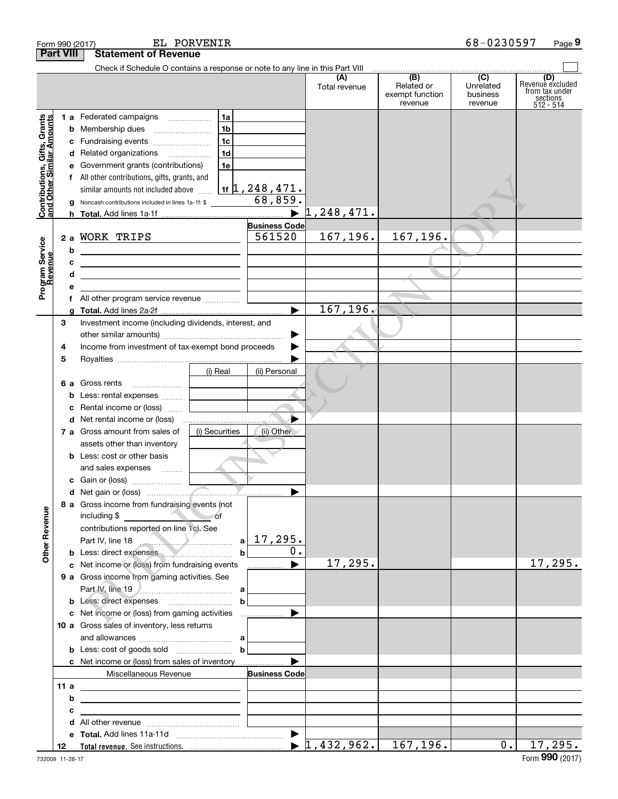|                                                           | Form 990 (2017)  |                                                                                                                                                                                  | EL PORVENIR    |                       |                                  |                                                 | 68-0230597                              | Page 9                                                             |
|-----------------------------------------------------------|------------------|----------------------------------------------------------------------------------------------------------------------------------------------------------------------------------|----------------|-----------------------|----------------------------------|-------------------------------------------------|-----------------------------------------|--------------------------------------------------------------------|
|                                                           | <b>Part VIII</b> | <b>Statement of Revenue</b>                                                                                                                                                      |                |                       |                                  |                                                 |                                         |                                                                    |
|                                                           |                  | Check if Schedule O contains a response or note to any line in this Part VIII                                                                                                    |                |                       |                                  |                                                 |                                         |                                                                    |
|                                                           |                  |                                                                                                                                                                                  |                |                       | (A)<br>Total revenue             | (B)<br>Related or<br>exempt function<br>revenue | (C)<br>Unrelated<br>business<br>revenue | (D)<br>Revenuè excluded<br>from tax under<br>sections<br>512 - 514 |
|                                                           |                  | 1 a Federated campaigns                                                                                                                                                          | 1a             |                       |                                  |                                                 |                                         |                                                                    |
| Contributions, Gifts, Grants<br>and Other Similar Amounts |                  |                                                                                                                                                                                  | 1 <sub>b</sub> |                       |                                  |                                                 |                                         |                                                                    |
|                                                           |                  | c Fundraising events                                                                                                                                                             | 1c             |                       |                                  |                                                 |                                         |                                                                    |
|                                                           |                  | d Related organizations                                                                                                                                                          | 1d             |                       |                                  |                                                 |                                         |                                                                    |
|                                                           |                  | e Government grants (contributions)                                                                                                                                              | 1e             |                       |                                  |                                                 |                                         |                                                                    |
|                                                           |                  | f All other contributions, gifts, grants, and                                                                                                                                    |                |                       |                                  |                                                 |                                         |                                                                    |
|                                                           |                  | similar amounts not included above $\frac{1}{16}$ 11 $\frac{1}{248}$ , 471.                                                                                                      |                |                       |                                  |                                                 |                                         |                                                                    |
|                                                           |                  | g Noncash contributions included in lines 1a-1f: \$                                                                                                                              |                | 68,859.               |                                  |                                                 |                                         |                                                                    |
|                                                           |                  |                                                                                                                                                                                  |                |                       | $\triangleright$ 1,248,471.      |                                                 |                                         |                                                                    |
|                                                           |                  |                                                                                                                                                                                  |                | <b>Business Code</b>  |                                  |                                                 |                                         |                                                                    |
|                                                           |                  | 2 a WORK TRIPS                                                                                                                                                                   |                | 561520                | 167, 196.                        | 167,196.                                        |                                         |                                                                    |
|                                                           | b                | <u> 1989 - Johann Stein, fransk politik (d. 1989)</u>                                                                                                                            |                |                       |                                  |                                                 |                                         |                                                                    |
|                                                           | c                | <u> 1989 - Andrea Andrew Maria (h. 1989).</u>                                                                                                                                    |                |                       |                                  |                                                 |                                         |                                                                    |
|                                                           | d                | <u> 1989 - Johann Stein, marwolaethau (b. 1989)</u>                                                                                                                              |                |                       |                                  |                                                 |                                         |                                                                    |
| Program Service<br>Revenue                                | е                |                                                                                                                                                                                  |                |                       |                                  |                                                 |                                         |                                                                    |
|                                                           | f                | All other program service revenue                                                                                                                                                |                |                       |                                  |                                                 |                                         |                                                                    |
|                                                           | a                |                                                                                                                                                                                  |                | $\blacktriangleright$ | 167, 196.                        |                                                 |                                         |                                                                    |
|                                                           | з                | Investment income (including dividends, interest, and                                                                                                                            |                |                       |                                  |                                                 |                                         |                                                                    |
|                                                           |                  |                                                                                                                                                                                  |                | ▶                     |                                  |                                                 |                                         |                                                                    |
|                                                           | 4                | Income from investment of tax-exempt bond proceeds                                                                                                                               |                | ▶                     |                                  |                                                 |                                         |                                                                    |
|                                                           | 5                |                                                                                                                                                                                  |                |                       |                                  |                                                 |                                         |                                                                    |
|                                                           |                  |                                                                                                                                                                                  | (i) Real       | (ii) Personal         |                                  |                                                 |                                         |                                                                    |
|                                                           |                  | 6 a Gross rents                                                                                                                                                                  |                |                       |                                  |                                                 |                                         |                                                                    |
|                                                           |                  | <b>b</b> Less: rental expenses                                                                                                                                                   |                |                       |                                  |                                                 |                                         |                                                                    |
|                                                           |                  | c Rental income or (loss)                                                                                                                                                        |                |                       |                                  |                                                 |                                         |                                                                    |
|                                                           |                  | <b>d</b> Net rental income or (loss)                                                                                                                                             |                |                       |                                  |                                                 |                                         |                                                                    |
|                                                           |                  | 7 a Gross amount from sales of                                                                                                                                                   | (i) Securities | (ii) Other            |                                  |                                                 |                                         |                                                                    |
|                                                           |                  | assets other than inventory                                                                                                                                                      |                |                       |                                  |                                                 |                                         |                                                                    |
|                                                           |                  | <b>b</b> Less: cost or other basis                                                                                                                                               |                |                       |                                  |                                                 |                                         |                                                                    |
|                                                           |                  | and sales expenses                                                                                                                                                               |                |                       |                                  |                                                 |                                         |                                                                    |
|                                                           |                  | c Gain or (loss)                                                                                                                                                                 |                |                       |                                  |                                                 |                                         |                                                                    |
|                                                           |                  |                                                                                                                                                                                  |                |                       |                                  |                                                 |                                         |                                                                    |
|                                                           |                  | 8 a Gross income from fundraising events (not                                                                                                                                    |                |                       |                                  |                                                 |                                         |                                                                    |
|                                                           |                  | including \$                                                                                                                                                                     |                |                       |                                  |                                                 |                                         |                                                                    |
|                                                           |                  | contributions reported on line 1c). See                                                                                                                                          |                |                       |                                  |                                                 |                                         |                                                                    |
| <b>Other Revenue</b>                                      |                  | Part IV, line 18                                                                                                                                                                 |                | 0.                    |                                  |                                                 |                                         |                                                                    |
|                                                           |                  | b Less: direct expenses                                                                                                                                                          | $\mathbf b$    |                       |                                  |                                                 |                                         |                                                                    |
|                                                           |                  | c Net income or (loss) from fundraising events                                                                                                                                   |                | .                     | 17,295.                          |                                                 |                                         | 17,295.                                                            |
|                                                           |                  | 9 a Gross income from gaming activities. See                                                                                                                                     |                |                       |                                  |                                                 |                                         |                                                                    |
|                                                           |                  |                                                                                                                                                                                  | $\mathbf b$    |                       |                                  |                                                 |                                         |                                                                    |
|                                                           |                  | c Net income or (loss) from gaming activities                                                                                                                                    |                | ▶                     |                                  |                                                 |                                         |                                                                    |
|                                                           |                  | 10 a Gross sales of inventory, less returns                                                                                                                                      |                |                       |                                  |                                                 |                                         |                                                                    |
|                                                           |                  |                                                                                                                                                                                  |                |                       |                                  |                                                 |                                         |                                                                    |
|                                                           |                  |                                                                                                                                                                                  |                |                       |                                  |                                                 |                                         |                                                                    |
|                                                           |                  | c Net income or (loss) from sales of inventory                                                                                                                                   |                |                       |                                  |                                                 |                                         |                                                                    |
|                                                           |                  | Miscellaneous Revenue                                                                                                                                                            |                | <b>Business Code</b>  |                                  |                                                 |                                         |                                                                    |
|                                                           | 11 a             |                                                                                                                                                                                  |                |                       |                                  |                                                 |                                         |                                                                    |
|                                                           | b                | <u> 1989 - Johann Barbara, martin amerikan basal da</u><br><u> 1989 - Johann Harry Harry Harry Harry Harry Harry Harry Harry Harry Harry Harry Harry Harry Harry Harry Harry</u> |                |                       |                                  |                                                 |                                         |                                                                    |
|                                                           | с                |                                                                                                                                                                                  |                |                       |                                  |                                                 |                                         |                                                                    |
|                                                           |                  |                                                                                                                                                                                  |                |                       |                                  |                                                 |                                         |                                                                    |
|                                                           |                  |                                                                                                                                                                                  |                | ▶                     |                                  |                                                 |                                         |                                                                    |
|                                                           | 12               |                                                                                                                                                                                  |                |                       | $\blacktriangleright$ 1,432,962. | $\boxed{167,196}$ .                             | 0.1                                     | 17,295.                                                            |
|                                                           |                  |                                                                                                                                                                                  |                |                       |                                  |                                                 |                                         |                                                                    |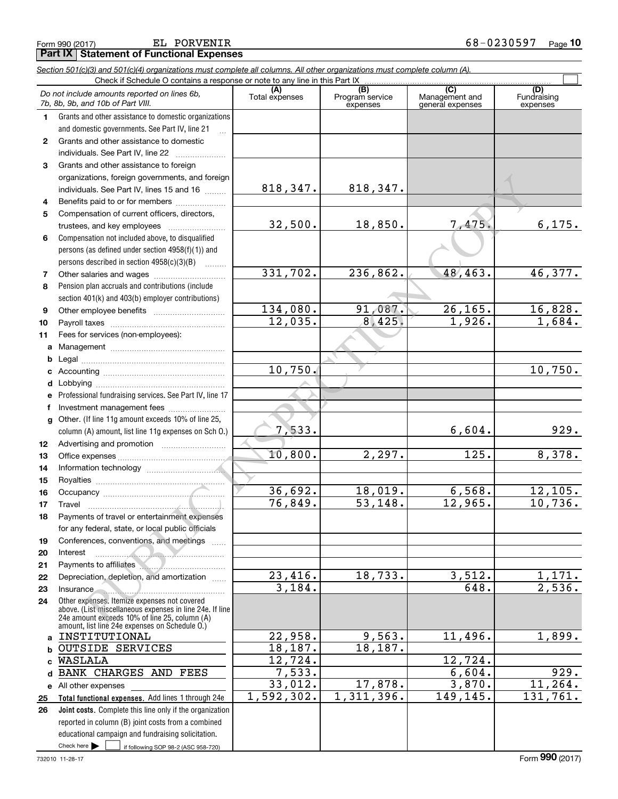**Part IX | Statement of Functional Expenses** 

|                  | Section 501(c)(3) and 501(c)(4) organizations must complete all columns. All other organizations must complete column (A).                                                                                  |                       |                             |                                    |                         |
|------------------|-------------------------------------------------------------------------------------------------------------------------------------------------------------------------------------------------------------|-----------------------|-----------------------------|------------------------------------|-------------------------|
|                  | Check if Schedule O contains a response or note to any line in this Part IX                                                                                                                                 | (A)                   | (B)                         | $\overline{C}$                     | (D)                     |
|                  | Do not include amounts reported on lines 6b,<br>7b, 8b, 9b, and 10b of Part VIII.                                                                                                                           | Total expenses        | Program service<br>expenses | Management and<br>general expenses | Fundraising<br>expenses |
| 1.               | Grants and other assistance to domestic organizations                                                                                                                                                       |                       |                             |                                    |                         |
|                  | and domestic governments. See Part IV, line 21                                                                                                                                                              |                       |                             |                                    |                         |
| $\mathbf{2}$     | Grants and other assistance to domestic                                                                                                                                                                     |                       |                             |                                    |                         |
|                  | individuals. See Part IV, line 22                                                                                                                                                                           |                       |                             |                                    |                         |
| 3                | Grants and other assistance to foreign                                                                                                                                                                      |                       |                             |                                    |                         |
|                  | organizations, foreign governments, and foreign                                                                                                                                                             |                       |                             |                                    |                         |
|                  | individuals. See Part IV, lines 15 and 16                                                                                                                                                                   | 818,347.              | 818,347.                    |                                    |                         |
| 4                | Benefits paid to or for members                                                                                                                                                                             |                       |                             |                                    |                         |
| 5                | Compensation of current officers, directors,                                                                                                                                                                |                       |                             |                                    |                         |
|                  | trustees, and key employees                                                                                                                                                                                 | 32,500.               | 18,850.                     | 7,475.                             | 6, 175.                 |
| 6                | Compensation not included above, to disqualified                                                                                                                                                            |                       |                             |                                    |                         |
|                  | persons (as defined under section 4958(f)(1)) and                                                                                                                                                           |                       |                             |                                    |                         |
|                  | persons described in section 4958(c)(3)(B)<br>.                                                                                                                                                             |                       |                             |                                    |                         |
| 7                | Other salaries and wages                                                                                                                                                                                    | 331,702.              | 236,862.                    | 48, 463.                           | 46,377.                 |
| 8                | Pension plan accruals and contributions (include                                                                                                                                                            |                       |                             |                                    |                         |
|                  | section 401(k) and 403(b) employer contributions)                                                                                                                                                           |                       |                             |                                    |                         |
| 9                |                                                                                                                                                                                                             | 134,080.              | 91,087.                     | 26, 165.                           | 16,828.                 |
| 10               |                                                                                                                                                                                                             | 12,035.               | 8,425.                      | 1,926.                             | 1,684.                  |
| 11               | Fees for services (non-employees):                                                                                                                                                                          |                       |                             |                                    |                         |
| a                |                                                                                                                                                                                                             |                       |                             |                                    |                         |
| b                |                                                                                                                                                                                                             | 10,750.               |                             |                                    |                         |
| c                |                                                                                                                                                                                                             |                       |                             |                                    | 10,750.                 |
| d                |                                                                                                                                                                                                             |                       |                             |                                    |                         |
| е                | Professional fundraising services. See Part IV, line 17                                                                                                                                                     |                       |                             |                                    |                         |
| f                | Investment management fees                                                                                                                                                                                  |                       |                             |                                    |                         |
| g                | Other. (If line 11g amount exceeds 10% of line 25,<br>column (A) amount, list line 11g expenses on Sch 0.)                                                                                                  | 7,533.                |                             | 6,604.                             | 929.                    |
| 12 <sup>12</sup> |                                                                                                                                                                                                             |                       |                             |                                    |                         |
| 13               |                                                                                                                                                                                                             | 10,800.               | 2,297.                      | 125.                               | 8,378.                  |
| 14               |                                                                                                                                                                                                             |                       |                             |                                    |                         |
| 15               |                                                                                                                                                                                                             |                       |                             |                                    |                         |
| 16               |                                                                                                                                                                                                             | 36,692.               | 18,019.                     | 6,568.                             | 12, 105.                |
| 17               |                                                                                                                                                                                                             | 76,849.               | 53,148.                     | 12,965.                            | 10,736.                 |
| 18               | Payments of travel or entertainment expenses                                                                                                                                                                |                       |                             |                                    |                         |
|                  | for any federal, state, or local public officials                                                                                                                                                           |                       |                             |                                    |                         |
| 19               | Conferences, conventions, and meetings                                                                                                                                                                      |                       |                             |                                    |                         |
| 20               | Interest                                                                                                                                                                                                    |                       |                             |                                    |                         |
| 21               | Payments to affiliates<br>Manuscritta Annuncia Communication and Payments Annuncia Communications                                                                                                           |                       |                             |                                    |                         |
| 22               | Depreciation, depletion, and amortization                                                                                                                                                                   | $\overline{23,416}$ . | 18,733.                     | 3,512.                             | 1,171.                  |
| 23               | Insurance                                                                                                                                                                                                   | 3,184.                |                             | 648.                               | 2,536.                  |
| 24               | Other expenses. Itemize expenses not covered<br>above. (List miscellaneous expenses in line 24e. If line<br>24e amount exceeds 10% of line 25, column (A)<br>amount, list line 24e expenses on Schedule O.) |                       |                             |                                    |                         |
| a                | INSTITUTIONAL                                                                                                                                                                                               | 22,958.               | 9,563.                      | 11,496.                            | 1,899.                  |
| b                | <b>OUTSIDE SERVICES</b>                                                                                                                                                                                     | 18,187.               | 18,187.                     |                                    |                         |
| c                | WASLALA                                                                                                                                                                                                     | 12,724.               |                             | 12,724.                            |                         |
| d                | BANK CHARGES AND FEES                                                                                                                                                                                       | 7,533.                |                             | 6,604.                             | 929.                    |
|                  | e All other expenses                                                                                                                                                                                        | 33,012.               | 17,878.                     | 3,870.                             | 11,264.                 |
| 25               | Total functional expenses. Add lines 1 through 24e                                                                                                                                                          | 1,592,302.            | 1,311,396.                  | 149,145.                           | 131, 761.               |
| 26               | <b>Joint costs.</b> Complete this line only if the organization                                                                                                                                             |                       |                             |                                    |                         |
|                  | reported in column (B) joint costs from a combined                                                                                                                                                          |                       |                             |                                    |                         |
|                  | educational campaign and fundraising solicitation.                                                                                                                                                          |                       |                             |                                    |                         |
|                  | Check here $\blacktriangleright$<br>if following SOP 98-2 (ASC 958-720)                                                                                                                                     |                       |                             |                                    |                         |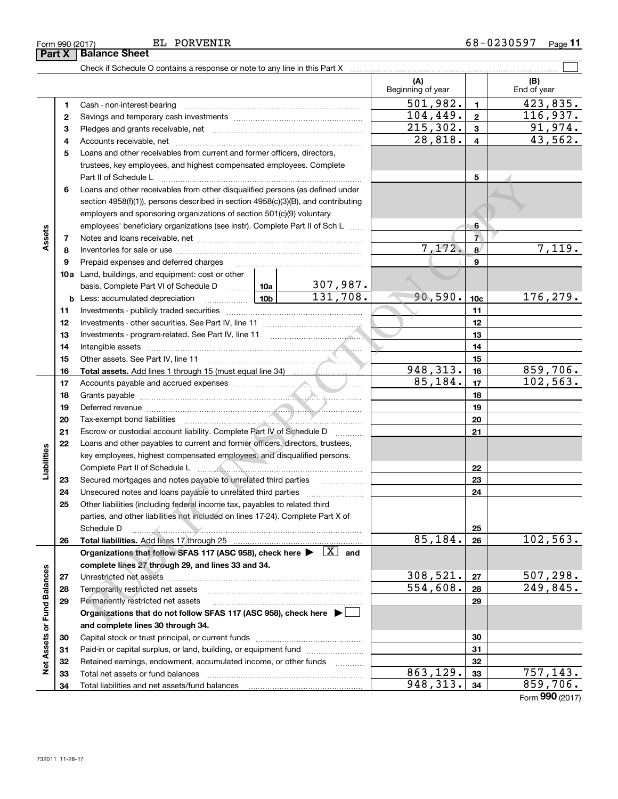$\mathcal{L}^{\text{max}}$ 

|                             |    |                                                                                                                                                                                                                                      |           |                     | (A)<br>Beginning of year |                 | (B)<br>End of year |
|-----------------------------|----|--------------------------------------------------------------------------------------------------------------------------------------------------------------------------------------------------------------------------------------|-----------|---------------------|--------------------------|-----------------|--------------------|
|                             | 1  |                                                                                                                                                                                                                                      |           |                     | 501,982.                 | $\mathbf{1}$    | 423,835.           |
|                             | 2  |                                                                                                                                                                                                                                      |           |                     | 104,449.                 | $\mathbf 2$     | 116,937.           |
|                             | з  |                                                                                                                                                                                                                                      | 215, 302. | $\mathbf{3}$        | 91,974.                  |                 |                    |
|                             | 4  |                                                                                                                                                                                                                                      |           |                     | 28,818.                  | 4               | 43,562.            |
|                             | 5  | Loans and other receivables from current and former officers, directors,                                                                                                                                                             |           |                     |                          |                 |                    |
|                             |    | trustees, key employees, and highest compensated employees. Complete                                                                                                                                                                 |           |                     |                          |                 |                    |
|                             |    | Part II of Schedule L                                                                                                                                                                                                                |           |                     |                          | 5               |                    |
|                             | 6  | Loans and other receivables from other disqualified persons (as defined under                                                                                                                                                        |           |                     |                          |                 |                    |
|                             |    | section $4958(f)(1)$ , persons described in section $4958(c)(3)(B)$ , and contributing                                                                                                                                               |           |                     |                          |                 |                    |
|                             |    | employers and sponsoring organizations of section 501(c)(9) voluntary                                                                                                                                                                |           |                     |                          |                 |                    |
|                             |    |                                                                                                                                                                                                                                      |           |                     |                          | 6               |                    |
| Assets                      |    | employees' beneficiary organizations (see instr). Complete Part II of Sch L                                                                                                                                                          |           |                     |                          | $\overline{7}$  |                    |
|                             | 7  |                                                                                                                                                                                                                                      |           |                     | 7,172.                   | $\bf{8}$        | 7,119.             |
|                             | 8  |                                                                                                                                                                                                                                      |           |                     |                          |                 |                    |
|                             | 9  |                                                                                                                                                                                                                                      |           |                     |                          | 9               |                    |
|                             |    | <b>10a</b> Land, buildings, and equipment: cost or other                                                                                                                                                                             |           |                     |                          |                 |                    |
|                             |    | basis. Complete Part VI of Schedule D  10a 307, 987.                                                                                                                                                                                 |           |                     | 90, 590.                 |                 |                    |
|                             |    | <b>b</b> Less: accumulated depreciation<br>. 1                                                                                                                                                                                       |           |                     |                          | 10 <sub>c</sub> | 176,279.           |
|                             | 11 |                                                                                                                                                                                                                                      |           |                     |                          | 11              |                    |
|                             | 12 |                                                                                                                                                                                                                                      |           |                     |                          | 12              |                    |
|                             | 13 |                                                                                                                                                                                                                                      |           |                     |                          | 13              |                    |
|                             | 14 |                                                                                                                                                                                                                                      |           |                     |                          | 14              |                    |
|                             | 15 |                                                                                                                                                                                                                                      |           |                     |                          | 15              |                    |
|                             | 16 |                                                                                                                                                                                                                                      |           |                     | 948, 313.                | 16              | 859,706.           |
|                             | 17 |                                                                                                                                                                                                                                      |           | 85,184.             | 17                       | 102, 563.       |                    |
|                             | 18 |                                                                                                                                                                                                                                      |           | 18                  |                          |                 |                    |
|                             | 19 | Deferred revenue <b>contract and the contract of the contract of the contract of the contract of the contract of the contract of the contract of the contract of the contract of the contract of the contract of the contract of</b> |           | 19                  |                          |                 |                    |
|                             | 20 |                                                                                                                                                                                                                                      |           |                     | 20                       |                 |                    |
|                             | 21 | Escrow or custodial account liability. Complete Part IV of Schedule D                                                                                                                                                                |           | 1.1.1.1.1.1.1.1.1.1 |                          | 21              |                    |
|                             | 22 | Loans and other payables to current and former officers, directors, trustees,                                                                                                                                                        |           |                     |                          |                 |                    |
| Liabilities                 |    | key employees, highest compensated employees, and disqualified persons.                                                                                                                                                              |           |                     |                          |                 |                    |
|                             |    |                                                                                                                                                                                                                                      |           |                     |                          | 22              |                    |
|                             | 23 | Secured mortgages and notes payable to unrelated third parties                                                                                                                                                                       |           |                     |                          | 23              |                    |
|                             | 24 | Unsecured notes and loans payable to unrelated third parties                                                                                                                                                                         |           |                     |                          | 24              |                    |
|                             | 25 | Other liabilities (including federal income tax, payables to related third                                                                                                                                                           |           |                     |                          |                 |                    |
|                             |    | parties, and other liabilities not included on lines 17-24). Complete Part X of                                                                                                                                                      |           |                     |                          |                 |                    |
|                             |    |                                                                                                                                                                                                                                      |           |                     |                          | 25              |                    |
|                             | 26 | Total liabilities. Add lines 17 through 25                                                                                                                                                                                           |           |                     | $\overline{85}$ , 184.   | 26              | 102, 563.          |
|                             |    | Organizations that follow SFAS 117 (ASC 958), check here $\blacktriangleright \quad \boxed{X}$ and                                                                                                                                   |           |                     |                          |                 |                    |
|                             |    | complete lines 27 through 29, and lines 33 and 34.                                                                                                                                                                                   |           |                     |                          |                 |                    |
|                             | 27 |                                                                                                                                                                                                                                      |           |                     | 308,521.                 | 27              | 507, 298.          |
|                             | 28 | Temporarily restricted net assets                                                                                                                                                                                                    |           |                     | 554,608.                 | 28              | 249,845.           |
|                             | 29 | Permanently restricted net assets                                                                                                                                                                                                    |           | 29                  |                          |                 |                    |
|                             |    | Organizations that do not follow SFAS 117 (ASC 958), check here ▶ │                                                                                                                                                                  |           |                     |                          |                 |                    |
|                             |    | and complete lines 30 through 34.                                                                                                                                                                                                    |           |                     |                          |                 |                    |
| Net Assets or Fund Balances | 30 |                                                                                                                                                                                                                                      |           |                     |                          | 30              |                    |
|                             | 31 | Paid-in or capital surplus, or land, building, or equipment fund                                                                                                                                                                     |           |                     | 31                       |                 |                    |
|                             | 32 | Retained earnings, endowment, accumulated income, or other funds                                                                                                                                                                     |           | 1.1.1.1.1.1.1.1.1   |                          | 32              |                    |
|                             | 33 |                                                                                                                                                                                                                                      |           |                     | 863,129.                 | 33              | 757,143.           |
|                             | 34 |                                                                                                                                                                                                                                      |           |                     | 948, 313.                | 34              | 859,706.           |
|                             |    |                                                                                                                                                                                                                                      |           |                     |                          |                 | Form 990 (2017)    |

**Part X Balance Sheet**

EL PORVENIR

Check if Schedule O contains a response or note to any line in this Part X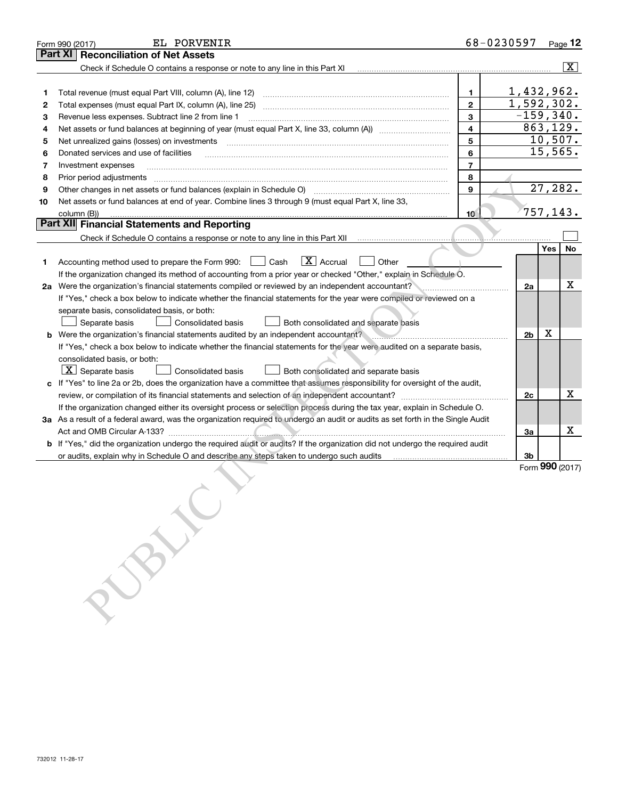|    | EL PORVENIR<br>Form 990 (2017)                                                                                                                                                                                                 |                 | 68-0230597 |                |                   | Page 12                 |
|----|--------------------------------------------------------------------------------------------------------------------------------------------------------------------------------------------------------------------------------|-----------------|------------|----------------|-------------------|-------------------------|
|    | <b>Reconciliation of Net Assets</b><br><b>Part XI</b>                                                                                                                                                                          |                 |            |                |                   |                         |
|    | Check if Schedule O contains a response or note to any line in this Part XI                                                                                                                                                    |                 |            |                |                   | $\overline{\mathbf{x}}$ |
|    |                                                                                                                                                                                                                                |                 |            |                |                   |                         |
| 1  | Total revenue (must equal Part VIII, column (A), line 12)                                                                                                                                                                      | 1               |            |                | <u>1,432,962.</u> |                         |
| 2  | Total expenses (must equal Part IX, column (A), line 25)                                                                                                                                                                       | $\mathbf{2}$    |            |                | 1,592,302.        |                         |
| 3  | Revenue less expenses. Subtract line 2 from line 1                                                                                                                                                                             | 3               |            |                | $-159, 340.$      |                         |
| 4  |                                                                                                                                                                                                                                | $\overline{4}$  |            |                | 863,129.          |                         |
| 5  |                                                                                                                                                                                                                                | 5               |            |                |                   | 10,507.                 |
| 6  | Donated services and use of facilities                                                                                                                                                                                         | 6               |            |                | 15,565.           |                         |
| 7  | Investment expenses                                                                                                                                                                                                            | $\overline{7}$  |            |                |                   |                         |
| 8  | Prior period adjustments                                                                                                                                                                                                       | 8               |            |                |                   |                         |
| 9  | Other changes in net assets or fund balances (explain in Schedule O) [11] content changes in net assets or fund balances (explain in Schedule O) [11] content changes in net assets or fund balances (explain in Schedule O) [ | 9               |            |                |                   | 27,282.                 |
| 10 | Net assets or fund balances at end of year. Combine lines 3 through 9 (must equal Part X, line 33,                                                                                                                             |                 |            |                |                   |                         |
|    | column (B))                                                                                                                                                                                                                    | 10 <sup>1</sup> |            |                | 757,143.          |                         |
|    | <b>Part XII</b> Financial Statements and Reporting                                                                                                                                                                             |                 |            |                |                   |                         |
|    |                                                                                                                                                                                                                                |                 |            |                |                   |                         |
|    |                                                                                                                                                                                                                                |                 |            |                | Yes               | <b>No</b>               |
| 1  | $\boxed{\text{X}}$ Accrual<br>Accounting method used to prepare the Form 990: <u>[</u> Cash<br>Other                                                                                                                           |                 |            |                |                   |                         |
|    | If the organization changed its method of accounting from a prior year or checked "Other," explain in Schedule O.                                                                                                              |                 |            |                |                   |                         |
|    | 2a Were the organization's financial statements compiled or reviewed by an independent accountant?                                                                                                                             |                 |            | 2a             |                   | x                       |
|    | If "Yes," check a box below to indicate whether the financial statements for the year were compiled or reviewed on a                                                                                                           |                 |            |                |                   |                         |
|    | separate basis, consolidated basis, or both:                                                                                                                                                                                   |                 |            |                |                   |                         |
|    | Separate basis<br>Consolidated basis<br>Both consolidated and separate basis                                                                                                                                                   |                 |            |                |                   |                         |
| b  | Were the organization's financial statements audited by an independent accountant?                                                                                                                                             |                 |            | 2 <sub>b</sub> | х                 |                         |
|    | If "Yes," check a box below to indicate whether the financial statements for the year were audited on a separate basis,                                                                                                        |                 |            |                |                   |                         |
|    | consolidated basis, or both:                                                                                                                                                                                                   |                 |            |                |                   |                         |
|    | $X$ Separate basis<br><b>Consolidated basis</b><br>$\Box$ Both consolidated and separate basis                                                                                                                                 |                 |            |                |                   |                         |
|    | c If "Yes" to line 2a or 2b, does the organization have a committee that assumes responsibility for oversight of the audit,                                                                                                    |                 |            |                |                   |                         |
|    |                                                                                                                                                                                                                                |                 |            | 2c             |                   | x                       |
|    | If the organization changed either its oversight process or selection process during the tax year, explain in Schedule O.                                                                                                      |                 |            |                |                   |                         |
|    | 3a As a result of a federal award, was the organization required to undergo an audit or audits as set forth in the Single Audit                                                                                                |                 |            |                |                   |                         |
|    |                                                                                                                                                                                                                                |                 |            | За             |                   | x                       |
|    | b If "Yes," did the organization undergo the required audit or audits? If the organization did not undergo the required audit                                                                                                  |                 |            |                |                   |                         |
|    | or audits, explain why in Schedule O and describe any steps taken to undergo such audits                                                                                                                                       |                 |            | 3b             |                   |                         |
|    |                                                                                                                                                                                                                                |                 |            |                |                   | Form 990 (2017)         |
|    |                                                                                                                                                                                                                                |                 |            |                |                   |                         |
|    |                                                                                                                                                                                                                                |                 |            |                |                   |                         |
|    |                                                                                                                                                                                                                                |                 |            |                |                   |                         |
|    |                                                                                                                                                                                                                                |                 |            |                |                   |                         |
|    |                                                                                                                                                                                                                                |                 |            |                |                   |                         |
|    |                                                                                                                                                                                                                                |                 |            |                |                   |                         |
|    |                                                                                                                                                                                                                                |                 |            |                |                   |                         |
|    |                                                                                                                                                                                                                                |                 |            |                |                   |                         |
|    | BIFFE                                                                                                                                                                                                                          |                 |            |                |                   |                         |
|    |                                                                                                                                                                                                                                |                 |            |                |                   |                         |
|    |                                                                                                                                                                                                                                |                 |            |                |                   |                         |
|    |                                                                                                                                                                                                                                |                 |            |                |                   |                         |
|    |                                                                                                                                                                                                                                |                 |            |                |                   |                         |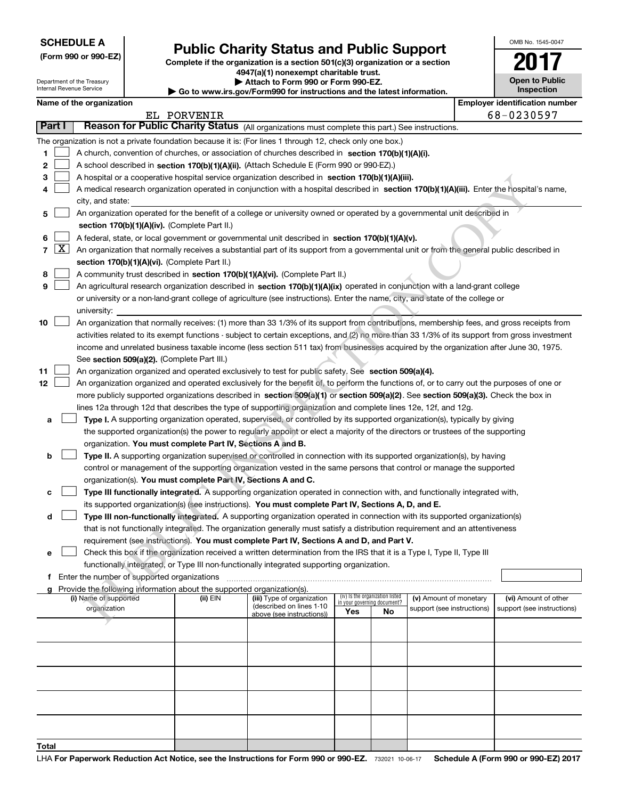Department of the Treasury Internal Revenue Service

**(Form 990 or 990-EZ)**

# **Public Charity Status and Public Support**

**Complete if the organization is a section 501(c)(3) organization or a section 4947(a)(1) nonexempt charitable trust. | Attach to Form 990 or Form 990-EZ.**   $\blacktriangleright$  Go to v

| www.irs.gov/Form990 for instructions and the latest information. |  |  |
|------------------------------------------------------------------|--|--|
|                                                                  |  |  |

| OMB No. 1545-0047                   |
|-------------------------------------|
|                                     |
| <b>Open to Public</b><br>Inspection |

| Name of the organization |                                                                                                                  |                                                                                                                                                                                      |          |                                                       |                                    | <b>Employer identification number</b> |                            |  |                            |  |  |  |
|--------------------------|------------------------------------------------------------------------------------------------------------------|--------------------------------------------------------------------------------------------------------------------------------------------------------------------------------------|----------|-------------------------------------------------------|------------------------------------|---------------------------------------|----------------------------|--|----------------------------|--|--|--|
|                          | EL PORVENIR                                                                                                      |                                                                                                                                                                                      |          |                                                       |                                    |                                       |                            |  | 68-0230597                 |  |  |  |
|                          | Reason for Public Charity Status (All organizations must complete this part.) See instructions.<br><b>Part I</b> |                                                                                                                                                                                      |          |                                                       |                                    |                                       |                            |  |                            |  |  |  |
|                          |                                                                                                                  | The organization is not a private foundation because it is: (For lines 1 through 12, check only one box.)                                                                            |          |                                                       |                                    |                                       |                            |  |                            |  |  |  |
| 1                        |                                                                                                                  | A church, convention of churches, or association of churches described in section 170(b)(1)(A)(i).                                                                                   |          |                                                       |                                    |                                       |                            |  |                            |  |  |  |
| 2                        |                                                                                                                  | A school described in section 170(b)(1)(A)(ii). (Attach Schedule E (Form 990 or 990-EZ).)                                                                                            |          |                                                       |                                    |                                       |                            |  |                            |  |  |  |
| з                        |                                                                                                                  | A hospital or a cooperative hospital service organization described in section 170(b)(1)(A)(iii).                                                                                    |          |                                                       |                                    |                                       |                            |  |                            |  |  |  |
| 4                        |                                                                                                                  | A medical research organization operated in conjunction with a hospital described in section 170(b)(1)(A)(iii). Enter the hospital's name,                                           |          |                                                       |                                    |                                       |                            |  |                            |  |  |  |
|                          |                                                                                                                  | city, and state:                                                                                                                                                                     |          |                                                       |                                    |                                       |                            |  |                            |  |  |  |
| 5                        |                                                                                                                  | An organization operated for the benefit of a college or university owned or operated by a governmental unit described in                                                            |          |                                                       |                                    |                                       |                            |  |                            |  |  |  |
|                          |                                                                                                                  | section 170(b)(1)(A)(iv). (Complete Part II.)                                                                                                                                        |          |                                                       |                                    |                                       |                            |  |                            |  |  |  |
| 6                        |                                                                                                                  | A federal, state, or local government or governmental unit described in section 170(b)(1)(A)(v).                                                                                     |          |                                                       |                                    |                                       |                            |  |                            |  |  |  |
| 7                        | $\lfloor x \rfloor$                                                                                              | An organization that normally receives a substantial part of its support from a governmental unit or from the general public described in                                            |          |                                                       |                                    |                                       |                            |  |                            |  |  |  |
|                          |                                                                                                                  | section 170(b)(1)(A)(vi). (Complete Part II.)                                                                                                                                        |          |                                                       |                                    |                                       |                            |  |                            |  |  |  |
| 8                        |                                                                                                                  | A community trust described in section 170(b)(1)(A)(vi). (Complete Part II.)                                                                                                         |          |                                                       |                                    |                                       |                            |  |                            |  |  |  |
| 9                        |                                                                                                                  | An agricultural research organization described in section 170(b)(1)(A)(ix) operated in conjunction with a land-grant college                                                        |          |                                                       |                                    |                                       |                            |  |                            |  |  |  |
|                          |                                                                                                                  | or university or a non-land-grant college of agriculture (see instructions). Enter the name, city, and state of the college or                                                       |          |                                                       |                                    |                                       |                            |  |                            |  |  |  |
|                          |                                                                                                                  | university:                                                                                                                                                                          |          |                                                       |                                    |                                       |                            |  |                            |  |  |  |
| 10                       |                                                                                                                  | An organization that normally receives: (1) more than 33 1/3% of its support from contributions, membership fees, and gross receipts from                                            |          |                                                       |                                    |                                       |                            |  |                            |  |  |  |
|                          |                                                                                                                  | activities related to its exempt functions - subject to certain exceptions, and (2) no more than 33 1/3% of its support from gross investment                                        |          |                                                       |                                    |                                       |                            |  |                            |  |  |  |
|                          |                                                                                                                  | income and unrelated business taxable income (less section 511 tax) from businesses acquired by the organization after June 30, 1975.<br>See section 509(a)(2). (Complete Part III.) |          |                                                       |                                    |                                       |                            |  |                            |  |  |  |
| 11                       |                                                                                                                  | An organization organized and operated exclusively to test for public safety. See section 509(a)(4).                                                                                 |          |                                                       |                                    |                                       |                            |  |                            |  |  |  |
| 12                       |                                                                                                                  | An organization organized and operated exclusively for the benefit of, to perform the functions of, or to carry out the purposes of one or                                           |          |                                                       |                                    |                                       |                            |  |                            |  |  |  |
|                          |                                                                                                                  | more publicly supported organizations described in section 509(a)(1) or section 509(a)(2). See section 509(a)(3). Check the box in                                                   |          |                                                       |                                    |                                       |                            |  |                            |  |  |  |
|                          |                                                                                                                  | lines 12a through 12d that describes the type of supporting organization and complete lines 12e, 12f, and 12g.                                                                       |          |                                                       |                                    |                                       |                            |  |                            |  |  |  |
| а                        |                                                                                                                  | Type I. A supporting organization operated, supervised, or controlled by its supported organization(s), typically by giving                                                          |          |                                                       |                                    |                                       |                            |  |                            |  |  |  |
|                          |                                                                                                                  | the supported organization(s) the power to regularly appoint or elect a majority of the directors or trustees of the supporting                                                      |          |                                                       |                                    |                                       |                            |  |                            |  |  |  |
|                          |                                                                                                                  | organization. You must complete Part IV, Sections A and B.                                                                                                                           |          |                                                       |                                    |                                       |                            |  |                            |  |  |  |
| b                        |                                                                                                                  | Type II. A supporting organization supervised or controlled in connection with its supported organization(s), by having                                                              |          |                                                       |                                    |                                       |                            |  |                            |  |  |  |
|                          |                                                                                                                  | control or management of the supporting organization vested in the same persons that control or manage the supported                                                                 |          |                                                       |                                    |                                       |                            |  |                            |  |  |  |
|                          |                                                                                                                  | organization(s). You must complete Part IV, Sections A and C.                                                                                                                        |          |                                                       |                                    |                                       |                            |  |                            |  |  |  |
| c                        |                                                                                                                  | Type III functionally integrated. A supporting organization operated in connection with, and functionally integrated with,                                                           |          |                                                       |                                    |                                       |                            |  |                            |  |  |  |
|                          |                                                                                                                  | its supported organization(s) (see instructions). You must complete Part IV, Sections A, D, and E.                                                                                   |          |                                                       |                                    |                                       |                            |  |                            |  |  |  |
| d                        |                                                                                                                  | Type III non-functionally integrated. A supporting organization operated in connection with its supported organization(s)                                                            |          |                                                       |                                    |                                       |                            |  |                            |  |  |  |
|                          |                                                                                                                  | that is not functionally integrated. The organization generally must satisfy a distribution requirement and an attentiveness                                                         |          |                                                       |                                    |                                       |                            |  |                            |  |  |  |
|                          |                                                                                                                  | requirement (see instructions). You must complete Part IV, Sections A and D, and Part V.                                                                                             |          |                                                       |                                    |                                       |                            |  |                            |  |  |  |
| е                        |                                                                                                                  | Check this box if the organization received a written determination from the IRS that it is a Type I, Type II, Type III                                                              |          |                                                       |                                    |                                       |                            |  |                            |  |  |  |
|                          |                                                                                                                  | functionally integrated, or Type III non-functionally integrated supporting organization.                                                                                            |          |                                                       |                                    |                                       |                            |  |                            |  |  |  |
|                          |                                                                                                                  | f Enter the number of supported organizations<br>Provide the following information about the supported organization(s).                                                              |          |                                                       |                                    |                                       |                            |  |                            |  |  |  |
|                          |                                                                                                                  | (i) Name of supported                                                                                                                                                                | (ii) EIN | (iii) Type of organization                            | (iv) Is the organization listed    |                                       | (v) Amount of monetary     |  | (vi) Amount of other       |  |  |  |
|                          |                                                                                                                  | organization                                                                                                                                                                         |          | (described on lines 1-10<br>above (see instructions)) | in your governing document?<br>Yes | No                                    | support (see instructions) |  | support (see instructions) |  |  |  |
|                          |                                                                                                                  |                                                                                                                                                                                      |          |                                                       |                                    |                                       |                            |  |                            |  |  |  |
|                          |                                                                                                                  |                                                                                                                                                                                      |          |                                                       |                                    |                                       |                            |  |                            |  |  |  |
|                          |                                                                                                                  |                                                                                                                                                                                      |          |                                                       |                                    |                                       |                            |  |                            |  |  |  |
|                          |                                                                                                                  |                                                                                                                                                                                      |          |                                                       |                                    |                                       |                            |  |                            |  |  |  |
|                          |                                                                                                                  |                                                                                                                                                                                      |          |                                                       |                                    |                                       |                            |  |                            |  |  |  |
|                          |                                                                                                                  |                                                                                                                                                                                      |          |                                                       |                                    |                                       |                            |  |                            |  |  |  |
|                          |                                                                                                                  |                                                                                                                                                                                      |          |                                                       |                                    |                                       |                            |  |                            |  |  |  |
|                          |                                                                                                                  |                                                                                                                                                                                      |          |                                                       |                                    |                                       |                            |  |                            |  |  |  |
|                          |                                                                                                                  |                                                                                                                                                                                      |          |                                                       |                                    |                                       |                            |  |                            |  |  |  |
|                          |                                                                                                                  |                                                                                                                                                                                      |          |                                                       |                                    |                                       |                            |  |                            |  |  |  |
| Total                    |                                                                                                                  |                                                                                                                                                                                      |          |                                                       |                                    |                                       |                            |  |                            |  |  |  |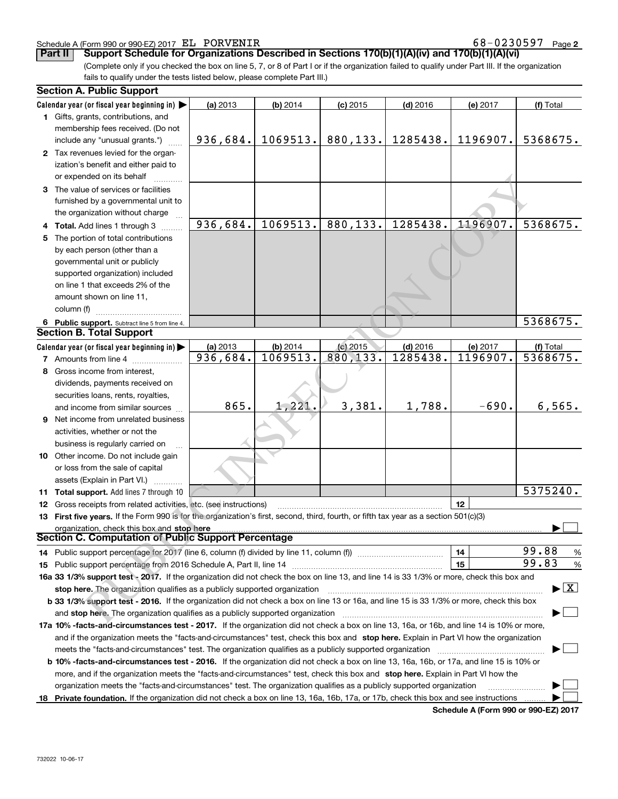## Schedule A (Form 990 or 990-EZ) 2017 Page EL PORVENIR 68-0230597

(Complete only if you checked the box on line 5, 7, or 8 of Part I or if the organization failed to qualify under Part III. If the organization **Part II Support Schedule for Organizations Described in Sections 170(b)(1)(A)(iv) and 170(b)(1)(A)(vi)**

fails to qualify under the tests listed below, please complete Part III.)

|   | <b>Section A. Public Support</b>                                                                                                               |                      |                        |            |                        |                                             |                                 |
|---|------------------------------------------------------------------------------------------------------------------------------------------------|----------------------|------------------------|------------|------------------------|---------------------------------------------|---------------------------------|
|   | Calendar year (or fiscal year beginning in) $\blacktriangleright$                                                                              | (a) 2013             | $(b)$ 2014             | $(c)$ 2015 | $(d)$ 2016             | (e) 2017                                    | (f) Total                       |
|   | <b>1</b> Gifts, grants, contributions, and                                                                                                     |                      |                        |            |                        |                                             |                                 |
|   | membership fees received. (Do not                                                                                                              |                      |                        |            |                        |                                             |                                 |
|   | include any "unusual grants.")                                                                                                                 | 936,684.             | 1069513.               | 880,133.   | 1285438.               | 1196907.                                    | 5368675.                        |
|   | 2 Tax revenues levied for the organ-                                                                                                           |                      |                        |            |                        |                                             |                                 |
|   | ization's benefit and either paid to                                                                                                           |                      |                        |            |                        |                                             |                                 |
|   | or expended on its behalf                                                                                                                      |                      |                        |            |                        |                                             |                                 |
|   | 3 The value of services or facilities                                                                                                          |                      |                        |            |                        |                                             |                                 |
|   | furnished by a governmental unit to                                                                                                            |                      |                        |            |                        |                                             |                                 |
|   | the organization without charge                                                                                                                |                      |                        |            |                        |                                             |                                 |
|   | 4 Total. Add lines 1 through 3                                                                                                                 | 936,684.             | 1069513.               | 880,133.   | 1285438.               | 1196907.                                    | 5368675.                        |
| 5 | The portion of total contributions                                                                                                             |                      |                        |            |                        |                                             |                                 |
|   | by each person (other than a                                                                                                                   |                      |                        |            |                        |                                             |                                 |
|   | governmental unit or publicly                                                                                                                  |                      |                        |            |                        |                                             |                                 |
|   | supported organization) included                                                                                                               |                      |                        |            |                        |                                             |                                 |
|   | on line 1 that exceeds 2% of the                                                                                                               |                      |                        |            |                        |                                             |                                 |
|   | amount shown on line 11,                                                                                                                       |                      |                        |            |                        |                                             |                                 |
|   | column (f)                                                                                                                                     |                      |                        |            |                        |                                             |                                 |
|   |                                                                                                                                                |                      |                        |            |                        |                                             | 5368675.                        |
|   | 6 Public support. Subtract line 5 from line 4.<br><b>Section B. Total Support</b>                                                              |                      |                        |            |                        |                                             |                                 |
|   |                                                                                                                                                |                      |                        | $(c)$ 2015 |                        |                                             |                                 |
|   | Calendar year (or fiscal year beginning in)                                                                                                    | (a) 2013<br>936,684. | $(b)$ 2014<br>1069513. | 880,133.   | $(d)$ 2016<br>1285438. | (e) 2017<br>1196907.                        | (f) Total<br>5368675.           |
|   | <b>7</b> Amounts from line 4                                                                                                                   |                      |                        |            |                        |                                             |                                 |
| 8 | Gross income from interest,                                                                                                                    |                      |                        |            |                        |                                             |                                 |
|   | dividends, payments received on                                                                                                                |                      |                        |            |                        |                                             |                                 |
|   | securities loans, rents, royalties,                                                                                                            | 865.                 | 1,221.                 |            |                        | $-690.$                                     |                                 |
|   | and income from similar sources                                                                                                                |                      |                        | 3,381.     | 1,788.                 |                                             | 6,565.                          |
|   | 9 Net income from unrelated business                                                                                                           |                      |                        |            |                        |                                             |                                 |
|   | activities, whether or not the                                                                                                                 |                      |                        |            |                        |                                             |                                 |
|   | business is regularly carried on                                                                                                               |                      |                        |            |                        |                                             |                                 |
|   | 10 Other income. Do not include gain                                                                                                           |                      |                        |            |                        |                                             |                                 |
|   | or loss from the sale of capital                                                                                                               |                      |                        |            |                        |                                             |                                 |
|   | assets (Explain in Part VI.)                                                                                                                   |                      |                        |            |                        |                                             |                                 |
|   | 11 Total support. Add lines 7 through 10                                                                                                       |                      |                        |            |                        |                                             | 5375240.                        |
|   | 12 Gross receipts from related activities, etc. (see instructions)                                                                             |                      |                        |            |                        | 12                                          |                                 |
|   | 13 First five years. If the Form 990 is for the organization's first, second, third, fourth, or fifth tax year as a section 501(c)(3)          |                      |                        |            |                        |                                             |                                 |
|   | organization, check this box and stop here                                                                                                     |                      |                        |            |                        |                                             |                                 |
|   | <b>Section C. Computation of Public Support Percentage</b>                                                                                     |                      |                        |            |                        |                                             |                                 |
|   | 14 Public support percentage for 2017 (line 6, column (f) divided by line 11, column (f) <i></i>                                               |                      |                        |            |                        | 14                                          | 99.88<br>$\frac{9}{6}$          |
|   |                                                                                                                                                |                      |                        |            |                        | 15                                          | 99.83<br>$\%$                   |
|   | 16a 33 1/3% support test - 2017. If the organization did not check the box on line 13, and line 14 is 33 1/3% or more, check this box and      |                      |                        |            |                        |                                             |                                 |
|   | stop here. The organization qualifies as a publicly supported organization                                                                     |                      |                        |            |                        |                                             | $\blacktriangleright$ $\vert$ X |
|   | b 33 1/3% support test - 2016. If the organization did not check a box on line 13 or 16a, and line 15 is 33 1/3% or more, check this box       |                      |                        |            |                        |                                             |                                 |
|   | and stop here. The organization qualifies as a publicly supported organization [11] [11] [12] [12] [12] [12] [                                 |                      |                        |            |                        |                                             |                                 |
|   | 17a 10% -facts-and-circumstances test - 2017. If the organization did not check a box on line 13, 16a, or 16b, and line 14 is 10% or more,     |                      |                        |            |                        |                                             |                                 |
|   | and if the organization meets the "facts-and-circumstances" test, check this box and stop here. Explain in Part VI how the organization        |                      |                        |            |                        |                                             |                                 |
|   | meets the "facts-and-circumstances" test. The organization qualifies as a publicly supported organization <i>marroummumumum</i>                |                      |                        |            |                        |                                             |                                 |
|   | <b>b 10% -facts-and-circumstances test - 2016.</b> If the organization did not check a box on line 13, 16a, 16b, or 17a, and line 15 is 10% or |                      |                        |            |                        |                                             |                                 |
|   | more, and if the organization meets the "facts-and-circumstances" test, check this box and stop here. Explain in Part VI how the               |                      |                        |            |                        |                                             |                                 |
|   | organization meets the "facts-and-circumstances" test. The organization qualifies as a publicly supported organization                         |                      |                        |            |                        |                                             |                                 |
|   | 18 Private foundation. If the organization did not check a box on line 13, 16a, 16b, 17a, or 17b, check this box and see instructions          |                      |                        |            |                        |                                             |                                 |
|   |                                                                                                                                                |                      |                        |            |                        | <b>Cohodulo A (Form 000 or 000 EZ) 2017</b> |                                 |

**Schedule A (Form 990 or 990-EZ) 2017**

| <b>.</b> |  |
|----------|--|
|          |  |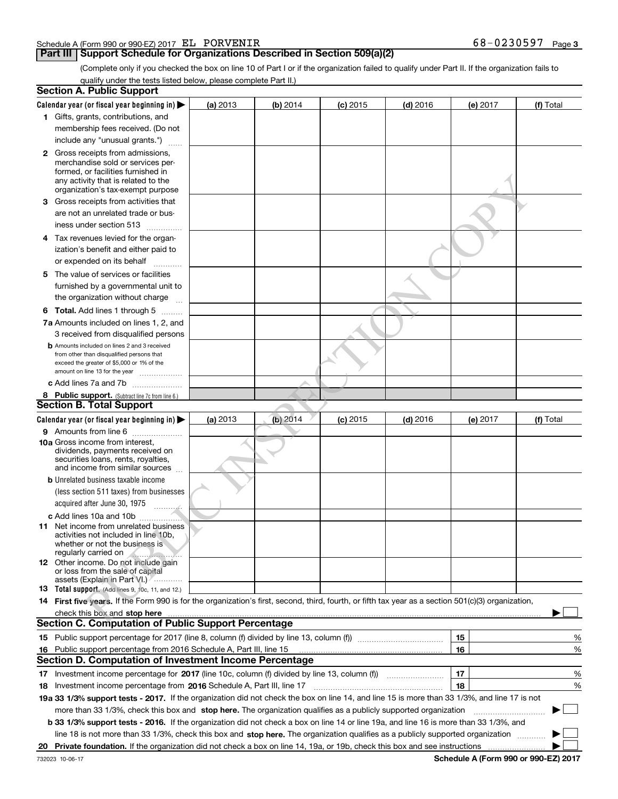|  |  | Schedule A (Form 990 or 990-EZ) 2017 $\,$ EL $\,$ PORVENIR | 68-0230597 | Page 3 |
|--|--|------------------------------------------------------------|------------|--------|
|  |  |                                                            |            |        |

# **Part III** | Support Schedule for Organizations Described in Section 509(a)(2)

(Complete only if you checked the box on line 10 of Part I or if the organization failed to qualify under Part II. If the organization fails to qualify under the tests listed below, please complete Part II.)

|    | <b>Section A. Public Support</b>                                                                                                                                                                                                      |          |          |            |            |          |                                      |
|----|---------------------------------------------------------------------------------------------------------------------------------------------------------------------------------------------------------------------------------------|----------|----------|------------|------------|----------|--------------------------------------|
|    | Calendar year (or fiscal year beginning in) $\blacktriangleright$                                                                                                                                                                     | (a) 2013 | (b) 2014 | $(c)$ 2015 | $(d)$ 2016 | (e) 2017 | (f) Total                            |
|    | 1 Gifts, grants, contributions, and                                                                                                                                                                                                   |          |          |            |            |          |                                      |
|    | membership fees received. (Do not                                                                                                                                                                                                     |          |          |            |            |          |                                      |
|    | include any "unusual grants.")                                                                                                                                                                                                        |          |          |            |            |          |                                      |
|    | <b>2</b> Gross receipts from admissions,                                                                                                                                                                                              |          |          |            |            |          |                                      |
|    | merchandise sold or services per-                                                                                                                                                                                                     |          |          |            |            |          |                                      |
|    | formed, or facilities furnished in                                                                                                                                                                                                    |          |          |            |            |          |                                      |
|    | any activity that is related to the<br>organization's tax-exempt purpose                                                                                                                                                              |          |          |            |            |          |                                      |
|    | 3 Gross receipts from activities that                                                                                                                                                                                                 |          |          |            |            |          |                                      |
|    | are not an unrelated trade or bus-                                                                                                                                                                                                    |          |          |            |            |          |                                      |
|    | iness under section 513                                                                                                                                                                                                               |          |          |            |            |          |                                      |
|    | 4 Tax revenues levied for the organ-                                                                                                                                                                                                  |          |          |            |            |          |                                      |
|    | ization's benefit and either paid to                                                                                                                                                                                                  |          |          |            |            |          |                                      |
|    | or expended on its behalf                                                                                                                                                                                                             |          |          |            |            |          |                                      |
|    | 5 The value of services or facilities                                                                                                                                                                                                 |          |          |            |            |          |                                      |
|    | furnished by a governmental unit to                                                                                                                                                                                                   |          |          |            |            |          |                                      |
|    | the organization without charge                                                                                                                                                                                                       |          |          |            |            |          |                                      |
|    | <b>6 Total.</b> Add lines 1 through 5                                                                                                                                                                                                 |          |          |            |            |          |                                      |
|    | 7a Amounts included on lines 1, 2, and                                                                                                                                                                                                |          |          |            |            |          |                                      |
|    | 3 received from disqualified persons                                                                                                                                                                                                  |          |          |            |            |          |                                      |
|    | <b>b</b> Amounts included on lines 2 and 3 received                                                                                                                                                                                   |          |          |            |            |          |                                      |
|    | from other than disqualified persons that                                                                                                                                                                                             |          |          |            |            |          |                                      |
|    | exceed the greater of \$5,000 or 1% of the<br>amount on line 13 for the year                                                                                                                                                          |          |          |            |            |          |                                      |
|    | c Add lines 7a and 7b                                                                                                                                                                                                                 |          |          |            |            |          |                                      |
|    | 8 Public support. (Subtract line 7c from line 6.)                                                                                                                                                                                     |          |          |            |            |          |                                      |
|    | <b>Section B. Total Support</b>                                                                                                                                                                                                       |          |          |            |            |          |                                      |
|    | Calendar year (or fiscal year beginning in)                                                                                                                                                                                           | (a) 2013 | (b) 2014 | $(c)$ 2015 | $(d)$ 2016 | (e) 2017 | (f) Total                            |
|    | 9 Amounts from line 6                                                                                                                                                                                                                 |          |          |            |            |          |                                      |
|    | <b>10a</b> Gross income from interest,                                                                                                                                                                                                |          |          |            |            |          |                                      |
|    | dividends, payments received on                                                                                                                                                                                                       |          |          |            |            |          |                                      |
|    | securities loans, rents, royalties,<br>and income from similar sources                                                                                                                                                                |          |          |            |            |          |                                      |
|    | <b>b</b> Unrelated business taxable income                                                                                                                                                                                            |          |          |            |            |          |                                      |
|    | (less section 511 taxes) from businesses                                                                                                                                                                                              |          |          |            |            |          |                                      |
|    | acquired after June 30, 1975<br>$\ldots \ldots \mathbb{Z}$                                                                                                                                                                            |          |          |            |            |          |                                      |
|    | <b>c</b> Add lines 10a and 10b                                                                                                                                                                                                        |          |          |            |            |          |                                      |
|    | 11 Net income from unrelated business                                                                                                                                                                                                 |          |          |            |            |          |                                      |
|    | activities not included in line 10b,                                                                                                                                                                                                  |          |          |            |            |          |                                      |
|    | whether or not the business is<br>regularly carried on                                                                                                                                                                                |          |          |            |            |          |                                      |
|    | <b>12</b> Other income. Do not include gain                                                                                                                                                                                           |          |          |            |            |          |                                      |
|    | or loss from the sale of capital                                                                                                                                                                                                      |          |          |            |            |          |                                      |
|    | assets (Explain in Part VI.) <b>Allowan</b>                                                                                                                                                                                           |          |          |            |            |          |                                      |
|    | 13 Total support. (Add lines 9, 10c, 11, and 12.)                                                                                                                                                                                     |          |          |            |            |          |                                      |
|    | 14 First five years. If the Form 990 is for the organization's first, second, third, fourth, or fifth tax year as a section 501(c)(3) organization,                                                                                   |          |          |            |            |          |                                      |
|    | check this box and stop here <i>macuum macuum macuum macuum macuum macuum macuum macuum macuum</i><br><b>Section C. Computation of Public Support Percentage</b>                                                                      |          |          |            |            |          |                                      |
|    |                                                                                                                                                                                                                                       |          |          |            |            | 15       |                                      |
|    | 16 Public support percentage from 2016 Schedule A, Part III, line 15                                                                                                                                                                  |          |          |            |            | 16       | %<br>%                               |
|    | <b>Section D. Computation of Investment Income Percentage</b>                                                                                                                                                                         |          |          |            |            |          |                                      |
|    | 17 Investment income percentage for 2017 (line 10c, column (f) divided by line 13, column (f))                                                                                                                                        |          |          |            |            | 17       | %                                    |
|    |                                                                                                                                                                                                                                       |          |          |            |            | 18       | %                                    |
|    | <b>18</b> Investment income percentage from <b>2016</b> Schedule A, Part III, line 17<br>19a 33 1/3% support tests - 2017. If the organization did not check the box on line 14, and line 15 is more than 33 1/3%, and line 17 is not |          |          |            |            |          |                                      |
|    | more than 33 1/3%, check this box and stop here. The organization qualifies as a publicly supported organization                                                                                                                      |          |          |            |            |          | $\sim$<br>▶                          |
|    | b 33 1/3% support tests - 2016. If the organization did not check a box on line 14 or line 19a, and line 16 is more than 33 1/3%, and                                                                                                 |          |          |            |            |          |                                      |
|    | line 18 is not more than 33 1/3%, check this box and stop here. The organization qualifies as a publicly supported organization                                                                                                       |          |          |            |            |          |                                      |
| 20 | Private foundation. If the organization did not check a box on line 14, 19a, or 19b, check this box and see instructions                                                                                                              |          |          |            |            |          |                                      |
|    | 732023 10-06-17                                                                                                                                                                                                                       |          |          |            |            |          | Schedule A (Form 990 or 990-EZ) 2017 |
|    |                                                                                                                                                                                                                                       |          |          |            |            |          |                                      |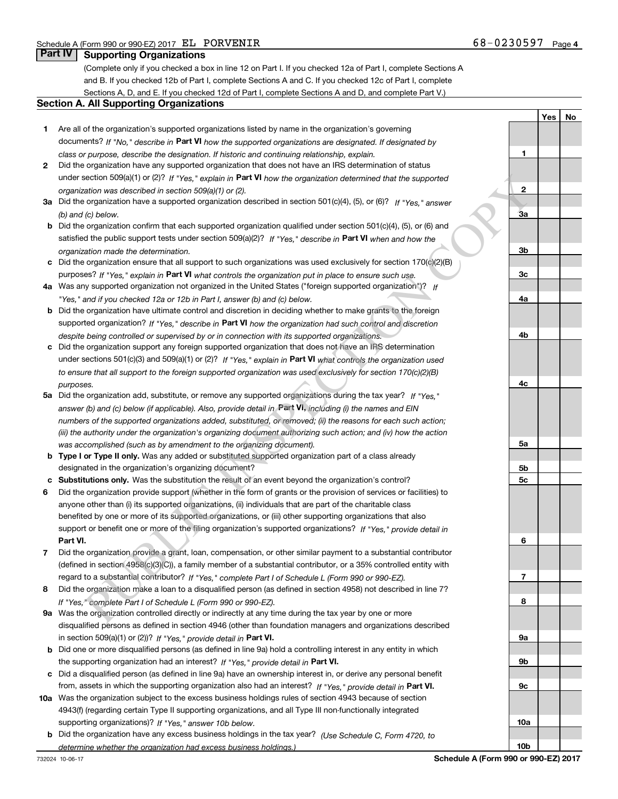**1**

**2**

**3a**

**3b**

**3c**

**4a**

**4b**

**4c**

**5a**

**5b5c**

**6**

**7**

**8**

**9a**

**9b**

**9c**

**10a**

**10b**

**Yes No**

# **Part IV Supporting Organizations**

(Complete only if you checked a box in line 12 on Part I. If you checked 12a of Part I, complete Sections A and B. If you checked 12b of Part I, complete Sections A and C. If you checked 12c of Part I, complete Sections A, D, and E. If you checked 12d of Part I, complete Sections A and D, and complete Part V.)

## **Section A. All Supporting Organizations**

- **1** Are all of the organization's supported organizations listed by name in the organization's governing documents? If "No," describe in **Part VI** how the supported organizations are designated. If designated by *class or purpose, describe the designation. If historic and continuing relationship, explain.*
- **2** Did the organization have any supported organization that does not have an IRS determination of status under section 509(a)(1) or (2)? If "Yes," explain in Part VI how the organization determined that the supported *organization was described in section 509(a)(1) or (2).*
- **3a** Did the organization have a supported organization described in section 501(c)(4), (5), or (6)? If "Yes," answer *(b) and (c) below.*
- **b** Did the organization confirm that each supported organization qualified under section 501(c)(4), (5), or (6) and satisfied the public support tests under section 509(a)(2)? If "Yes," describe in **Part VI** when and how the *organization made the determination.*
- **c** Did the organization ensure that all support to such organizations was used exclusively for section 170(c)(2)(B) purposes? If "Yes," explain in **Part VI** what controls the organization put in place to ensure such use.
- **4a***If* Was any supported organization not organized in the United States ("foreign supported organization")? *"Yes," and if you checked 12a or 12b in Part I, answer (b) and (c) below.*
- **b** Did the organization have ultimate control and discretion in deciding whether to make grants to the foreign supported organization? If "Yes," describe in **Part VI** how the organization had such control and discretion *despite being controlled or supervised by or in connection with its supported organizations.*
- **c** Did the organization support any foreign supported organization that does not have an IRS determination under sections 501(c)(3) and 509(a)(1) or (2)? If "Yes," explain in **Part VI** what controls the organization used *to ensure that all support to the foreign supported organization was used exclusively for section 170(c)(2)(B) purposes.*
- **5a***If "Yes,"* Did the organization add, substitute, or remove any supported organizations during the tax year? answer (b) and (c) below (if applicable). Also, provide detail in Part **VI,** including (i) the names and EIN *numbers of the supported organizations added, substituted, or removed; (ii) the reasons for each such action; (iii) the authority under the organization's organizing document authorizing such action; and (iv) how the action was accomplished (such as by amendment to the organizing document).*
- **b** Type I or Type II only. Was any added or substituted supported organization part of a class already designated in the organization's organizing document?
- **cSubstitutions only.**  Was the substitution the result of an event beyond the organization's control?
- **6** Did the organization provide support (whether in the form of grants or the provision of services or facilities) to **Part VI.** *If "Yes," provide detail in* support or benefit one or more of the filing organization's supported organizations? anyone other than (i) its supported organizations, (ii) individuals that are part of the charitable class benefited by one or more of its supported organizations, or (iii) other supporting organizations that also section 500(a) for *CP* are responsed by or *K* are **C** and the distribution of the matter and the supported or the matter of the content of the subsection of the subsection of the subsection and the subsection and the su
- **7**Did the organization provide a grant, loan, compensation, or other similar payment to a substantial contributor *If "Yes," complete Part I of Schedule L (Form 990 or 990-EZ).* regard to a substantial contributor? (defined in section 4958(c)(3)(C)), a family member of a substantial contributor, or a 35% controlled entity with
- **8** Did the organization make a loan to a disqualified person (as defined in section 4958) not described in line 7? *If "Yes," complete Part I of Schedule L (Form 990 or 990-EZ).*
- **9a** Was the organization controlled directly or indirectly at any time during the tax year by one or more in section 509(a)(1) or (2))? If "Yes," *provide detail in* <code>Part VI.</code> disqualified persons as defined in section 4946 (other than foundation managers and organizations described
- **b** Did one or more disqualified persons (as defined in line 9a) hold a controlling interest in any entity in which the supporting organization had an interest? If "Yes," provide detail in P**art VI**.
- **c**Did a disqualified person (as defined in line 9a) have an ownership interest in, or derive any personal benefit from, assets in which the supporting organization also had an interest? If "Yes," provide detail in P**art VI.**
- **10a** Was the organization subject to the excess business holdings rules of section 4943 because of section supporting organizations)? If "Yes," answer 10b below. 4943(f) (regarding certain Type II supporting organizations, and all Type III non-functionally integrated
- **b** Did the organization have any excess business holdings in the tax year? (Use Schedule C, Form 4720, to *determine whether the organization had excess business holdings.)*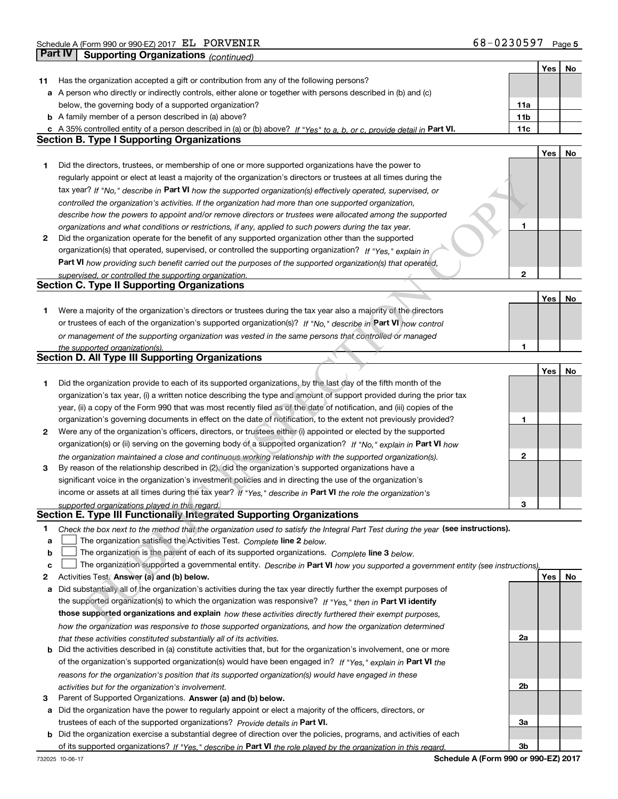|    |                                                                                                                                                                                                                                  |                 | Yes | No |
|----|----------------------------------------------------------------------------------------------------------------------------------------------------------------------------------------------------------------------------------|-----------------|-----|----|
| 11 | Has the organization accepted a gift or contribution from any of the following persons?                                                                                                                                          |                 |     |    |
|    | a A person who directly or indirectly controls, either alone or together with persons described in (b) and (c)                                                                                                                   |                 |     |    |
|    | below, the governing body of a supported organization?                                                                                                                                                                           | 11a             |     |    |
|    | <b>b</b> A family member of a person described in (a) above?                                                                                                                                                                     | 11 <sub>b</sub> |     |    |
|    | c A 35% controlled entity of a person described in (a) or (b) above? If "Yes" to a, b, or c, provide detail in Part VI.                                                                                                          | 11c             |     |    |
|    | <b>Section B. Type I Supporting Organizations</b>                                                                                                                                                                                |                 |     |    |
|    |                                                                                                                                                                                                                                  |                 | Yes | No |
| 1  | Did the directors, trustees, or membership of one or more supported organizations have the power to                                                                                                                              |                 |     |    |
|    | regularly appoint or elect at least a majority of the organization's directors or trustees at all times during the                                                                                                               |                 |     |    |
|    | tax year? If "No," describe in Part VI how the supported organization(s) effectively operated, supervised, or                                                                                                                    |                 |     |    |
|    | controlled the organization's activities. If the organization had more than one supported organization,                                                                                                                          |                 |     |    |
|    |                                                                                                                                                                                                                                  |                 |     |    |
|    | describe how the powers to appoint and/or remove directors or trustees were allocated among the supported                                                                                                                        | 1               |     |    |
| 2  | organizations and what conditions or restrictions, if any, applied to such powers during the tax year.<br>Did the organization operate for the benefit of any supported organization other than the supported                    |                 |     |    |
|    |                                                                                                                                                                                                                                  |                 |     |    |
|    | organization(s) that operated, supervised, or controlled the supporting organization? If "Yes," explain in                                                                                                                       |                 |     |    |
|    | Part VI how providing such benefit carried out the purposes of the supported organization(s) that operated,                                                                                                                      |                 |     |    |
|    | supervised, or controlled the supporting organization.                                                                                                                                                                           | 2               |     |    |
|    | <b>Section C. Type II Supporting Organizations</b>                                                                                                                                                                               |                 |     |    |
|    |                                                                                                                                                                                                                                  |                 | Yes | No |
| 1  | Were a majority of the organization's directors or trustees during the tax year also a majority of the directors                                                                                                                 |                 |     |    |
|    | or trustees of each of the organization's supported organization(s)? If "No," describe in Part VI how control                                                                                                                    |                 |     |    |
|    | or management of the supporting organization was vested in the same persons that controlled or managed                                                                                                                           |                 |     |    |
|    | the supported organization(s).                                                                                                                                                                                                   | 1               |     |    |
|    | <b>Section D. All Type III Supporting Organizations</b>                                                                                                                                                                          |                 |     |    |
|    |                                                                                                                                                                                                                                  |                 | Yes | No |
| 1  | Did the organization provide to each of its supported organizations, by the last day of the fifth month of the                                                                                                                   |                 |     |    |
|    | organization's tax year, (i) a written notice describing the type and amount of support provided during the prior tax                                                                                                            |                 |     |    |
|    | year, (ii) a copy of the Form 990 that was most recently filed as of the date of notification, and (iii) copies of the                                                                                                           |                 |     |    |
|    | organization's governing documents in effect on the date of notification, to the extent not previously provided?                                                                                                                 | 1               |     |    |
| 2  | Were any of the organization's officers, directors, or trustees either (i) appointed or elected by the supported                                                                                                                 |                 |     |    |
|    | organization(s) or (ii) serving on the governing body of a supported organization? If "No," explain in Part VI how                                                                                                               |                 |     |    |
|    | the organization maintained a close and continuous working relationship with the supported organization(s).                                                                                                                      | 2               |     |    |
| з  | By reason of the relationship described in (2), did the organization's supported organizations have a                                                                                                                            |                 |     |    |
|    | significant voice in the organization's investment policies and in directing the use of the organization's                                                                                                                       |                 |     |    |
|    | income or assets at all times during the tax year? If "Yes," describe in Part VI the role the organization's                                                                                                                     |                 |     |    |
|    | supported organizations played in this regard.                                                                                                                                                                                   | 3               |     |    |
|    | Section E. Type III Functionally Integrated Supporting Organizations                                                                                                                                                             |                 |     |    |
| 1  | Check the box next to the method that the organization used to satisfy the Integral Part Test during the year (see instructions).                                                                                                |                 |     |    |
| a  | The organization satisfied the Activities Test. Complete line 2 below.                                                                                                                                                           |                 |     |    |
| b  | The organization is the parent of each of its supported organizations. Complete line 3 below.                                                                                                                                    |                 |     |    |
| c  |                                                                                                                                                                                                                                  |                 |     |    |
| 2  | The organization supported a governmental entity. Describe in Part VI how you supported a government entity (see instructions)<br>Activities Test. Answer (a) and (b) below.                                                     |                 | Yes | No |
|    |                                                                                                                                                                                                                                  |                 |     |    |
| а  | Did substantially all of the organization's activities during the tax year directly further the exempt purposes of<br>the supported organization(s) to which the organization was responsive? If "Yes," then in Part VI identify |                 |     |    |
|    |                                                                                                                                                                                                                                  |                 |     |    |
|    | those supported organizations and explain how these activities directly furthered their exempt purposes,                                                                                                                         |                 |     |    |
|    | how the organization was responsive to those supported organizations, and how the organization determined                                                                                                                        |                 |     |    |
|    | that these activities constituted substantially all of its activities.                                                                                                                                                           | 2a              |     |    |
| b  | Did the activities described in (a) constitute activities that, but for the organization's involvement, one or more                                                                                                              |                 |     |    |
|    | of the organization's supported organization(s) would have been engaged in? If "Yes," explain in Part VI the                                                                                                                     |                 |     |    |
|    | reasons for the organization's position that its supported organization(s) would have engaged in these                                                                                                                           |                 |     |    |
|    | activities but for the organization's involvement.                                                                                                                                                                               | 2 <sub>b</sub>  |     |    |
| з  | Parent of Supported Organizations. Answer (a) and (b) below.                                                                                                                                                                     |                 |     |    |
|    | a Did the organization have the power to regularly appoint or elect a majority of the officers, directors, or                                                                                                                    |                 |     |    |
|    | trustees of each of the supported organizations? Provide details in Part VI.                                                                                                                                                     | За              |     |    |
| b  | Did the organization exercise a substantial degree of direction over the policies, programs, and activities of each                                                                                                              |                 |     |    |
|    | of its supported organizations? If "Yes." describe in Part VI the role played by the organization in this regard.                                                                                                                | 3b              |     |    |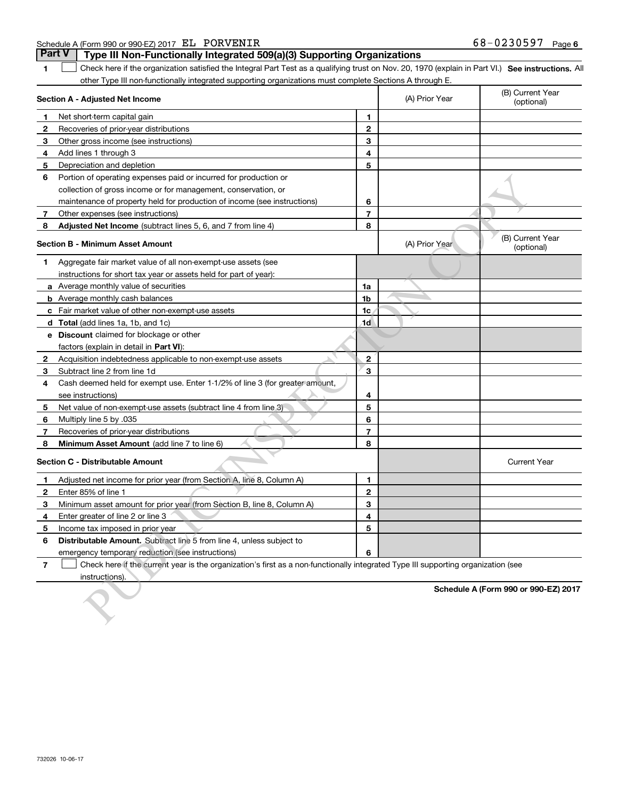| Schedule A (Form 990 or 990-EZ) 2017 EL PORVENIR |  | 68-0230597 | Page 6 |
|--------------------------------------------------|--|------------|--------|
|                                                  |  |            |        |

|              | Part V<br>Type III Non-Functionally Integrated 509(a)(3) Supporting Organizations                                                                 |                |                |                                      |
|--------------|---------------------------------------------------------------------------------------------------------------------------------------------------|----------------|----------------|--------------------------------------|
| 1            | Check here if the organization satisfied the Integral Part Test as a qualifying trust on Nov. 20, 1970 (explain in Part VI.) See instructions. Al |                |                |                                      |
|              | other Type III non-functionally integrated supporting organizations must complete Sections A through E.                                           |                |                |                                      |
|              | Section A - Adjusted Net Income                                                                                                                   |                | (A) Prior Year | (B) Current Year<br>(optional)       |
| -1           | Net short-term capital gain                                                                                                                       | 1.             |                |                                      |
| $\mathbf{2}$ | Recoveries of prior-year distributions                                                                                                            | $\mathbf{2}$   |                |                                      |
| 3            | Other gross income (see instructions)                                                                                                             | 3              |                |                                      |
| 4            | Add lines 1 through 3                                                                                                                             | 4              |                |                                      |
| 5            | Depreciation and depletion                                                                                                                        | 5              |                |                                      |
| 6            | Portion of operating expenses paid or incurred for production or                                                                                  |                |                |                                      |
|              | collection of gross income or for management, conservation, or                                                                                    |                |                |                                      |
|              | maintenance of property held for production of income (see instructions)                                                                          | 6              |                |                                      |
| 7            | Other expenses (see instructions)                                                                                                                 | $\overline{7}$ |                |                                      |
| 8            | Adjusted Net Income (subtract lines 5, 6, and 7 from line 4)                                                                                      | 8              |                |                                      |
|              | Section B - Minimum Asset Amount                                                                                                                  |                | (A) Prior Year | (B) Current Year<br>(optional)       |
| 1            | Aggregate fair market value of all non-exempt-use assets (see                                                                                     |                |                |                                      |
|              | instructions for short tax year or assets held for part of year):                                                                                 |                |                |                                      |
|              | a Average monthly value of securities                                                                                                             | 1a             |                |                                      |
|              | <b>b</b> Average monthly cash balances                                                                                                            | 1b             |                |                                      |
|              | <b>c</b> Fair market value of other non-exempt-use assets                                                                                         | 1c             |                |                                      |
|              | d Total (add lines 1a, 1b, and 1c)                                                                                                                | 1d             |                |                                      |
|              | e Discount claimed for blockage or other                                                                                                          |                |                |                                      |
|              | factors (explain in detail in <b>Part VI</b> ):                                                                                                   |                |                |                                      |
| 2            | Acquisition indebtedness applicable to non-exempt-use assets                                                                                      | $\mathbf{2}$   |                |                                      |
| 3            | Subtract line 2 from line 1d                                                                                                                      | 3              |                |                                      |
| 4            | Cash deemed held for exempt use. Enter 1-1/2% of line 3 (for greater amount,<br>see instructions)                                                 | 4              |                |                                      |
| 5            | Net value of non-exempt-use assets (subtract line 4 from line 3)                                                                                  | 5              |                |                                      |
| 6            | Multiply line 5 by .035                                                                                                                           | 6              |                |                                      |
| 7            | Recoveries of prior-year distributions                                                                                                            | $\overline{7}$ |                |                                      |
| 8            | Minimum Asset Amount (add line 7 to line 6)                                                                                                       | 8              |                |                                      |
|              | <b>Section C - Distributable Amount</b>                                                                                                           |                |                | <b>Current Year</b>                  |
| 1            | Adjusted net income for prior year (from Section A, line 8, Column A)                                                                             | 1              |                |                                      |
| 2            | Enter 85% of line 1                                                                                                                               | 2              |                |                                      |
| 3            | Minimum asset amount for prior year (from Section B, line 8, Column A)                                                                            | 3              |                |                                      |
| 4            | Enter greater of line 2 or line 3                                                                                                                 | 4              |                |                                      |
| 5            | Income tax imposed in prior year                                                                                                                  | 5              |                |                                      |
| 6            | Distributable Amount. Subtract line 5 from line 4, unless subject to                                                                              |                |                |                                      |
|              | emergency temporary reduction (see instructions)                                                                                                  | 6              |                |                                      |
| 7            | Check here if the current year is the organization's first as a non-functionally integrated Type III supporting organization (see                 |                |                |                                      |
|              | instructións).                                                                                                                                    |                |                |                                      |
|              |                                                                                                                                                   |                |                | Schedule A (Form 990 or 990-EZ) 2017 |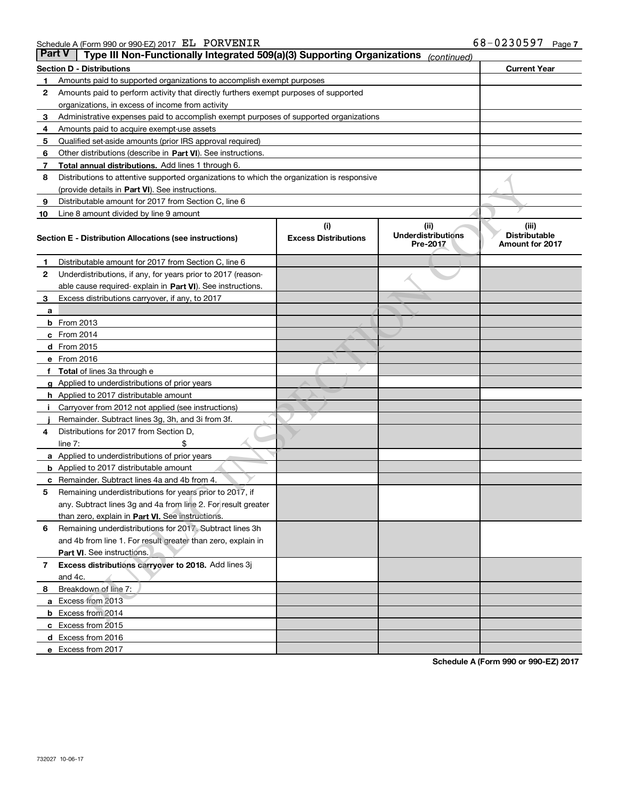| Part V | Type III Non-Functionally Integrated 509(a)(3) Supporting Organizations                    |                                    | (continued)                            |                                                         |
|--------|--------------------------------------------------------------------------------------------|------------------------------------|----------------------------------------|---------------------------------------------------------|
|        | <b>Section D - Distributions</b>                                                           |                                    |                                        | <b>Current Year</b>                                     |
| 1      | Amounts paid to supported organizations to accomplish exempt purposes                      |                                    |                                        |                                                         |
| 2      | Amounts paid to perform activity that directly furthers exempt purposes of supported       |                                    |                                        |                                                         |
|        | organizations, in excess of income from activity                                           |                                    |                                        |                                                         |
| 3      | Administrative expenses paid to accomplish exempt purposes of supported organizations      |                                    |                                        |                                                         |
| 4      | Amounts paid to acquire exempt-use assets                                                  |                                    |                                        |                                                         |
| 5      | Qualified set-aside amounts (prior IRS approval required)                                  |                                    |                                        |                                                         |
| 6      | Other distributions (describe in Part VI). See instructions.                               |                                    |                                        |                                                         |
| 7      | Total annual distributions. Add lines 1 through 6.                                         |                                    |                                        |                                                         |
| 8      | Distributions to attentive supported organizations to which the organization is responsive |                                    |                                        |                                                         |
|        | (provide details in Part VI). See instructions.                                            |                                    |                                        |                                                         |
| 9      | Distributable amount for 2017 from Section C, line 6                                       |                                    |                                        |                                                         |
| 10     | Line 8 amount divided by line 9 amount                                                     |                                    |                                        |                                                         |
|        | <b>Section E - Distribution Allocations (see instructions)</b>                             | (i)<br><b>Excess Distributions</b> | (ii)<br>Underdistributions<br>Pre-2017 | (iii)<br><b>Distributable</b><br><b>Amount for 2017</b> |
| 1      | Distributable amount for 2017 from Section C, line 6                                       |                                    |                                        |                                                         |
| 2      | Underdistributions, if any, for years prior to 2017 (reason-                               |                                    |                                        |                                                         |
|        | able cause required- explain in Part VI). See instructions.                                |                                    |                                        |                                                         |
| 3      | Excess distributions carryover, if any, to 2017                                            |                                    |                                        |                                                         |
| а      |                                                                                            |                                    |                                        |                                                         |
|        | <b>b</b> From 2013                                                                         |                                    |                                        |                                                         |
|        | c From 2014                                                                                |                                    |                                        |                                                         |
|        | d From 2015                                                                                |                                    |                                        |                                                         |
|        | e From 2016                                                                                |                                    |                                        |                                                         |
|        | Total of lines 3a through e                                                                |                                    |                                        |                                                         |
| g      | Applied to underdistributions of prior years                                               |                                    |                                        |                                                         |
|        | h Applied to 2017 distributable amount                                                     |                                    |                                        |                                                         |
|        | Carryover from 2012 not applied (see instructions)                                         |                                    |                                        |                                                         |
|        | Remainder. Subtract lines 3g, 3h, and 3i from 3f.                                          |                                    |                                        |                                                         |
| 4      | Distributions for 2017 from Section D,                                                     |                                    |                                        |                                                         |
|        | line $7:$                                                                                  |                                    |                                        |                                                         |
|        | a Applied to underdistributions of prior years                                             |                                    |                                        |                                                         |
|        | <b>b</b> Applied to 2017 distributable amount                                              |                                    |                                        |                                                         |
|        | c Remainder. Subtract lines 4a and 4b from 4.                                              |                                    |                                        |                                                         |
| 5      | Remaining underdistributions for years prior to 2017, if                                   |                                    |                                        |                                                         |
|        | any. Subtract lines 3g and 4a from line 2. For result greater                              |                                    |                                        |                                                         |
|        | than zero, explain in Part VI. See instructions.                                           |                                    |                                        |                                                         |
| 6      | Remaining underdistributions for 2017. Subtract lines 3h                                   |                                    |                                        |                                                         |
|        | and 4b from line 1. For result greater than zero, explain in                               |                                    |                                        |                                                         |
|        | Part VI. See instructions.                                                                 |                                    |                                        |                                                         |
| 7      | Excess distributions carryover to 2018. Add lines 3j<br>and 4c.                            |                                    |                                        |                                                         |
| 8      | Breakdown of line 7:                                                                       |                                    |                                        |                                                         |
|        | a Excess from 2013                                                                         |                                    |                                        |                                                         |
|        | <b>b</b> Excess from 2014                                                                  |                                    |                                        |                                                         |
|        | c Excess from 2015                                                                         |                                    |                                        |                                                         |
|        | d Excess from 2016                                                                         |                                    |                                        |                                                         |
|        | e Excess from 2017                                                                         |                                    |                                        |                                                         |

**Schedule A (Form 990 or 990-EZ) 2017**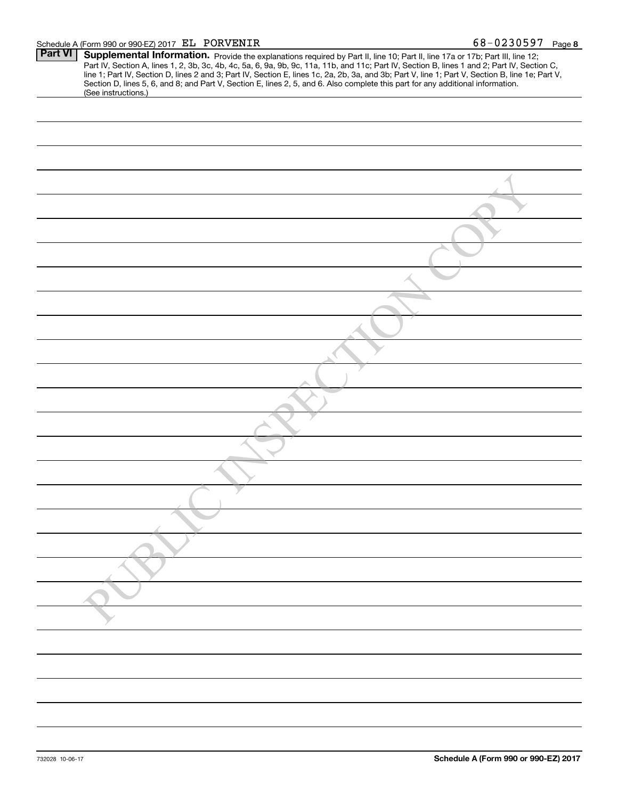### Schedule A (Form 990 or 990-EZ) 2017 Page EL PORVENIR 68-0230597

| Part VI   Supplemental Information. Provide the explanations required by Part II, line 10; Part II, line 17a or 17b; Part III, line 12;          |
|--------------------------------------------------------------------------------------------------------------------------------------------------|
| Part IV, Section A, lines 1, 2, 3b, 3c, 4b, 4c, 5a, 6, 9a, 9b, 9c, 11a, 11b, and 11c; Part IV, Section B, lines 1 and 2; Part IV, Section C,     |
| line 1: Part IV, Section D, lines 2 and 3: Part IV, Section E, lines 1c, 2a, 2b, 3a, and 3b: Part V, line 1: Part V, Section B, line 1e: Part V, |
| Section D, lines 5, 6, and 8; and Part V, Section E, lines 2, 5, and 6. Also complete this part for any additional information.                  |
| (See instructions.)                                                                                                                              |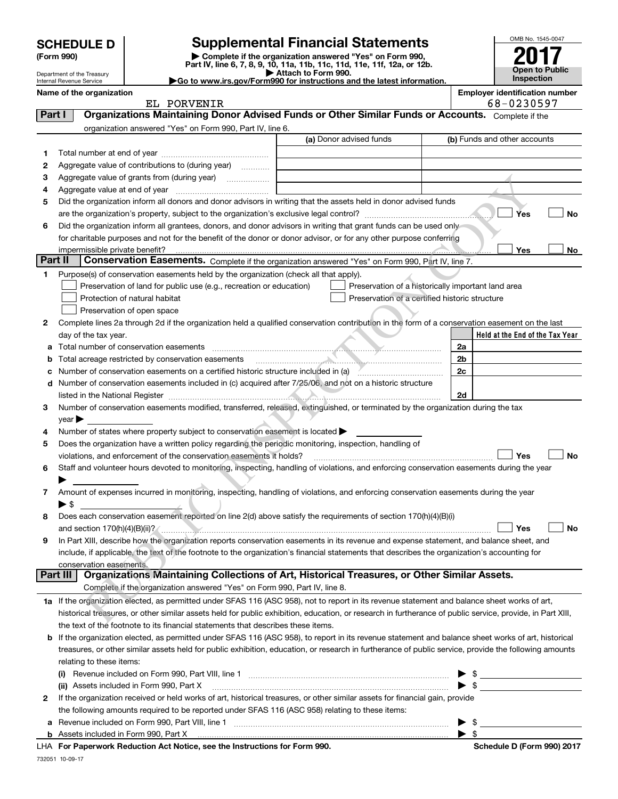Department of the Treasury

# **SCHEDULE D Supplemental Financial Statements**

**(Form 990)** (**Form 990,**<br>Part IV, line 6, 7, 8, 9, 10, 11a, 11b, 11c, 11d, 11e, 11f, 12a, or 12b.<br>Department of the Treasury **and Exercise Connect Connect Connect Connect Connect Connect Connect Connect Connect** 

OMB No. 1545-0047 **Open to Public Inspection2017**

|  | Go to www.irs.gov/Form990 for instructions and the latest information. |  |
|--|------------------------------------------------------------------------|--|
|  |                                                                        |  |

|              | Internal Revenue Service                                                                                                                                                                                                       | $\blacktriangleright$ Go to www.irs.gov/Form990 for instructions and the latest information.                         |  |                                       | 1113DCC11011                    |           |
|--------------|--------------------------------------------------------------------------------------------------------------------------------------------------------------------------------------------------------------------------------|----------------------------------------------------------------------------------------------------------------------|--|---------------------------------------|---------------------------------|-----------|
|              | Name of the organization<br>EL PORVENIR                                                                                                                                                                                        |                                                                                                                      |  | <b>Employer identification number</b> | 68-0230597                      |           |
|              | Organizations Maintaining Donor Advised Funds or Other Similar Funds or Accounts. Complete if the<br>Part I                                                                                                                    |                                                                                                                      |  |                                       |                                 |           |
|              | organization answered "Yes" on Form 990, Part IV, line 6.                                                                                                                                                                      |                                                                                                                      |  |                                       |                                 |           |
|              |                                                                                                                                                                                                                                | (a) Donor advised funds                                                                                              |  | (b) Funds and other accounts          |                                 |           |
| 1            |                                                                                                                                                                                                                                |                                                                                                                      |  |                                       |                                 |           |
| 2            | Aggregate value of contributions to (during year)                                                                                                                                                                              |                                                                                                                      |  |                                       |                                 |           |
| 3            |                                                                                                                                                                                                                                |                                                                                                                      |  |                                       |                                 |           |
| 4            |                                                                                                                                                                                                                                |                                                                                                                      |  |                                       |                                 |           |
| 5            | Did the organization inform all donors and donor advisors in writing that the assets held in donor advised funds                                                                                                               |                                                                                                                      |  |                                       |                                 |           |
|              |                                                                                                                                                                                                                                |                                                                                                                      |  |                                       | Yes                             | No        |
| 6            | Did the organization inform all grantees, donors, and donor advisors in writing that grant funds can be used only                                                                                                              |                                                                                                                      |  |                                       |                                 |           |
|              | for charitable purposes and not for the benefit of the donor or donor advisor, or for any other purpose conferring                                                                                                             |                                                                                                                      |  |                                       |                                 |           |
|              | impermissible private benefit?                                                                                                                                                                                                 |                                                                                                                      |  |                                       | Yes                             | No        |
|              | Part II<br>Conservation Easements. Complete if the organization answered "Yes" on Form 990, Part IV, line 7.                                                                                                                   |                                                                                                                      |  |                                       |                                 |           |
| 1            | Purpose(s) of conservation easements held by the organization (check all that apply).                                                                                                                                          |                                                                                                                      |  |                                       |                                 |           |
|              | Preservation of land for public use (e.g., recreation or education)                                                                                                                                                            | Preservation of a historically important land area                                                                   |  |                                       |                                 |           |
|              | Protection of natural habitat                                                                                                                                                                                                  | Preservation of a certified historic structure                                                                       |  |                                       |                                 |           |
|              | Preservation of open space                                                                                                                                                                                                     |                                                                                                                      |  |                                       |                                 |           |
| $\mathbf{2}$ | Complete lines 2a through 2d if the organization held a qualified conservation contribution in the form of a conservation easement on the last                                                                                 |                                                                                                                      |  |                                       |                                 |           |
|              | day of the tax year.                                                                                                                                                                                                           |                                                                                                                      |  |                                       | Held at the End of the Tax Year |           |
| a            | Total number of conservation easements                                                                                                                                                                                         |                                                                                                                      |  | 2a                                    |                                 |           |
| b            | Total acreage restricted by conservation easements [11] [11] matter and the conservation of the conservation of the conservation of the conservation of the conservation of the conservation of the conservation of the conser |                                                                                                                      |  | 2 <sub>b</sub>                        |                                 |           |
| с            | Number of conservation easements on a certified historic structure included in (a) manufacture included in (a)                                                                                                                 |                                                                                                                      |  | 2c                                    |                                 |           |
| d            | Number of conservation easements included in (c) acquired after 7/25/06, and not on a historic structure                                                                                                                       |                                                                                                                      |  |                                       |                                 |           |
|              | listed in the National Register                                                                                                                                                                                                | <u> 2000 - 2000 - 2000 - 2000 - 2000 - 2000 - 2000 - 2000 - 2000 - 2000 - 2000 - 2000 - 2000 - 2000 - 2000 - 200</u> |  | 2d                                    |                                 |           |
| 3            | Number of conservation easements modified, transferred, released, extinguished, or terminated by the organization during the tax                                                                                               |                                                                                                                      |  |                                       |                                 |           |
|              | $year \triangleright$                                                                                                                                                                                                          |                                                                                                                      |  |                                       |                                 |           |
| 4            | Number of states where property subject to conservation easement is located >                                                                                                                                                  |                                                                                                                      |  |                                       |                                 |           |
| 5            | Does the organization have a written policy regarding the periodic monitoring, inspection, handling of                                                                                                                         |                                                                                                                      |  |                                       |                                 |           |
|              | violations, and enforcement of the conservation easements it holds?                                                                                                                                                            |                                                                                                                      |  |                                       | Yes                             | <b>No</b> |
| 6            | Staff and volunteer hours devoted to monitoring, inspecting, handling of violations, and enforcing conservation easements during the year                                                                                      |                                                                                                                      |  |                                       |                                 |           |
|              |                                                                                                                                                                                                                                |                                                                                                                      |  |                                       |                                 |           |
| 7            | Amount of expenses incurred in monitoring, inspecting, handling of violations, and enforcing conservation easements during the year                                                                                            |                                                                                                                      |  |                                       |                                 |           |
|              | $\blacktriangleright$ \$                                                                                                                                                                                                       |                                                                                                                      |  |                                       |                                 |           |
|              | Does each conservation easement reported on line 2(d) above satisfy the requirements of section 170(h)(4)(B)(i)                                                                                                                |                                                                                                                      |  |                                       |                                 |           |
|              |                                                                                                                                                                                                                                |                                                                                                                      |  |                                       | Yes                             | No        |
| 9            | In Part XIII, describe how the organization reports conservation easements in its revenue and expense statement, and balance sheet, and                                                                                        |                                                                                                                      |  |                                       |                                 |           |
|              | include, if applicable, the text of the footnote to the organization's financial statements that describes the organization's accounting for                                                                                   |                                                                                                                      |  |                                       |                                 |           |
|              | conservation easements.                                                                                                                                                                                                        |                                                                                                                      |  |                                       |                                 |           |
|              | Organizations Maintaining Collections of Art, Historical Treasures, or Other Similar Assets.<br>Part III                                                                                                                       |                                                                                                                      |  |                                       |                                 |           |
|              | Complete if the organization answered "Yes" on Form 990, Part IV, line 8.                                                                                                                                                      |                                                                                                                      |  |                                       |                                 |           |
|              | 1a If the organization elected, as permitted under SFAS 116 (ASC 958), not to report in its revenue statement and balance sheet works of art,                                                                                  |                                                                                                                      |  |                                       |                                 |           |
|              | historical treasures, or other similar assets held for public exhibition, education, or research in furtherance of public service, provide, in Part XIII,                                                                      |                                                                                                                      |  |                                       |                                 |           |
|              | the text of the featurite in its financial otatements that describes these items                                                                                                                                               |                                                                                                                      |  |                                       |                                 |           |

| Does the organization have a written policy regarding the periodic monitoring, inspection, handling of                                    |    |
|-------------------------------------------------------------------------------------------------------------------------------------------|----|
| <b>Yes</b><br>violations, and enforcement of the conservation easements it holds?                                                         | No |
| Staff and volunteer hours devoted to monitoring, inspecting, handling of violations, and enforcing conservation easements during the year |    |

| Amount of expenses incurred in monitoring, inspecting, handling of violations, and enforcing conservation easements during the year |
|-------------------------------------------------------------------------------------------------------------------------------------|

| 8 | Does each conservation easement reported on line 2(d) above satisfy the requirements of section 170(h)(4)(B)(i) |  |
|---|-----------------------------------------------------------------------------------------------------------------|--|
|   | and section $170(h)(4)(B)(ii)?$                                                                                 |  |

| and section $170(h)(4)(B)(ii)?$                                                                                                              | Yes | <b>No</b> |
|----------------------------------------------------------------------------------------------------------------------------------------------|-----|-----------|
| 9 In Part XIII, describe how the organization reports conservation easements in its revenue and expense statement, and balance sheet, and    |     |           |
| include, if applicable, the text of the footnote to the organization's financial statements that describes the organization's accounting for |     |           |
| conservation easements.                                                                                                                      |     |           |

# Complete if the organization answered "Yes" on Form 990, Part IV, line 8. **Part III** | Organizations Maintaining Collections of Art, Historical Treasures, or Other Similar Assets.

| 1a If the organization elected, as permitted under SFAS 116 (ASC 958), not to report in its revenue statement and balance sheet works of art,             |
|-----------------------------------------------------------------------------------------------------------------------------------------------------------|
| historical treasures, or other similar assets held for public exhibition, education, or research in furtherance of public service, provide, in Part XIII. |
| the text of the footnote to its financial statements that describes these items.                                                                          |

| <b>b</b> If the organization elected, as permitted under SFAS 116 (ASC 958), to report in its revenue statement and balance sheet works of art, historical |
|------------------------------------------------------------------------------------------------------------------------------------------------------------|
| treasures, or other similar assets held for public exhibition, education, or research in furtherance of public service, provide the following amounts      |
| relating to these items:                                                                                                                                   |

| UA Ear Denoruark Reduction Act Notice, and the Instructions for Earm 000.                                                                                                                                                      | Cabadula D (Earm 000) 0017                       |
|--------------------------------------------------------------------------------------------------------------------------------------------------------------------------------------------------------------------------------|--------------------------------------------------|
|                                                                                                                                                                                                                                |                                                  |
| a Revenue included on Form 990, Part VIII, line 1                                                                                                                                                                              |                                                  |
| the following amounts required to be reported under SFAS 116 (ASC 958) relating to these items:                                                                                                                                |                                                  |
| 2 If the organization received or held works of art, historical treasures, or other similar assets for financial gain, provide                                                                                                 |                                                  |
| (ii) Assets included in Form 990, Part X [11] matter and the control of the set of the set of the set of the set of the set of the set of the set of the set of the set of the set of the set of the set of the set of the set |                                                  |
| Revenue included on Form 990, Part VIII, line 1<br>(i)                                                                                                                                                                         | the control of the control of the control of the |

**For Paperwork Reduction Act Notice, see the Instructions for Form 990. Schedule D (Form 990) 2017** LHA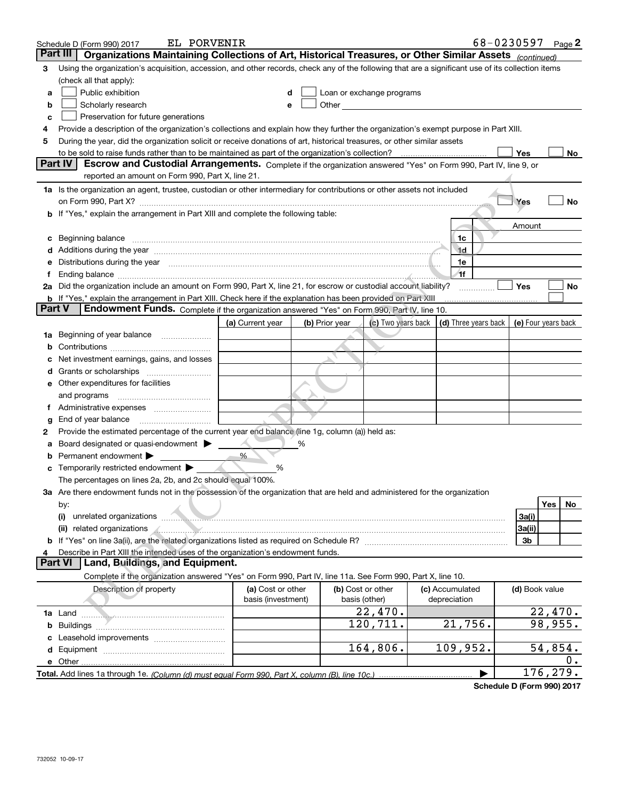|               | EL PORVENIR<br>Schedule D (Form 990) 2017                                                                                                                                                                                     |                                                                                                               |                |                                                                                                                                                                                                                                |                                                                             |   |                | 68-0230597 $_{Page}$ 2 |
|---------------|-------------------------------------------------------------------------------------------------------------------------------------------------------------------------------------------------------------------------------|---------------------------------------------------------------------------------------------------------------|----------------|--------------------------------------------------------------------------------------------------------------------------------------------------------------------------------------------------------------------------------|-----------------------------------------------------------------------------|---|----------------|------------------------|
|               | Part III<br>Organizations Maintaining Collections of Art, Historical Treasures, or Other Similar Assets (continued)                                                                                                           |                                                                                                               |                |                                                                                                                                                                                                                                |                                                                             |   |                |                        |
| 3             | Using the organization's acquisition, accession, and other records, check any of the following that are a significant use of its collection items                                                                             |                                                                                                               |                |                                                                                                                                                                                                                                |                                                                             |   |                |                        |
|               | (check all that apply):                                                                                                                                                                                                       |                                                                                                               |                |                                                                                                                                                                                                                                |                                                                             |   |                |                        |
| a             | Public exhibition                                                                                                                                                                                                             | d                                                                                                             |                | Loan or exchange programs                                                                                                                                                                                                      |                                                                             |   |                |                        |
| b             | Scholarly research                                                                                                                                                                                                            | e                                                                                                             |                | Other the contract of the contract of the contract of the contract of the contract of the contract of the contract of the contract of the contract of the contract of the contract of the contract of the contract of the cont |                                                                             |   |                |                        |
| c             | Preservation for future generations                                                                                                                                                                                           |                                                                                                               |                |                                                                                                                                                                                                                                |                                                                             |   |                |                        |
| 4             | Provide a description of the organization's collections and explain how they further the organization's exempt purpose in Part XIII.                                                                                          |                                                                                                               |                |                                                                                                                                                                                                                                |                                                                             |   |                |                        |
| 5             | During the year, did the organization solicit or receive donations of art, historical treasures, or other similar assets                                                                                                      |                                                                                                               |                |                                                                                                                                                                                                                                |                                                                             |   |                |                        |
|               |                                                                                                                                                                                                                               |                                                                                                               |                |                                                                                                                                                                                                                                |                                                                             |   | Yes            | No                     |
|               | Part IV<br>Escrow and Custodial Arrangements. Complete if the organization answered "Yes" on Form 990, Part IV, line 9, or                                                                                                    |                                                                                                               |                |                                                                                                                                                                                                                                |                                                                             |   |                |                        |
|               | reported an amount on Form 990, Part X, line 21.                                                                                                                                                                              |                                                                                                               |                |                                                                                                                                                                                                                                |                                                                             |   |                |                        |
|               | 1a Is the organization an agent, trustee, custodian or other intermediary for contributions or other assets not included                                                                                                      |                                                                                                               |                |                                                                                                                                                                                                                                |                                                                             |   |                |                        |
|               |                                                                                                                                                                                                                               |                                                                                                               |                |                                                                                                                                                                                                                                |                                                                             |   | Yes            | No                     |
|               | b If "Yes," explain the arrangement in Part XIII and complete the following table:                                                                                                                                            |                                                                                                               |                |                                                                                                                                                                                                                                |                                                                             |   |                |                        |
|               |                                                                                                                                                                                                                               |                                                                                                               |                |                                                                                                                                                                                                                                |                                                                             |   | Amount         |                        |
| c             | Beginning balance                                                                                                                                                                                                             |                                                                                                               |                |                                                                                                                                                                                                                                | 1c                                                                          |   |                |                        |
| d             |                                                                                                                                                                                                                               |                                                                                                               |                |                                                                                                                                                                                                                                | 1d                                                                          |   |                |                        |
| е             | Distributions during the year measurement contains and all the year of the set of the set of the set of the set of the set of the set of the set of the set of the set of the set of the set of the set of the set of the set |                                                                                                               |                |                                                                                                                                                                                                                                | 1е                                                                          |   |                |                        |
| Ť.            |                                                                                                                                                                                                                               |                                                                                                               |                |                                                                                                                                                                                                                                | '1f                                                                         |   |                |                        |
|               | 2a Did the organization include an amount on Form 990, Part X, line 21, for escrow or custodial account liability?                                                                                                            |                                                                                                               |                |                                                                                                                                                                                                                                |                                                                             |   | <b>Yes</b>     | No                     |
|               | <b>b</b> If "Yes," explain the arrangement in Part XIII. Check here if the explanation has been provided on Part XIII                                                                                                         |                                                                                                               |                |                                                                                                                                                                                                                                |                                                                             |   |                |                        |
| <b>Part V</b> | Endowment Funds. Complete if the organization answered "Yes" on Form 990, Part IV, line 10.                                                                                                                                   |                                                                                                               |                |                                                                                                                                                                                                                                |                                                                             |   |                |                        |
|               |                                                                                                                                                                                                                               | (a) Current year                                                                                              | (b) Prior year |                                                                                                                                                                                                                                | (c) Two years back $\vert$ (d) Three years back $\vert$ (e) Four years back |   |                |                        |
|               | 1a Beginning of year balance                                                                                                                                                                                                  |                                                                                                               |                |                                                                                                                                                                                                                                |                                                                             |   |                |                        |
| b             |                                                                                                                                                                                                                               |                                                                                                               |                |                                                                                                                                                                                                                                |                                                                             |   |                |                        |
|               | Net investment earnings, gains, and losses                                                                                                                                                                                    |                                                                                                               |                |                                                                                                                                                                                                                                |                                                                             |   |                |                        |
| d             |                                                                                                                                                                                                                               |                                                                                                               |                |                                                                                                                                                                                                                                |                                                                             |   |                |                        |
|               | <b>e</b> Other expenditures for facilities                                                                                                                                                                                    |                                                                                                               |                |                                                                                                                                                                                                                                |                                                                             |   |                |                        |
|               | and programs                                                                                                                                                                                                                  |                                                                                                               |                |                                                                                                                                                                                                                                |                                                                             |   |                |                        |
| Ť.            |                                                                                                                                                                                                                               |                                                                                                               |                |                                                                                                                                                                                                                                |                                                                             |   |                |                        |
| g             | End of year balance                                                                                                                                                                                                           |                                                                                                               |                |                                                                                                                                                                                                                                |                                                                             |   |                |                        |
| 2             | Provide the estimated percentage of the current year end balance (line 1g, column (a)) held as:                                                                                                                               |                                                                                                               |                |                                                                                                                                                                                                                                |                                                                             |   |                |                        |
| а             | Board designated or quasi-endowment >                                                                                                                                                                                         |                                                                                                               | %              |                                                                                                                                                                                                                                |                                                                             |   |                |                        |
| b             | Permanent endowment                                                                                                                                                                                                           | %                                                                                                             |                |                                                                                                                                                                                                                                |                                                                             |   |                |                        |
| с             | Temporarily restricted endowment                                                                                                                                                                                              | %                                                                                                             |                |                                                                                                                                                                                                                                |                                                                             |   |                |                        |
|               | The percentages on lines 2a, 2b, and 2c should equal 100%.                                                                                                                                                                    |                                                                                                               |                |                                                                                                                                                                                                                                |                                                                             |   |                |                        |
|               | 3a Are there endowment funds not in the possession of the organization that are held and administered for the organization                                                                                                    |                                                                                                               |                |                                                                                                                                                                                                                                |                                                                             |   |                |                        |
|               | by:                                                                                                                                                                                                                           |                                                                                                               |                |                                                                                                                                                                                                                                |                                                                             |   |                | Yes<br>No              |
|               | unrelated organizations<br>(i)                                                                                                                                                                                                |                                                                                                               |                |                                                                                                                                                                                                                                |                                                                             |   | 3a(i)          |                        |
|               | related organizations<br>(ii)                                                                                                                                                                                                 | <u> 1998 - Januari Sammann, mars ann an coimeann ann an coimeann ann an coimeann ann an coimeann ann an c</u> |                |                                                                                                                                                                                                                                |                                                                             |   | 3a(ii)         |                        |
|               |                                                                                                                                                                                                                               |                                                                                                               |                |                                                                                                                                                                                                                                |                                                                             |   | 3b             |                        |
|               | Describe in Part XIII the intended uses of the organization's endowment funds.                                                                                                                                                |                                                                                                               |                |                                                                                                                                                                                                                                |                                                                             |   |                |                        |
|               | Land, Buildings, and Equipment.<br><b>Part VI</b>                                                                                                                                                                             |                                                                                                               |                |                                                                                                                                                                                                                                |                                                                             |   |                |                        |
|               | Complete if the organization answered "Yes" on Form 990, Part IV, line 11a. See Form 990, Part X, line 10.                                                                                                                    |                                                                                                               |                |                                                                                                                                                                                                                                |                                                                             |   |                |                        |
|               | Description of property                                                                                                                                                                                                       | (a) Cost or other                                                                                             |                | (b) Cost or other                                                                                                                                                                                                              | (c) Accumulated                                                             |   | (d) Book value |                        |
|               |                                                                                                                                                                                                                               | basis (investment)                                                                                            |                | basis (other)                                                                                                                                                                                                                  | depreciation                                                                |   |                |                        |
|               |                                                                                                                                                                                                                               |                                                                                                               |                | $\overline{22}$ , 470.                                                                                                                                                                                                         |                                                                             |   |                | 22,470.                |
|               |                                                                                                                                                                                                                               |                                                                                                               |                | 120, 711.                                                                                                                                                                                                                      | 21,756.                                                                     |   |                | 98,955.                |
|               |                                                                                                                                                                                                                               |                                                                                                               |                |                                                                                                                                                                                                                                |                                                                             |   |                |                        |
|               |                                                                                                                                                                                                                               |                                                                                                               |                | 164,806.                                                                                                                                                                                                                       | 109, 952.                                                                   |   |                | 54,854.                |
|               |                                                                                                                                                                                                                               |                                                                                                               |                |                                                                                                                                                                                                                                |                                                                             |   |                | $0$ .                  |
|               |                                                                                                                                                                                                                               |                                                                                                               |                |                                                                                                                                                                                                                                |                                                                             | ▶ |                | 176, 279.              |

**Schedule D (Form 990) 2017**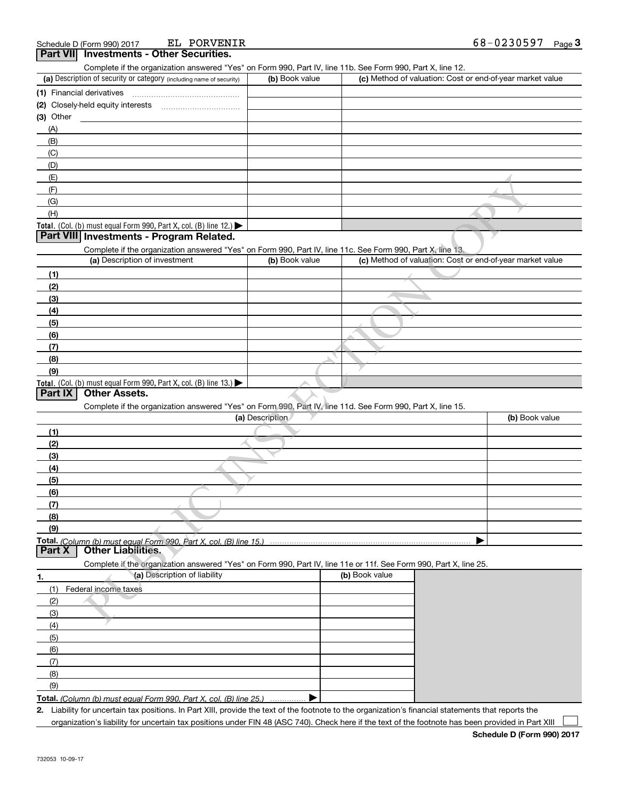| EL PORVENIR<br>Schedule D (Form 990) 2017                                                                                                                                                                                  |                 |                                                           | 68-0230597<br>$Page$ <sup>3</sup> |
|----------------------------------------------------------------------------------------------------------------------------------------------------------------------------------------------------------------------------|-----------------|-----------------------------------------------------------|-----------------------------------|
| Part VII Investments - Other Securities.                                                                                                                                                                                   |                 |                                                           |                                   |
| Complete if the organization answered "Yes" on Form 990, Part IV, line 11b. See Form 990, Part X, line 12.                                                                                                                 |                 |                                                           |                                   |
| (a) Description of security or category (including name of security)                                                                                                                                                       | (b) Book value  | (c) Method of valuation: Cost or end-of-year market value |                                   |
|                                                                                                                                                                                                                            |                 |                                                           |                                   |
| (2) Closely-held equity interests [11] [2] Closely-held equity interests                                                                                                                                                   |                 |                                                           |                                   |
| $(3)$ Other                                                                                                                                                                                                                |                 |                                                           |                                   |
| (A)                                                                                                                                                                                                                        |                 |                                                           |                                   |
| (B)                                                                                                                                                                                                                        |                 |                                                           |                                   |
| (C)                                                                                                                                                                                                                        |                 |                                                           |                                   |
| (D)                                                                                                                                                                                                                        |                 |                                                           |                                   |
| (E)                                                                                                                                                                                                                        |                 |                                                           |                                   |
| (F)                                                                                                                                                                                                                        |                 |                                                           |                                   |
| (G)                                                                                                                                                                                                                        |                 |                                                           |                                   |
| (H)                                                                                                                                                                                                                        |                 |                                                           |                                   |
| Total. (Col. (b) must equal Form 990, Part X, col. (B) line 12.) $\blacktriangleright$                                                                                                                                     |                 |                                                           |                                   |
| Part VIII Investments - Program Related.                                                                                                                                                                                   |                 |                                                           |                                   |
| Complete if the organization answered "Yes" on Form 990, Part IV, line 11c. See Form 990, Part X, line 13.                                                                                                                 |                 |                                                           |                                   |
| (a) Description of investment                                                                                                                                                                                              | (b) Book value  | (c) Method of valuation: Cost or end-of-year market value |                                   |
| (1)                                                                                                                                                                                                                        |                 |                                                           |                                   |
| (2)                                                                                                                                                                                                                        |                 |                                                           |                                   |
| (3)                                                                                                                                                                                                                        |                 |                                                           |                                   |
| (4)                                                                                                                                                                                                                        |                 |                                                           |                                   |
| (5)                                                                                                                                                                                                                        |                 |                                                           |                                   |
| (6)                                                                                                                                                                                                                        |                 |                                                           |                                   |
| (7)                                                                                                                                                                                                                        |                 |                                                           |                                   |
|                                                                                                                                                                                                                            |                 |                                                           |                                   |
| (8)                                                                                                                                                                                                                        |                 |                                                           |                                   |
| (9)                                                                                                                                                                                                                        |                 |                                                           |                                   |
| Total. (Col. (b) must equal Form 990, Part X, col. (B) line $13.$ )<br><b>Other Assets.</b><br>Part IX                                                                                                                     |                 |                                                           |                                   |
|                                                                                                                                                                                                                            |                 |                                                           |                                   |
| Complete if the organization answered "Yes" on Form 990, Part IV, line 11d. See Form 990, Part X, line 15.                                                                                                                 | (a) Description |                                                           | (b) Book value                    |
|                                                                                                                                                                                                                            |                 |                                                           |                                   |
| (1)                                                                                                                                                                                                                        |                 |                                                           |                                   |
| (2)                                                                                                                                                                                                                        |                 |                                                           |                                   |
| (3)                                                                                                                                                                                                                        |                 |                                                           |                                   |
| (4)                                                                                                                                                                                                                        |                 |                                                           |                                   |
| (5)                                                                                                                                                                                                                        |                 |                                                           |                                   |
| (6)                                                                                                                                                                                                                        |                 |                                                           |                                   |
| (7)                                                                                                                                                                                                                        |                 |                                                           |                                   |
| (8)                                                                                                                                                                                                                        |                 |                                                           |                                   |
| (9)                                                                                                                                                                                                                        |                 |                                                           |                                   |
|                                                                                                                                                                                                                            |                 |                                                           |                                   |
| <b>Other Liabilities.</b><br>Part X                                                                                                                                                                                        |                 |                                                           |                                   |
| Complete if the organization answered "Yes" on Form 990, Part IV, line 11e or 11f. See Form 990, Part X, line 25.                                                                                                          |                 |                                                           |                                   |
| (a) Description of liability<br>1.                                                                                                                                                                                         |                 | (b) Book value                                            |                                   |
| (1)<br>Federal income taxes                                                                                                                                                                                                |                 |                                                           |                                   |
| (2)                                                                                                                                                                                                                        |                 |                                                           |                                   |
| (3)                                                                                                                                                                                                                        |                 |                                                           |                                   |
| (4)                                                                                                                                                                                                                        |                 |                                                           |                                   |
| (5)                                                                                                                                                                                                                        |                 |                                                           |                                   |
| (6)                                                                                                                                                                                                                        |                 |                                                           |                                   |
| (7)                                                                                                                                                                                                                        |                 |                                                           |                                   |
| (8)                                                                                                                                                                                                                        |                 |                                                           |                                   |
| (9)                                                                                                                                                                                                                        |                 |                                                           |                                   |
|                                                                                                                                                                                                                            |                 |                                                           |                                   |
| Total. (Column (b) must equal Form 990, Part X, col. (B) line 25.)<br>2. Liability for uncertain tax positions. In Part XIII, provide the text of the footnote to the organization's financial statements that reports the |                 |                                                           |                                   |

organization's liability for uncertain tax positions under FIN 48 (ASC 740). Check here if the text of the footnote has been provided in Part XIII

 $\mathcal{L}^{\text{max}}$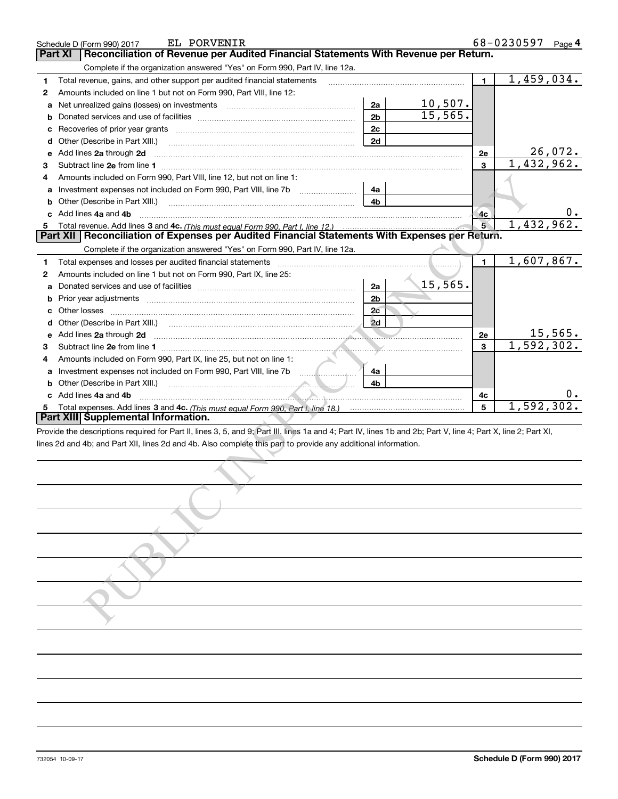|   | EL PORVENIR<br>Schedule D (Form 990) 2017                                                                                                                                                                                                                                        |                |                         |                | 68-0230597              | Page 4  |
|---|----------------------------------------------------------------------------------------------------------------------------------------------------------------------------------------------------------------------------------------------------------------------------------|----------------|-------------------------|----------------|-------------------------|---------|
|   | Reconciliation of Revenue per Audited Financial Statements With Revenue per Return.<br>Part XI                                                                                                                                                                                   |                |                         |                |                         |         |
|   | Complete if the organization answered "Yes" on Form 990, Part IV, line 12a.                                                                                                                                                                                                      |                |                         |                |                         |         |
| 1 | Total revenue, gains, and other support per audited financial statements                                                                                                                                                                                                         |                |                         | $\blacksquare$ | 1,459,034.              |         |
| 2 | Amounts included on line 1 but not on Form 990, Part VIII, line 12:                                                                                                                                                                                                              |                |                         |                |                         |         |
| а | Net unrealized gains (losses) on investments www.community.com/                                                                                                                                                                                                                  | 2a             | $\frac{10,507}{15,565}$ |                |                         |         |
| b |                                                                                                                                                                                                                                                                                  | 2 <sub>b</sub> |                         |                |                         |         |
| с |                                                                                                                                                                                                                                                                                  | 2c             |                         |                |                         |         |
| d | Other (Describe in Part XIII.)                                                                                                                                                                                                                                                   | 2d             |                         |                |                         |         |
| е | Add lines 2a through 2d                                                                                                                                                                                                                                                          |                |                         | 2e             |                         | 26,072. |
| з |                                                                                                                                                                                                                                                                                  |                |                         | 3              | $\overline{1,432,962.}$ |         |
|   | Amounts included on Form 990, Part VIII, line 12, but not on line 1:                                                                                                                                                                                                             |                |                         |                |                         |         |
| a | Investment expenses not included on Form 990, Part VIII, line 7b                                                                                                                                                                                                                 | 4a             |                         |                |                         |         |
| b |                                                                                                                                                                                                                                                                                  | 4b             |                         |                |                         |         |
|   | Add lines 4a and 4b                                                                                                                                                                                                                                                              |                |                         | 4c             |                         | 0.      |
|   |                                                                                                                                                                                                                                                                                  |                |                         |                | 1,432,962.              |         |
|   | Part XII   Reconciliation of Expenses per Audited Financial Statements With Expenses per Return.                                                                                                                                                                                 |                |                         |                |                         |         |
|   | Complete if the organization answered "Yes" on Form 990, Part IV, line 12a.                                                                                                                                                                                                      |                |                         |                |                         |         |
| 1 | Total expenses and losses per audited financial statements [111] [11] [11] Total expenses and losses per audited financial statements [11] [11] [11] Total expenses and losses                                                                                                   |                |                         | $\mathbf{1}$   | 1,607,867.              |         |
| 2 | Amounts included on line 1 but not on Form 990, Part IX, line 25:                                                                                                                                                                                                                |                |                         |                |                         |         |
| a |                                                                                                                                                                                                                                                                                  | 2a             | 15,565.                 |                |                         |         |
| b |                                                                                                                                                                                                                                                                                  | 2 <sub>b</sub> |                         |                |                         |         |
|   | Other losses                                                                                                                                                                                                                                                                     | 2c             |                         |                |                         |         |
| d |                                                                                                                                                                                                                                                                                  | 2d             |                         |                |                         |         |
| е | Add lines 2a through 2d                                                                                                                                                                                                                                                          |                |                         | 2e             |                         | 15,565. |
| з |                                                                                                                                                                                                                                                                                  |                |                         | 3              | 1,592,302.              |         |
|   | Amounts included on Form 990, Part IX, line 25, but not on line 1:                                                                                                                                                                                                               |                |                         |                |                         |         |
| a | Investment expenses not included on Form 990, Part VIII, line 7b<br>.                                                                                                                                                                                                            | 4a             |                         |                |                         |         |
| b |                                                                                                                                                                                                                                                                                  | 4b             |                         |                |                         |         |
|   | Add lines 4a and 4b                                                                                                                                                                                                                                                              |                |                         | 4c             |                         |         |
|   |                                                                                                                                                                                                                                                                                  |                |                         | 5              | 1,592,302.              |         |
|   | Part XIII Supplemental Information.                                                                                                                                                                                                                                              |                |                         |                |                         |         |
|   | Provide the descriptions required for Part II, lines 3, 5, and 9; Part III, lines 1a and 4; Part IV, lines 1b and 2b; Part V, line 4; Part X, line 2; Part XI,<br>lines 2d and 4b; and Part XII, lines 2d and 4b. Also complete this part to provide any additional information. |                |                         |                |                         |         |
|   |                                                                                                                                                                                                                                                                                  |                |                         |                |                         |         |
|   |                                                                                                                                                                                                                                                                                  |                |                         |                |                         |         |
|   |                                                                                                                                                                                                                                                                                  |                |                         |                |                         |         |
|   |                                                                                                                                                                                                                                                                                  |                |                         |                |                         |         |
|   |                                                                                                                                                                                                                                                                                  |                |                         |                |                         |         |
|   |                                                                                                                                                                                                                                                                                  |                |                         |                |                         |         |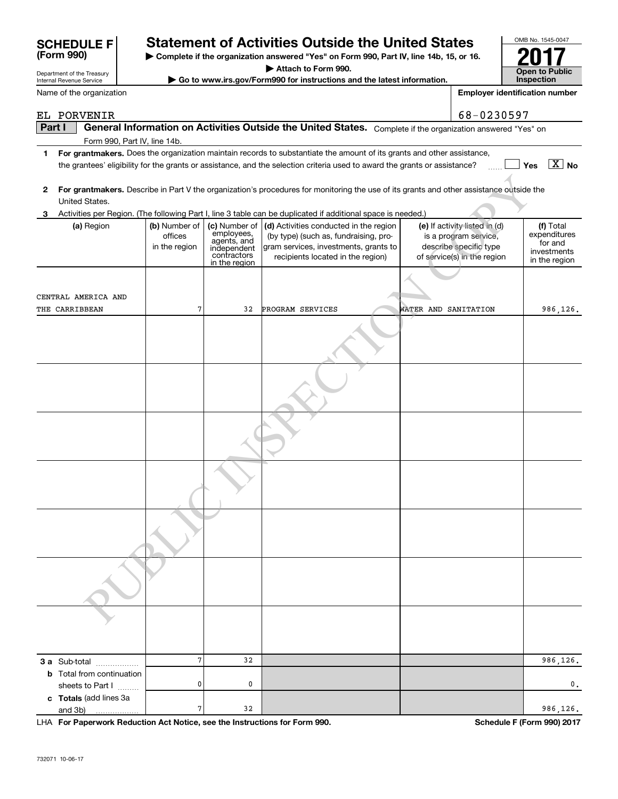|        | Name of the organization                                 |                          |                            |                                                                                                                                         |                      | <b>Employer identification number</b>           |                              |
|--------|----------------------------------------------------------|--------------------------|----------------------------|-----------------------------------------------------------------------------------------------------------------------------------------|----------------------|-------------------------------------------------|------------------------------|
|        | EL PORVENIR                                              |                          |                            |                                                                                                                                         |                      | 68-0230597                                      |                              |
| Part I |                                                          |                          |                            | General Information on Activities Outside the United States. Complete if the organization answered "Yes" on                             |                      |                                                 |                              |
|        | Form 990, Part IV, line 14b.                             |                          |                            |                                                                                                                                         |                      |                                                 |                              |
| 1.     |                                                          |                          |                            | For grantmakers. Does the organization maintain records to substantiate the amount of its grants and other assistance,                  |                      |                                                 |                              |
|        |                                                          |                          |                            | the grantees' eligibility for the grants or assistance, and the selection criteria used to award the grants or assistance?              |                      |                                                 | $\boxed{\text{X}}$ No<br>Yes |
| 2      |                                                          |                          |                            | For grantmakers. Describe in Part V the organization's procedures for monitoring the use of its grants and other assistance outside the |                      |                                                 |                              |
|        | United States.                                           |                          |                            |                                                                                                                                         |                      |                                                 |                              |
| 3.     |                                                          |                          |                            | Activities per Region. (The following Part I, line 3 table can be duplicated if additional space is needed.)                            |                      |                                                 |                              |
|        | (a) Region                                               | (b) Number of            | (c) Number of              | (d) Activities conducted in the region                                                                                                  |                      | (e) If activity listed in (d)                   | (f) Total<br>expenditures    |
|        |                                                          | offices<br>in the region | employees,<br>agents, and  | (by type) (such as, fundraising, pro-<br>gram services, investments, grants to                                                          |                      | is a program service,<br>describe specific type | for and                      |
|        |                                                          |                          | independent<br>contractors | recipients located in the region)                                                                                                       |                      | of service(s) in the region                     | investments<br>in the region |
|        |                                                          |                          | in the region              |                                                                                                                                         |                      |                                                 |                              |
|        |                                                          |                          |                            |                                                                                                                                         |                      |                                                 |                              |
|        | CENTRAL AMERICA AND                                      |                          |                            |                                                                                                                                         |                      |                                                 |                              |
|        | THE CARRIBBEAN                                           | 7                        | 32                         | PROGRAM SERVICES                                                                                                                        | WATER AND SANITATION |                                                 | 986,126.                     |
|        |                                                          |                          |                            |                                                                                                                                         |                      |                                                 |                              |
|        |                                                          |                          |                            |                                                                                                                                         |                      |                                                 |                              |
|        |                                                          |                          |                            |                                                                                                                                         |                      |                                                 |                              |
|        |                                                          |                          |                            |                                                                                                                                         |                      |                                                 |                              |
|        |                                                          |                          |                            |                                                                                                                                         |                      |                                                 |                              |
|        |                                                          |                          |                            |                                                                                                                                         |                      |                                                 |                              |
|        |                                                          |                          |                            |                                                                                                                                         |                      |                                                 |                              |
|        |                                                          |                          |                            |                                                                                                                                         |                      |                                                 |                              |
|        |                                                          |                          |                            |                                                                                                                                         |                      |                                                 |                              |
|        |                                                          |                          |                            |                                                                                                                                         |                      |                                                 |                              |
|        |                                                          |                          |                            |                                                                                                                                         |                      |                                                 |                              |
|        |                                                          |                          |                            |                                                                                                                                         |                      |                                                 |                              |
|        |                                                          |                          |                            |                                                                                                                                         |                      |                                                 |                              |
|        |                                                          |                          |                            |                                                                                                                                         |                      |                                                 |                              |
|        |                                                          |                          |                            |                                                                                                                                         |                      |                                                 |                              |
|        |                                                          |                          |                            |                                                                                                                                         |                      |                                                 |                              |
|        |                                                          |                          |                            |                                                                                                                                         |                      |                                                 |                              |
|        |                                                          |                          |                            |                                                                                                                                         |                      |                                                 |                              |
|        |                                                          |                          |                            |                                                                                                                                         |                      |                                                 |                              |
|        |                                                          |                          |                            |                                                                                                                                         |                      |                                                 |                              |
|        |                                                          |                          |                            |                                                                                                                                         |                      |                                                 |                              |
|        |                                                          |                          |                            |                                                                                                                                         |                      |                                                 |                              |
|        |                                                          |                          |                            |                                                                                                                                         |                      |                                                 |                              |
|        |                                                          | 7                        | 32                         |                                                                                                                                         |                      |                                                 | 986,126.                     |
|        | <b>3 a</b> Sub-total<br><b>b</b> Total from continuation |                          |                            |                                                                                                                                         |                      |                                                 |                              |
|        | sheets to Part I                                         | 0                        | 0                          |                                                                                                                                         |                      |                                                 | 0.                           |
|        | c Totals (add lines 3a                                   |                          |                            |                                                                                                                                         |                      |                                                 |                              |
|        | and 3b)                                                  | 7                        | 32                         |                                                                                                                                         |                      |                                                 | 986,126.                     |

**| Complete if the organization answered "Yes" on Form 990, Part IV, line 14b, 15, or 16. | Attach to Form 990. | Go to www.irs.gov/Form990 for instructions and the latest information.**

**Statement of Activities Outside the United States** 

**For Paperwork Reduction Act Notice, see the Instructions for Form 990. Schedule F (Form 990) 2017** and 3b) LHA

OMB No. 1545-0047

**2017**

**Open to Public Inspection**

Department of the Treasury Internal Revenue Service

**(Form 990)**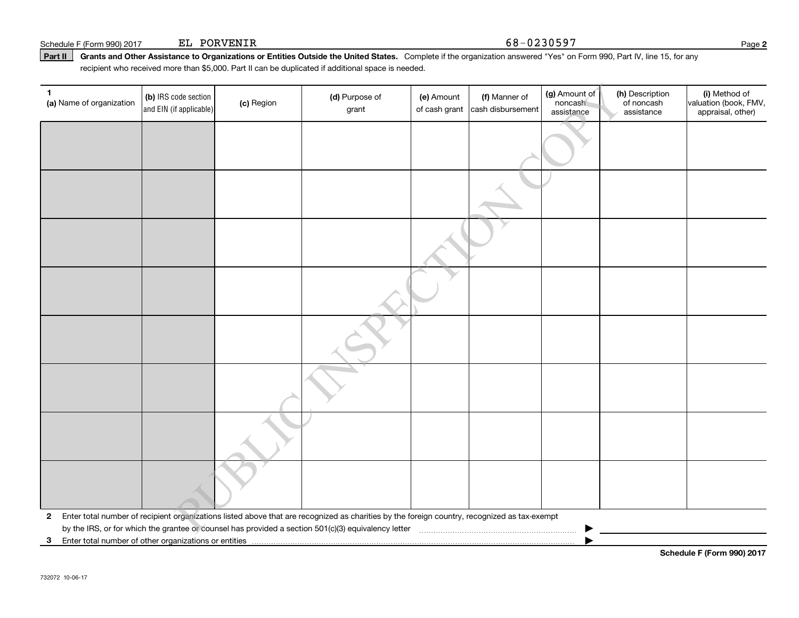| Schedule F (Form 990) 2017    | EL PORVENIR                                     |            |                                                                                                                                                                                                                                                                              |                             | 68-0230597                         |                                        |                                             | Page                                                       |
|-------------------------------|-------------------------------------------------|------------|------------------------------------------------------------------------------------------------------------------------------------------------------------------------------------------------------------------------------------------------------------------------------|-----------------------------|------------------------------------|----------------------------------------|---------------------------------------------|------------------------------------------------------------|
| Part II                       |                                                 |            | Grants and Other Assistance to Organizations or Entities Outside the United States. Complete if the organization answered "Yes" on Form 990, Part IV, line 15, for any<br>recipient who received more than \$5,000. Part II can be duplicated if additional space is needed. |                             |                                    |                                        |                                             |                                                            |
| 1<br>(a) Name of organization | (b) IRS code section<br>and EIN (if applicable) | (c) Region | (d) Purpose of<br>grant                                                                                                                                                                                                                                                      | (e) Amount<br>of cash grant | (f) Manner of<br>cash disbursement | (g) Amount of<br>noncash<br>assistance | (h) Description<br>of noncash<br>assistance | (i) Method of<br>valuation (book, FMV<br>appraisal, other) |
|                               |                                                 |            |                                                                                                                                                                                                                                                                              |                             |                                    |                                        |                                             |                                                            |
|                               |                                                 |            |                                                                                                                                                                                                                                                                              |                             |                                    |                                        |                                             |                                                            |
|                               |                                                 |            |                                                                                                                                                                                                                                                                              |                             |                                    |                                        |                                             |                                                            |
|                               |                                                 |            |                                                                                                                                                                                                                                                                              |                             |                                    |                                        |                                             |                                                            |
|                               |                                                 |            |                                                                                                                                                                                                                                                                              |                             |                                    |                                        |                                             |                                                            |
|                               |                                                 |            |                                                                                                                                                                                                                                                                              |                             |                                    |                                        |                                             |                                                            |
|                               |                                                 |            |                                                                                                                                                                                                                                                                              |                             |                                    |                                        |                                             |                                                            |
|                               |                                                 |            |                                                                                                                                                                                                                                                                              |                             |                                    |                                        |                                             |                                                            |

**2**Enter total number of recipient organizations listed above that are recognized as charities by the foreign country, recognized as tax-exempt by the IRS, or for which the grantee or counsel has provided a section 501(c)(3) equivalency letter ~~~~~~~~~~~~~~~~~~~~~~ <sup>|</sup>

**3** Enter total number of other organizations or entities **<b>Multiple Constructs** Constructs of the construction of the construction of the construction of the construction of the construction of the construction of the con

**Schedule F (Form 990) 2017**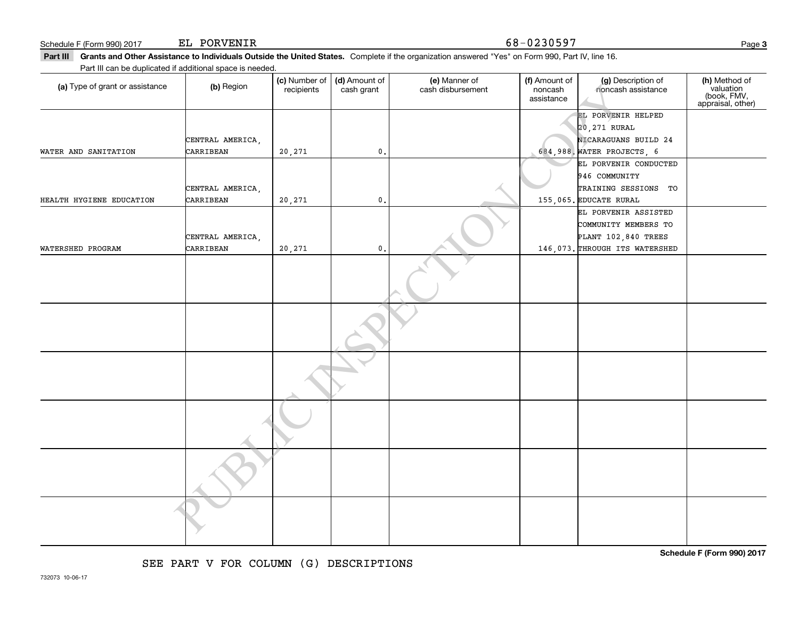| (a) Type of grant or assistance | (b) Region                    | recipients | $($ , $\frac{1}{2}$ , $\frac{1}{2}$ , $\frac{1}{2}$ , $\frac{1}{2}$ , $\frac{1}{2}$ , $\frac{1}{2}$ , $\frac{1}{2}$<br>cash grant | cash disbursement | ., <del>.</del><br>noncash<br>assistance | $121 - 222$ when $27$<br>noncash assistance           | valuation<br>(book, FMV,<br>appraisal, other) |
|---------------------------------|-------------------------------|------------|-----------------------------------------------------------------------------------------------------------------------------------|-------------------|------------------------------------------|-------------------------------------------------------|-----------------------------------------------|
|                                 |                               |            |                                                                                                                                   |                   |                                          | EL PORVENIR HELPED                                    |                                               |
|                                 |                               |            |                                                                                                                                   |                   |                                          | 20,271 RURAL                                          |                                               |
|                                 | CENTRAL AMERICA,              |            |                                                                                                                                   |                   |                                          | NICARAGUANS BUILD 24                                  |                                               |
| WATER AND SANITATION            | CARRIBEAN                     | 20,271     | $\mathfrak o$ .                                                                                                                   |                   |                                          | 684,988. WATER PROJECTS, 6                            |                                               |
|                                 |                               |            |                                                                                                                                   |                   |                                          | EL PORVENIR CONDUCTED                                 |                                               |
|                                 |                               |            |                                                                                                                                   |                   |                                          | 946 COMMUNITY                                         |                                               |
|                                 | CENTRAL AMERICA,              |            |                                                                                                                                   |                   |                                          | TRAINING SESSIONS TO                                  |                                               |
| HEALTH HYGIENE EDUCATION        | CARRIBEAN                     | 20,271     | $\mathfrak o$ .                                                                                                                   |                   |                                          | 155,065. EDUCATE RURAL                                |                                               |
|                                 |                               |            |                                                                                                                                   |                   |                                          | EL PORVENIR ASSISTED                                  |                                               |
|                                 |                               |            |                                                                                                                                   |                   |                                          | COMMUNITY MEMBERS TO                                  |                                               |
| WATERSHED PROGRAM               | CENTRAL AMERICA,<br>CARRIBEAN | 20,271     | $\mathbf 0$ .                                                                                                                     |                   |                                          | PLANT 102,840 TREES<br>146,073. THROUGH ITS WATERSHED |                                               |
|                                 |                               |            |                                                                                                                                   |                   |                                          |                                                       |                                               |
|                                 |                               |            |                                                                                                                                   |                   |                                          |                                                       |                                               |
|                                 |                               |            |                                                                                                                                   |                   |                                          |                                                       |                                               |
|                                 |                               |            |                                                                                                                                   |                   |                                          |                                                       |                                               |
|                                 |                               |            |                                                                                                                                   |                   |                                          |                                                       |                                               |
|                                 |                               |            |                                                                                                                                   |                   |                                          |                                                       |                                               |
|                                 |                               |            |                                                                                                                                   |                   |                                          |                                                       |                                               |
|                                 |                               |            |                                                                                                                                   |                   |                                          |                                                       |                                               |
|                                 |                               |            |                                                                                                                                   |                   |                                          |                                                       |                                               |
|                                 |                               |            |                                                                                                                                   |                   |                                          |                                                       |                                               |

## **Part III Grants and Other Assistance to Individuals Outside the United States.**  Complete if the organization answered "Yes" on Form 990, Part IV, line 16. Part III can be duplicated if additional space is needed.

SEE PART V FOR COLUMN (G) DESCRIPTIONS

Amount of noncash

(g) Description of noncash assistance

**(c)** Number of **| (d)** Amount of **| (e)** Manner of **| (f)** Amount of **| (g)** Description of **| (h)** 

(e) Manner of cash disbursement Page 3

(h) Method of

**Schedule F (Form 990) 2017**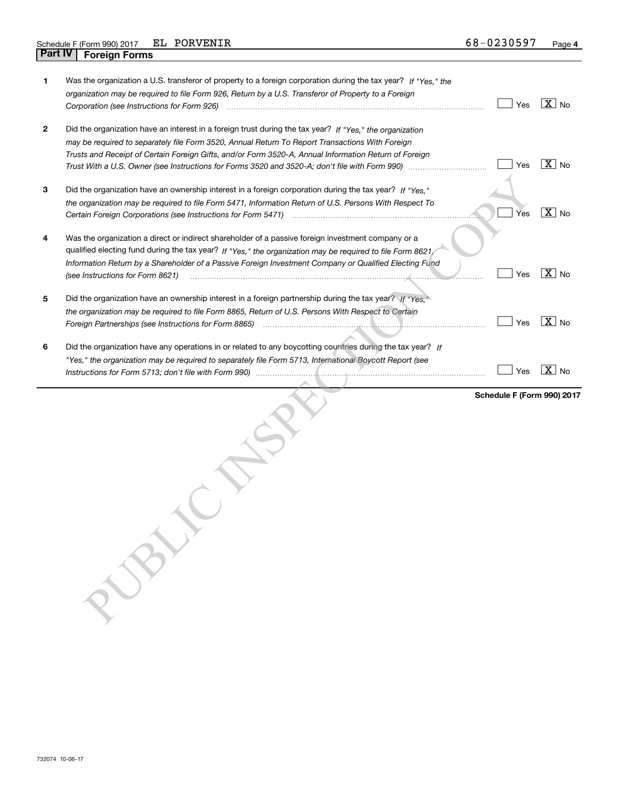| 1 | Was the organization a U.S. transferor of property to a foreign corporation during the tax year? If "Yes." the<br>organization may be required to file Form 926, Return by a U.S. Transferor of Property to a Foreign<br>Corporation (see Instructions for Form 926)                                                                                           | Yes                       | $X \mid N_{0}$        |
|---|----------------------------------------------------------------------------------------------------------------------------------------------------------------------------------------------------------------------------------------------------------------------------------------------------------------------------------------------------------------|---------------------------|-----------------------|
| 2 | Did the organization have an interest in a foreign trust during the tax year? If "Yes," the organization<br>may be required to separately file Form 3520, Annual Return To Report Transactions With Foreign<br>Trusts and Receipt of Certain Foreign Gifts, and/or Form 3520-A, Annual Information Return of Foreign                                           | Yes                       | $\boxed{\text{X}}$ No |
| 3 | Did the organization have an ownership interest in a foreign corporation during the tax year? If "Yes."<br>the organization may be required to file Form 5471, Information Return of U.S. Persons With Respect To                                                                                                                                              | Yes                       | $\boxed{\text{X}}$ No |
| 4 | Was the organization a direct or indirect shareholder of a passive foreign investment company or a<br>qualified electing fund during the tax year? If "Yes," the organization may be required to file Form 8621,<br>Information Return by a Shareholder of a Passive Foreign Investment Company or Qualified Electing Fund<br>(see Instructions for Form 8621) | Yes                       | $X \mid N_{0}$        |
| 5 | Did the organization have an ownership interest in a foreign partnership during the tax year? If "Yes."<br>the organization may be required to file Form 8865, Return of U.S. Persons With Respect to Certain<br>Foreign Partnerships (see Instructions for Form 8865)                                                                                         | Yes                       | $X _{\text{No}}$      |
| 6 | Did the organization have any operations in or related to any boycotting countries during the tax year? If<br>"Yes," the organization may be required to separately file Form 5713, International Boycott Report (see                                                                                                                                          | Yes                       | $\overline{X}$ No     |
|   | RIVEY                                                                                                                                                                                                                                                                                                                                                          | Schedule F (Form 990) 201 |                       |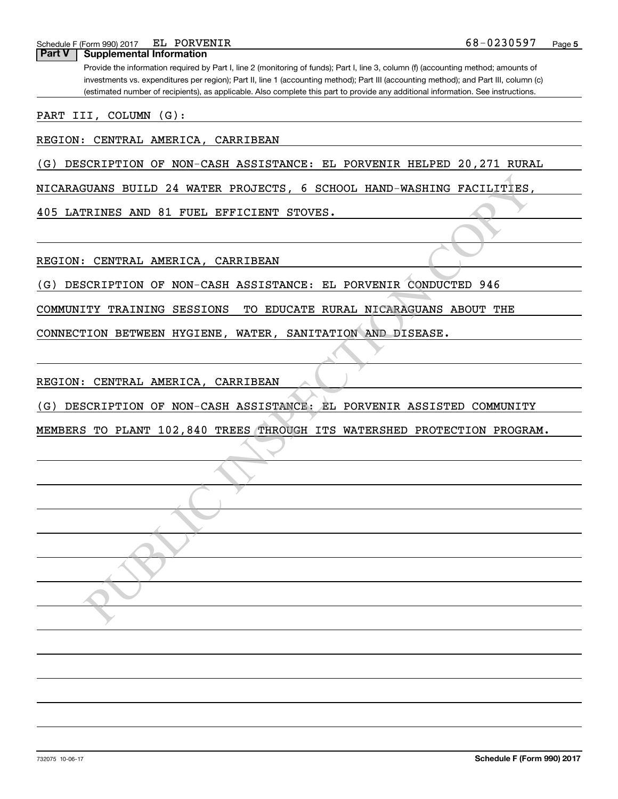**5**Schedule F (Form 990) 2017 BL PORVENIR  $68-0230597$ Provide the information required by Part I, line 2 (monitoring of funds); Part I, line 3, column (f) (accounting method; amounts of investments vs. expenditures per region); Part II, line 1 (accounting method); Part III (accounting method); and Part III, column (c) (estimated number of recipients), as applicable. Also complete this part to provide any additional information. See instructions. **Part V Supplemental Information** PART III, COLUMN (G): REGION: CENTRAL AMERICA, CARRIBEAN (G) DESCRIPTION OF NON-CASH ASSISTANCE: EL PORVENIR HELPED 20,271 RURAL NICARAGUANS BUILD 24 WATER PROJECTS, 6 SCHOOL HAND-WASHING FACILITIES, 405 LATRINES AND 81 FUEL EFFICIENT STOVES. REGION: CENTRAL AMERICA, CARRIBEAN (G) DESCRIPTION OF NON-CASH ASSISTANCE: EL PORVENIR CONDUCTED 946 COMMUNITY TRAINING SESSIONS TO EDUCATE RURAL NICARAGUANS ABOUT THE CONNECTION BETWEEN HYGIENE, WATER, SANITATION AND DISEASE. REGION: CENTRAL AMERICA, CARRIBEAN (G) DESCRIPTION OF NON-CASH ASSISTANCE: EL PORVENIR ASSISTED COMMUNITY MEMBERS TO PLANT 102,840 TREES THROUGH ITS WATERSHED PROTECTION PROGRAM. NOAMS BUILD 24 WATER PROJECTS, 6 SCHOOL HAND-WASHING FACILITIES, TRINES AND 81 FUEL EFFICIENT STOVES.<br>
TRINES AND 81 FUEL EFFICIENT STOVES.<br>
CORTRAL AMERICA, CARRIBEAN<br>
CORTRAL AMERICA, CARRIBEAN<br>
FUDD BETWEEN HYGIENE, WAT

EL PORVENIR 68-0230597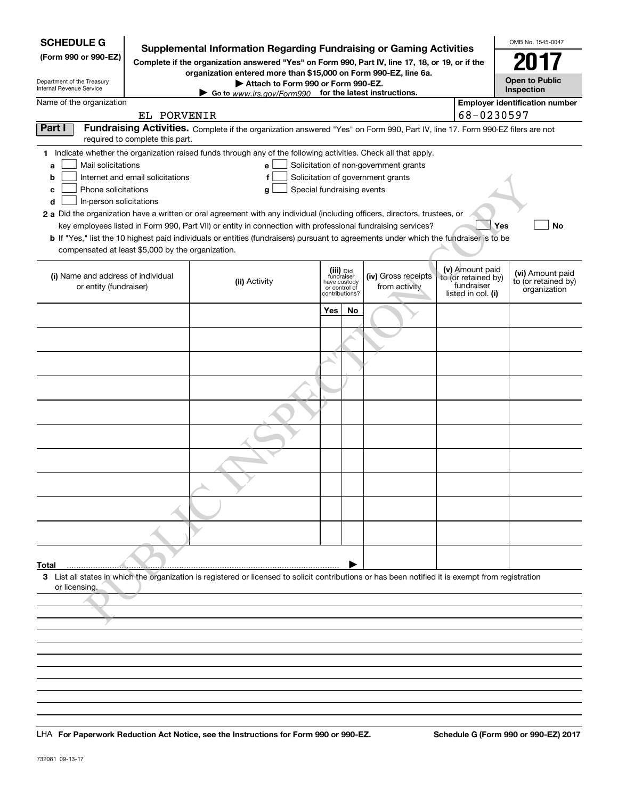| <b>SCHEDULE G</b><br>(Form 990 or 990-EZ)<br>Department of the Treasury<br>Internal Revenue Service                                           |                                  | <b>Supplemental Information Regarding Fundraising or Gaming Activities</b><br>Complete if the organization answered "Yes" on Form 990, Part IV, line 17, 18, or 19, or if the<br>organization entered more than \$15,000 on Form 990-EZ, line 6a.<br>Attach to Form 990 or Form 990-EZ.<br>Go to www.irs.gov/Form990 for the latest instructions.                                                                                                                                                                                                  |                                                                            |    |                                                                            |                                                                            | OMB No. 1545-0047<br><b>Open to Public</b><br>Inspection |
|-----------------------------------------------------------------------------------------------------------------------------------------------|----------------------------------|----------------------------------------------------------------------------------------------------------------------------------------------------------------------------------------------------------------------------------------------------------------------------------------------------------------------------------------------------------------------------------------------------------------------------------------------------------------------------------------------------------------------------------------------------|----------------------------------------------------------------------------|----|----------------------------------------------------------------------------|----------------------------------------------------------------------------|----------------------------------------------------------|
| Name of the organization                                                                                                                      | EL PORVENIR                      |                                                                                                                                                                                                                                                                                                                                                                                                                                                                                                                                                    |                                                                            |    |                                                                            | 68-0230597                                                                 | <b>Employer identification number</b>                    |
| Part I                                                                                                                                        | required to complete this part.  | Fundraising Activities. Complete if the organization answered "Yes" on Form 990, Part IV, line 17. Form 990-EZ filers are not                                                                                                                                                                                                                                                                                                                                                                                                                      |                                                                            |    |                                                                            |                                                                            |                                                          |
| Mail solicitations<br>a<br>b<br>Phone solicitations<br>c<br>In-person solicitations<br>d<br>compensated at least \$5,000 by the organization. | Internet and email solicitations | 1 Indicate whether the organization raised funds through any of the following activities. Check all that apply.<br>е<br>f<br>Special fundraising events<br>g<br>2 a Did the organization have a written or oral agreement with any individual (including officers, directors, trustees, or<br>key employees listed in Form 990, Part VII) or entity in connection with professional fundraising services?<br>b If "Yes," list the 10 highest paid individuals or entities (fundraisers) pursuant to agreements under which the fundraiser is to be |                                                                            |    | Solicitation of non-government grants<br>Solicitation of government grants | Yes                                                                        | No                                                       |
| (i) Name and address of individual<br>or entity (fundraiser)                                                                                  |                                  | (ii) Activity                                                                                                                                                                                                                                                                                                                                                                                                                                                                                                                                      | (iii) Did<br>fundraiser<br>have custody<br>or control of<br>contributions? |    | (iv) Gross receipts<br>from activity                                       | (v) Amount paid<br>to (or retained by)<br>fundraiser<br>listed in col. (i) | (vi) Amount paid<br>to (or retained by)<br>organization  |
|                                                                                                                                               |                                  |                                                                                                                                                                                                                                                                                                                                                                                                                                                                                                                                                    | Yes                                                                        | No |                                                                            |                                                                            |                                                          |
|                                                                                                                                               |                                  |                                                                                                                                                                                                                                                                                                                                                                                                                                                                                                                                                    |                                                                            |    |                                                                            |                                                                            |                                                          |
|                                                                                                                                               |                                  |                                                                                                                                                                                                                                                                                                                                                                                                                                                                                                                                                    |                                                                            |    |                                                                            |                                                                            |                                                          |
|                                                                                                                                               |                                  |                                                                                                                                                                                                                                                                                                                                                                                                                                                                                                                                                    |                                                                            |    |                                                                            |                                                                            |                                                          |
|                                                                                                                                               |                                  |                                                                                                                                                                                                                                                                                                                                                                                                                                                                                                                                                    |                                                                            |    |                                                                            |                                                                            |                                                          |
|                                                                                                                                               |                                  |                                                                                                                                                                                                                                                                                                                                                                                                                                                                                                                                                    |                                                                            |    |                                                                            |                                                                            |                                                          |
|                                                                                                                                               |                                  |                                                                                                                                                                                                                                                                                                                                                                                                                                                                                                                                                    |                                                                            |    |                                                                            |                                                                            |                                                          |
|                                                                                                                                               |                                  |                                                                                                                                                                                                                                                                                                                                                                                                                                                                                                                                                    |                                                                            |    |                                                                            |                                                                            |                                                          |
|                                                                                                                                               |                                  |                                                                                                                                                                                                                                                                                                                                                                                                                                                                                                                                                    |                                                                            |    |                                                                            |                                                                            |                                                          |
|                                                                                                                                               |                                  |                                                                                                                                                                                                                                                                                                                                                                                                                                                                                                                                                    |                                                                            |    |                                                                            |                                                                            |                                                          |
| Total                                                                                                                                         |                                  |                                                                                                                                                                                                                                                                                                                                                                                                                                                                                                                                                    |                                                                            |    |                                                                            |                                                                            |                                                          |
| or licensing.                                                                                                                                 |                                  | 3 List all states in which the organization is registered or licensed to solicit contributions or has been notified it is exempt from registration                                                                                                                                                                                                                                                                                                                                                                                                 |                                                                            |    |                                                                            |                                                                            |                                                          |
|                                                                                                                                               |                                  |                                                                                                                                                                                                                                                                                                                                                                                                                                                                                                                                                    |                                                                            |    |                                                                            |                                                                            |                                                          |
|                                                                                                                                               |                                  |                                                                                                                                                                                                                                                                                                                                                                                                                                                                                                                                                    |                                                                            |    |                                                                            |                                                                            |                                                          |
|                                                                                                                                               |                                  |                                                                                                                                                                                                                                                                                                                                                                                                                                                                                                                                                    |                                                                            |    |                                                                            |                                                                            |                                                          |
|                                                                                                                                               |                                  |                                                                                                                                                                                                                                                                                                                                                                                                                                                                                                                                                    |                                                                            |    |                                                                            |                                                                            |                                                          |
|                                                                                                                                               |                                  |                                                                                                                                                                                                                                                                                                                                                                                                                                                                                                                                                    |                                                                            |    |                                                                            |                                                                            |                                                          |
|                                                                                                                                               |                                  |                                                                                                                                                                                                                                                                                                                                                                                                                                                                                                                                                    |                                                                            |    |                                                                            |                                                                            |                                                          |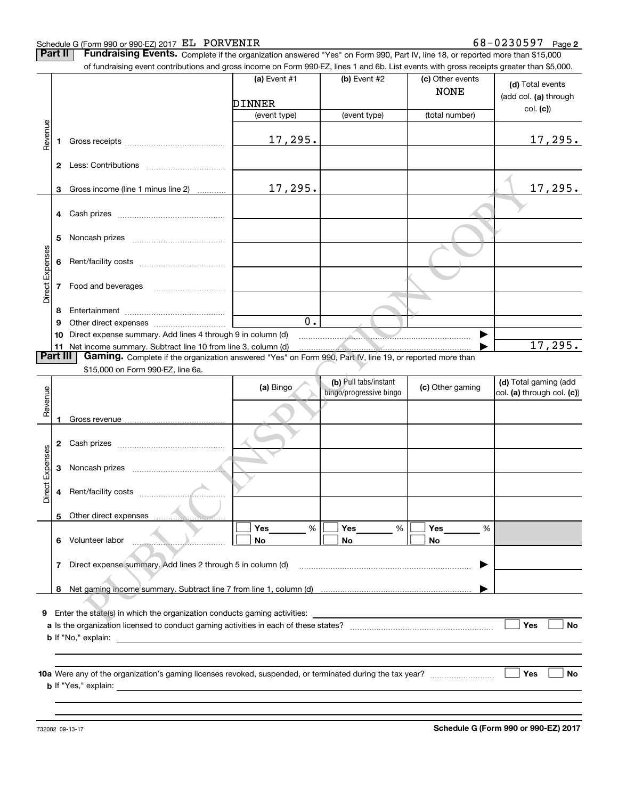### Schedule G (Form 990 or 990-EZ) 2017 Page EL PORVENIR 68-0230597

**Part II Fundraising Events.** Complete if the organization answered "Yes" on Form 990, Part IV, line 18, or reported more than \$15,000<br>of fundraising event contributions and gross income on Form 990-FZ lines 1 and 6b. Li

|                 |          | of fundraising event contributions and gross income on Form 990-EZ, lines 1 and 6b. List events with gross receipts greater than \$5,000. |              |                         |                                 |                                           |
|-----------------|----------|-------------------------------------------------------------------------------------------------------------------------------------------|--------------|-------------------------|---------------------------------|-------------------------------------------|
|                 |          |                                                                                                                                           | (a) Event #1 | (b) Event #2            | (c) Other events<br><b>NONE</b> | (d) Total events<br>(add col. (a) through |
|                 |          |                                                                                                                                           | DINNER       |                         |                                 |                                           |
|                 |          |                                                                                                                                           | (event type) | (event type)            | (total number)                  | col. (c)                                  |
| Revenue         |          |                                                                                                                                           |              |                         |                                 |                                           |
|                 | 1.       |                                                                                                                                           | 17,295.      |                         |                                 | 17,295.                                   |
|                 |          |                                                                                                                                           |              |                         |                                 |                                           |
|                 |          |                                                                                                                                           |              |                         |                                 |                                           |
|                 |          |                                                                                                                                           |              |                         |                                 |                                           |
|                 | 3        | Gross income (line 1 minus line 2)                                                                                                        | 17,295.      |                         |                                 | 17,295.                                   |
|                 |          |                                                                                                                                           |              |                         |                                 |                                           |
|                 | 4        |                                                                                                                                           |              |                         |                                 |                                           |
|                 |          |                                                                                                                                           |              |                         |                                 |                                           |
|                 | 5        |                                                                                                                                           |              |                         |                                 |                                           |
|                 |          |                                                                                                                                           |              |                         |                                 |                                           |
|                 | 6        |                                                                                                                                           |              |                         |                                 |                                           |
| Direct Expenses |          |                                                                                                                                           |              |                         |                                 |                                           |
|                 |          | 7 Food and beverages                                                                                                                      |              |                         |                                 |                                           |
|                 |          |                                                                                                                                           |              |                         |                                 |                                           |
|                 | 8        |                                                                                                                                           |              |                         |                                 |                                           |
|                 | 9        |                                                                                                                                           | 0.           |                         |                                 |                                           |
|                 | 10       | Direct expense summary. Add lines 4 through 9 in column (d)                                                                               |              |                         |                                 |                                           |
|                 |          | 11 Net income summary. Subtract line 10 from line 3, column (d)                                                                           |              |                         |                                 | 17,295.                                   |
|                 | Part III | Gaming. Complete if the organization answered "Yes" on Form 990, Part IV, line 19, or reported more than                                  |              |                         |                                 |                                           |
|                 |          | \$15,000 on Form 990-EZ, line 6a.                                                                                                         |              |                         |                                 |                                           |
|                 |          |                                                                                                                                           |              | (b) Pull tabs/instant   |                                 | (d) Total gaming (add                     |
|                 |          |                                                                                                                                           | (a) Bingo    | bingo/progressive bingo | (c) Other gaming                | col. (a) through col. (c))                |
| Revenue         |          |                                                                                                                                           |              |                         |                                 |                                           |
|                 | 1.       |                                                                                                                                           |              |                         |                                 |                                           |
|                 |          |                                                                                                                                           |              |                         |                                 |                                           |
|                 |          |                                                                                                                                           |              |                         |                                 |                                           |
| Expenses        |          |                                                                                                                                           |              |                         |                                 |                                           |
|                 | 3        |                                                                                                                                           |              |                         |                                 |                                           |
|                 |          |                                                                                                                                           |              |                         |                                 |                                           |
| Direct          | 4        |                                                                                                                                           |              |                         |                                 |                                           |
|                 |          |                                                                                                                                           |              |                         |                                 |                                           |
|                 | 5        | Other direct expenses                                                                                                                     |              |                         |                                 |                                           |
|                 |          |                                                                                                                                           | Yes<br>%     | Yes<br>%                | Yes<br>%                        |                                           |
|                 |          | 6 Volunteer labor                                                                                                                         | No           | No                      | No                              |                                           |
|                 |          |                                                                                                                                           |              |                         |                                 |                                           |
|                 |          |                                                                                                                                           |              |                         |                                 |                                           |
|                 | 7        |                                                                                                                                           |              |                         |                                 |                                           |
|                 |          | Direct expense summary. Add lines 2 through 5 in column (d)                                                                               |              |                         |                                 |                                           |
|                 |          |                                                                                                                                           |              |                         |                                 |                                           |
|                 |          |                                                                                                                                           |              |                         |                                 |                                           |
|                 |          | 9 Enter the state(s) in which the organization conducts gaming activities:                                                                |              |                         |                                 |                                           |
|                 |          |                                                                                                                                           |              |                         |                                 | Yes<br>No                                 |
|                 |          | <b>b</b> If "No," explain:                                                                                                                |              |                         |                                 |                                           |

**10a** Were any of the organization's gaming licenses revoked, suspended, or terminated during the tax year? \_\_\_\_\_\_\_\_\_\_\_\_\_\_\_\_ **b** If "Yes," explain:

732082 09-13-17

**Yes**

 **No**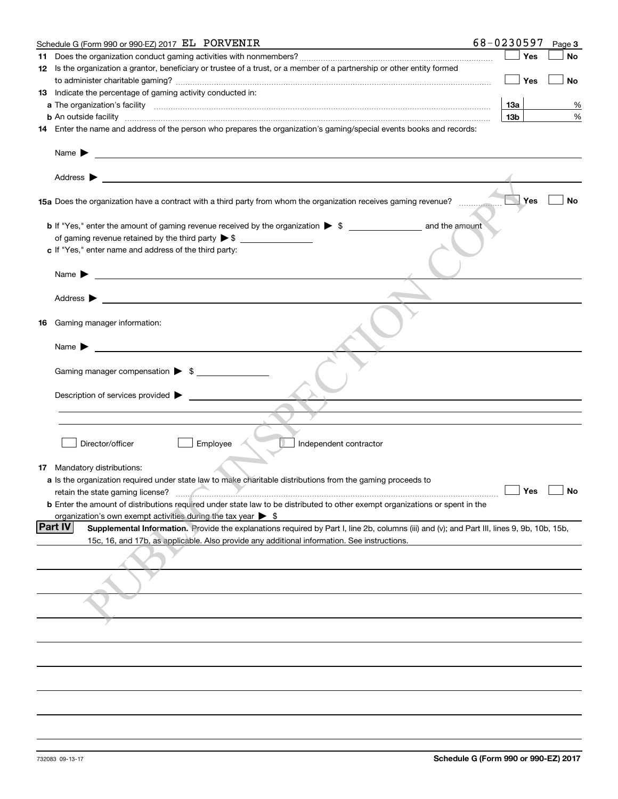|    | 68-0230597<br>Schedule G (Form 990 or 990-EZ) 2017 EL PORVENIR                                                                                                |     |      | Page 3    |
|----|---------------------------------------------------------------------------------------------------------------------------------------------------------------|-----|------|-----------|
|    |                                                                                                                                                               |     | Yes  | No        |
|    | 12 Is the organization a grantor, beneficiary or trustee of a trust, or a member of a partnership or other entity formed                                      |     |      |           |
|    |                                                                                                                                                               |     | Yes  | No        |
|    | 13 Indicate the percentage of gaming activity conducted in:                                                                                                   |     |      |           |
|    |                                                                                                                                                               | 13а |      | %         |
|    | <b>b</b> An outside facility <i>www.communicality www.communicality.communicality www.communicality www.communicality.communicality www.communicality.com</i> | 13b |      | $\%$      |
|    | 14 Enter the name and address of the person who prepares the organization's gaming/special events books and records:                                          |     |      |           |
|    | Name $\blacktriangleright$                                                                                                                                    |     |      |           |
|    | Address $\blacktriangleright$                                                                                                                                 |     |      |           |
|    |                                                                                                                                                               |     | Yes  | <b>No</b> |
|    |                                                                                                                                                               |     |      |           |
|    |                                                                                                                                                               |     |      |           |
|    | c If "Yes," enter name and address of the third party:                                                                                                        |     |      |           |
|    | Name $\blacktriangleright$                                                                                                                                    |     |      |           |
|    |                                                                                                                                                               |     |      |           |
|    | Address $\blacktriangleright$                                                                                                                                 |     |      |           |
| 16 | Gaming manager information:                                                                                                                                   |     |      |           |
|    |                                                                                                                                                               |     |      |           |
|    | Name $\blacktriangleright$<br><u> 1989 - Jan Stein, Amerikaansk politiker (</u>                                                                               |     |      |           |
|    | Gaming manager compensation > \$                                                                                                                              |     |      |           |
|    | Description of services provided $\blacktriangleright$                                                                                                        |     |      |           |
|    |                                                                                                                                                               |     |      |           |
|    | Director/officer<br>Employee<br>Independent contractor                                                                                                        |     |      |           |
|    |                                                                                                                                                               |     |      |           |
|    | 17 Mandatory distributions:<br>a Is the organization required under state law to make charitable distributions from the gaming proceeds to                    |     |      |           |
|    | retain the state gaming license?                                                                                                                              |     | 」Yes | $\Box$ No |
|    | <b>b</b> Enter the amount of distributions required under state law to be distributed to other exempt organizations or spent in the                           |     |      |           |
|    | organization's own exempt activities during the tax year $\triangleright$ \$                                                                                  |     |      |           |
|    | <b>Part IV</b><br>Supplemental Information. Provide the explanations required by Part I, line 2b, columns (iii) and (v); and Part III, lines 9, 9b, 10b, 15b, |     |      |           |
|    | 15c, 16, and 17b, as applicable. Also provide any additional information. See instructions.                                                                   |     |      |           |
|    |                                                                                                                                                               |     |      |           |
|    |                                                                                                                                                               |     |      |           |
|    |                                                                                                                                                               |     |      |           |
|    |                                                                                                                                                               |     |      |           |
|    |                                                                                                                                                               |     |      |           |
|    |                                                                                                                                                               |     |      |           |
|    |                                                                                                                                                               |     |      |           |
|    |                                                                                                                                                               |     |      |           |
|    |                                                                                                                                                               |     |      |           |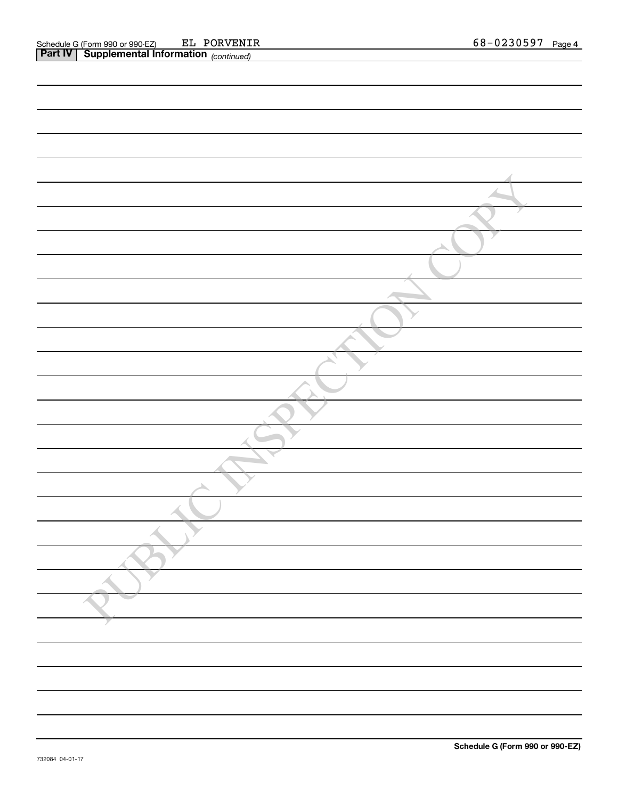| <b>Part IV   Supplemental Information</b> (continued) |
|-------------------------------------------------------|
|                                                       |
|                                                       |
|                                                       |
|                                                       |
|                                                       |
|                                                       |
|                                                       |
|                                                       |
|                                                       |
|                                                       |
|                                                       |
|                                                       |
|                                                       |
|                                                       |
|                                                       |
|                                                       |
|                                                       |
|                                                       |
|                                                       |
|                                                       |
|                                                       |
|                                                       |
|                                                       |
|                                                       |
|                                                       |
|                                                       |
|                                                       |
|                                                       |
|                                                       |
|                                                       |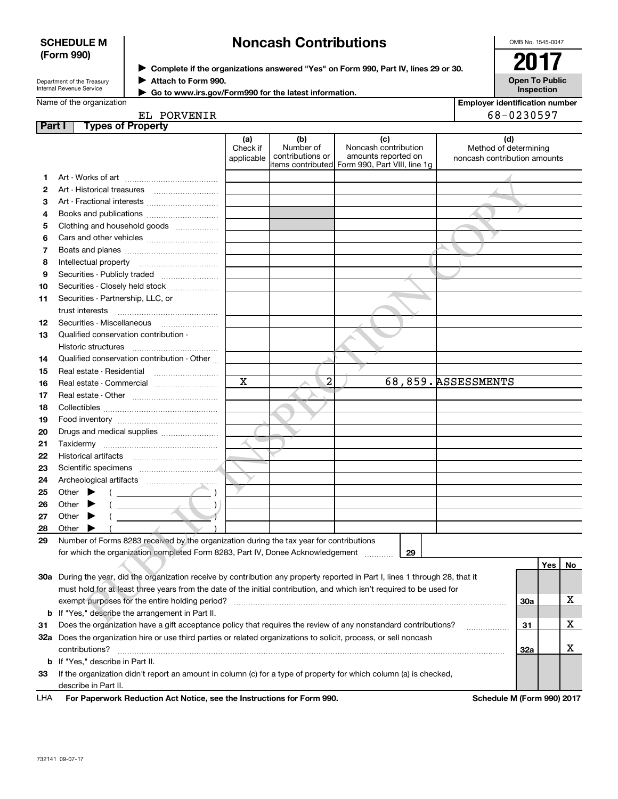## **SCHEDULE M (Form 990)**

# **Noncash Contributions**

OMB No. 1545-0047

Department of the Treasury Internal Revenue Service

**Attach to Form 990.** J

 **Go to www.irs.gov/Form990 for the latest information.** J

 $\blacktriangleright$  Complete if the organizations answered "Yes" on Form 990, Part IV, lines 29 or 30.  $\vert$  2017 **Open To Public Inspection**

**Employer identification number**

Name of the organization

| ЕL | PORVENIR |
|----|----------|
|    |          |

|        | EL PORVENIR                                                                                                                               |                               |                                      |                                                                                                      | 68-0230597                                                   |     |     |           |
|--------|-------------------------------------------------------------------------------------------------------------------------------------------|-------------------------------|--------------------------------------|------------------------------------------------------------------------------------------------------|--------------------------------------------------------------|-----|-----|-----------|
| Part I | <b>Types of Property</b>                                                                                                                  |                               |                                      |                                                                                                      |                                                              |     |     |           |
|        |                                                                                                                                           | (a)<br>Check if<br>applicable | (b)<br>Number of<br>contributions or | (c)<br>Noncash contribution<br>amounts reported on<br>items contributed Form 990, Part VIII, line 1g | (d)<br>Method of determining<br>noncash contribution amounts |     |     |           |
| 1.     |                                                                                                                                           |                               |                                      |                                                                                                      |                                                              |     |     |           |
| 2      |                                                                                                                                           |                               |                                      |                                                                                                      |                                                              |     |     |           |
| з      | Art - Fractional interests                                                                                                                |                               |                                      |                                                                                                      |                                                              |     |     |           |
| 4      |                                                                                                                                           |                               |                                      |                                                                                                      |                                                              |     |     |           |
| 5      | Clothing and household goods                                                                                                              |                               |                                      |                                                                                                      |                                                              |     |     |           |
| 6      |                                                                                                                                           |                               |                                      |                                                                                                      |                                                              |     |     |           |
| 7      |                                                                                                                                           |                               |                                      |                                                                                                      |                                                              |     |     |           |
| 8      | Intellectual property                                                                                                                     |                               |                                      |                                                                                                      |                                                              |     |     |           |
| 9      |                                                                                                                                           |                               |                                      |                                                                                                      |                                                              |     |     |           |
| 10     | Securities - Closely held stock                                                                                                           |                               |                                      |                                                                                                      |                                                              |     |     |           |
| 11     | Securities - Partnership, LLC, or                                                                                                         |                               |                                      |                                                                                                      |                                                              |     |     |           |
|        | trust interests                                                                                                                           |                               |                                      |                                                                                                      |                                                              |     |     |           |
| 12     | Securities - Miscellaneous                                                                                                                |                               |                                      |                                                                                                      |                                                              |     |     |           |
| 13     | Qualified conservation contribution -                                                                                                     |                               |                                      |                                                                                                      |                                                              |     |     |           |
|        | Historic structures                                                                                                                       |                               |                                      |                                                                                                      |                                                              |     |     |           |
| 14     | Qualified conservation contribution - Other                                                                                               |                               |                                      |                                                                                                      |                                                              |     |     |           |
| 15     | Real estate - Residential                                                                                                                 |                               |                                      |                                                                                                      |                                                              |     |     |           |
| 16     | Real estate - Commercial                                                                                                                  | $\mathbf x$                   | $\overline{a}$                       |                                                                                                      | 68,859. ASSESSMENTS                                          |     |     |           |
| 17     |                                                                                                                                           |                               |                                      |                                                                                                      |                                                              |     |     |           |
| 18     |                                                                                                                                           |                               |                                      |                                                                                                      |                                                              |     |     |           |
| 19     |                                                                                                                                           |                               |                                      |                                                                                                      |                                                              |     |     |           |
| 20     |                                                                                                                                           |                               |                                      |                                                                                                      |                                                              |     |     |           |
| 21     | Taxidermy                                                                                                                                 |                               |                                      |                                                                                                      |                                                              |     |     |           |
| 22     |                                                                                                                                           |                               |                                      |                                                                                                      |                                                              |     |     |           |
| 23     |                                                                                                                                           |                               |                                      |                                                                                                      |                                                              |     |     |           |
| 24     |                                                                                                                                           |                               |                                      |                                                                                                      |                                                              |     |     |           |
| 25     | Other $\blacktriangleright$                                                                                                               |                               |                                      |                                                                                                      |                                                              |     |     |           |
| 26     | Other                                                                                                                                     |                               |                                      |                                                                                                      |                                                              |     |     |           |
| 27     | Other                                                                                                                                     |                               |                                      |                                                                                                      |                                                              |     |     |           |
| 28     | Other                                                                                                                                     |                               |                                      |                                                                                                      |                                                              |     |     |           |
| 29     | Number of Forms 8283 received by the organization during the tax year for contributions                                                   |                               |                                      |                                                                                                      |                                                              |     |     |           |
|        | for which the organization completed Form 8283, Part IV, Donee Acknowledgement                                                            |                               |                                      | 29                                                                                                   |                                                              |     |     |           |
|        |                                                                                                                                           |                               |                                      |                                                                                                      |                                                              |     | Yes | <b>No</b> |
|        | 30a During the year, did the organization receive by contribution any property reported in Part I, lines 1 through 28, that it            |                               |                                      |                                                                                                      |                                                              |     |     |           |
|        | must hold for at least three years from the date of the initial contribution, and which isn't required to be used for                     |                               |                                      |                                                                                                      |                                                              |     |     |           |
|        | exempt purposes for the entire holding period?                                                                                            |                               |                                      |                                                                                                      |                                                              | 30a |     | x         |
|        | <b>b</b> If "Yes," describe the arrangement in Part II.                                                                                   |                               |                                      |                                                                                                      |                                                              |     |     |           |
| 31     | Does the organization have a gift acceptance policy that requires the review of any nonstandard contributions?                            |                               |                                      |                                                                                                      |                                                              | 31  |     | x         |
|        | 32a Does the organization hire or use third parties or related organizations to solicit, process, or sell noncash                         |                               |                                      |                                                                                                      |                                                              |     |     |           |
|        | contributions?                                                                                                                            |                               |                                      |                                                                                                      |                                                              | 32a |     | х         |
|        | b If "Yes," describe in Part II.                                                                                                          |                               |                                      |                                                                                                      |                                                              |     |     |           |
| 33     | If the organization didn't report an amount in column (c) for a type of property for which column (a) is checked,<br>describe in Part II. |                               |                                      |                                                                                                      |                                                              |     |     |           |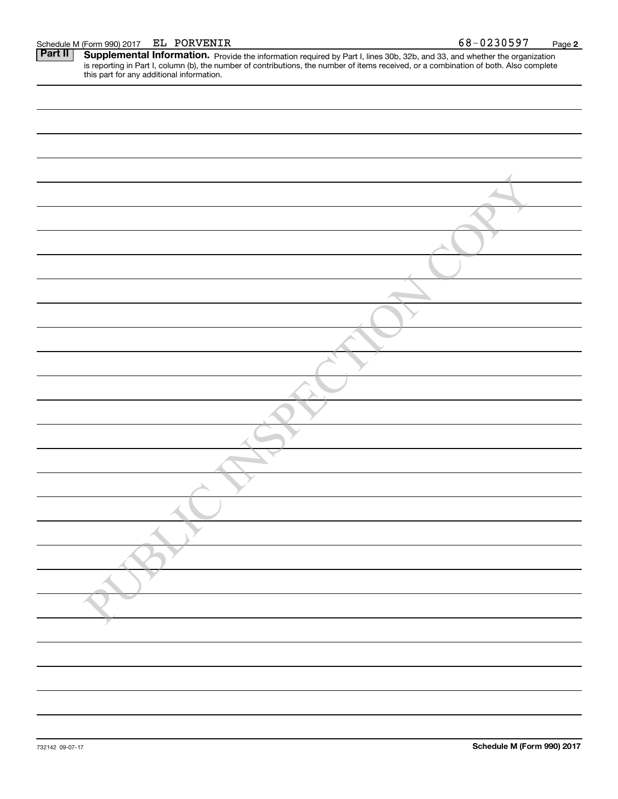| EL PORVENIR                                                                                                                                                                                                                                                                                     | <u>68-0230597</u> | Page 2 |
|-------------------------------------------------------------------------------------------------------------------------------------------------------------------------------------------------------------------------------------------------------------------------------------------------|-------------------|--------|
| Schedule M (Form 990) 2017<br><b>Part II</b> Supplementa<br><b>Supplemental Information.</b> Provide the information required by Part I, lines 30b, 32b, and 33, and whether the organization is reporting in Part I, column (b), the number of contributions, the number of items received, or |                   |        |
|                                                                                                                                                                                                                                                                                                 |                   |        |
|                                                                                                                                                                                                                                                                                                 |                   |        |
|                                                                                                                                                                                                                                                                                                 |                   |        |
|                                                                                                                                                                                                                                                                                                 |                   |        |
|                                                                                                                                                                                                                                                                                                 |                   |        |
|                                                                                                                                                                                                                                                                                                 |                   |        |
|                                                                                                                                                                                                                                                                                                 |                   |        |
|                                                                                                                                                                                                                                                                                                 |                   |        |
|                                                                                                                                                                                                                                                                                                 |                   |        |
|                                                                                                                                                                                                                                                                                                 |                   |        |
|                                                                                                                                                                                                                                                                                                 |                   |        |
|                                                                                                                                                                                                                                                                                                 |                   |        |
|                                                                                                                                                                                                                                                                                                 |                   |        |
|                                                                                                                                                                                                                                                                                                 |                   |        |
|                                                                                                                                                                                                                                                                                                 |                   |        |
|                                                                                                                                                                                                                                                                                                 |                   |        |
|                                                                                                                                                                                                                                                                                                 |                   |        |
|                                                                                                                                                                                                                                                                                                 |                   |        |
|                                                                                                                                                                                                                                                                                                 |                   |        |
|                                                                                                                                                                                                                                                                                                 |                   |        |
|                                                                                                                                                                                                                                                                                                 |                   |        |
|                                                                                                                                                                                                                                                                                                 |                   |        |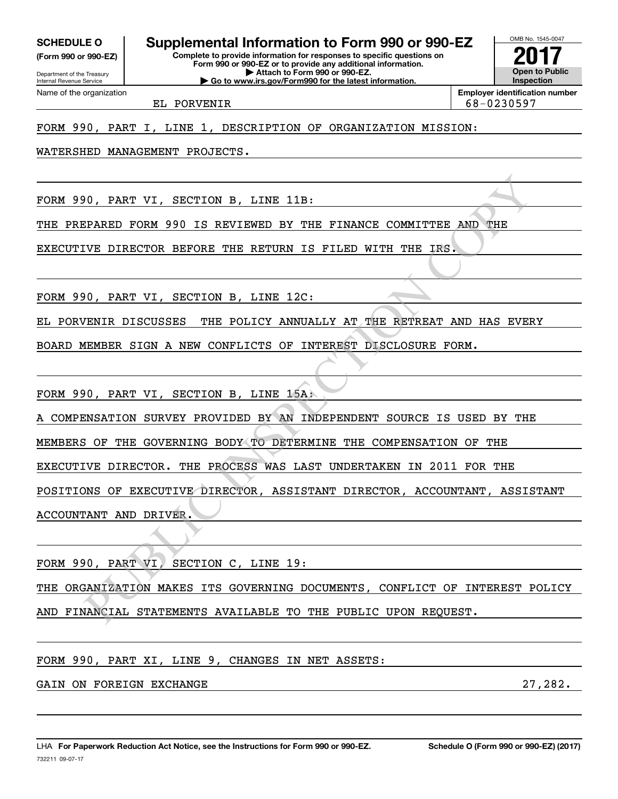Internal Revenue Service

Department of the Treasury **(Form 990 or 990-EZ)**

Name of the organization

**Complete to provide information for responses to specific questions on SCHEDULE O Supplemental Information to Form 990 or 990-EZ**

**Form 990 or 990-EZ or to provide any additional information. | Attach to Form 990 or 990-EZ. | Go to www.irs.gov/Form990 for the latest information.**

**Open to Public InspectionEmployer identification number 2017**

OMB No. 1545-0047

EL PORVENIR 68-0230597

# FORM 990, PART I, LINE 1, DESCRIPTION OF ORGANIZATION MISSION:

WATERSHED MANAGEMENT PROJECTS.

FORM 990, PART VI, SECTION B, LINE 11B:

THE PREPARED FORM 990 IS REVIEWED BY THE FINANCE COMMITTEE AND THE

EXECUTIVE DIRECTOR BEFORE THE RETURN IS FILED WITH THE IRS.

FORM 990, PART VI, SECTION B, LINE 12C:

EL PORVENIR DISCUSSES THE POLICY ANNUALLY AT THE RETREAT AND HAS EVERY

BOARD MEMBER SIGN A NEW CONFLICTS OF INTEREST DISCLOSURE FORM.

FORM 990, PART VI, SECTION B, LINE 15A)

A COMPENSATION SURVEY PROVIDED BY AN INDEPENDENT SOURCE IS USED BY THE

MEMBERS OF THE GOVERNING BODY TO DETERMINE THE COMPENSATION OF THE

EXECUTIVE DIRECTOR. THE PROCESS WAS LAST UNDERTAKEN IN 2011 FOR THE

POSITIONS OF EXECUTIVE DIRECTOR, ASSISTANT DIRECTOR, ACCOUNTANT, ASSISTANT

ACCOUNTANT AND DRIVER.

FORM 990, PART VI, SECTION C, LINE 19:

THE ORGANIZATION MAKES ITS GOVERNING DOCUMENTS, CONFLICT OF INTEREST POLICY AND FINANCIAL STATEMENTS AVAILABLE TO THE PUBLIC UPON REQUEST. 10, PART VI, SECTION B, LINE 11B;<br>
EFARED FORM 990 IS REVIEWED BY THE FINANCE COMMITTEE AND THE<br>
PUBLIC DIRECTOR BEFORE THE RETURN IS FILED WITH THE IRS.<br>
10, PART VI, SECTION B, LINE 12C;<br>
EEMBER SIGN A NEW CONFLICTS OF I

FORM 990, PART XI, LINE 9, CHANGES IN NET ASSETS:

GAIN ON FOREIGN EXCHANGE 27, 282.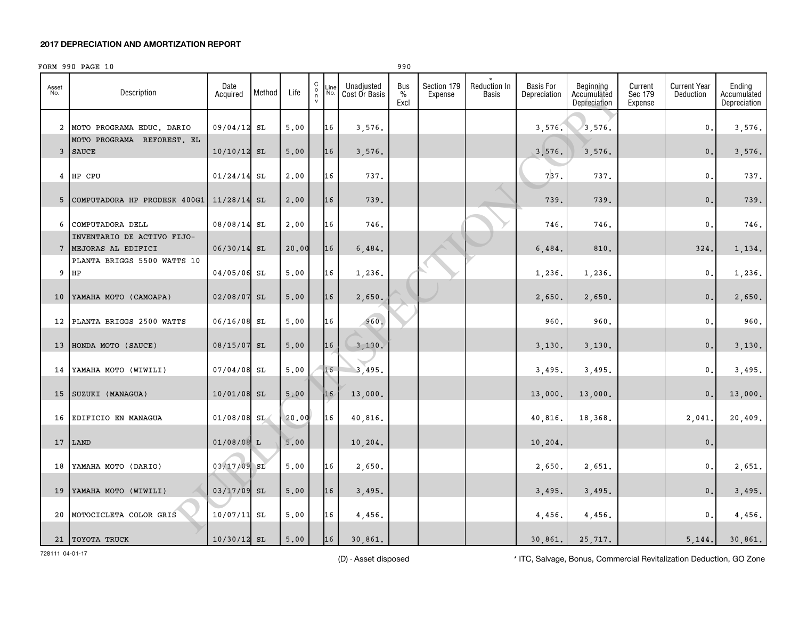### **2017 DEPRECIATION AND AMORTIZATION REPORT**

|              | FORM 990 PAGE 10<br>990                                   |                  |        |       |                                              |             |                             |                     |                        |                              |                                  |                                          |                               |                                  |                                       |
|--------------|-----------------------------------------------------------|------------------|--------|-------|----------------------------------------------|-------------|-----------------------------|---------------------|------------------------|------------------------------|----------------------------------|------------------------------------------|-------------------------------|----------------------------------|---------------------------------------|
| Asset<br>No. | Description                                               | Date<br>Acquired | Method | Life  | $\begin{array}{c}\nC \\ O \\ N\n\end{array}$ | Line<br>No. | Unadjusted<br>Cost Or Basis | Bus<br>$\%$<br>Excl | Section 179<br>Expense | <b>Reduction In</b><br>Basis | <b>Basis For</b><br>Depreciation | Beginning<br>Accumulated<br>Depreciation | Current<br>Sec 179<br>Expense | <b>Current Year</b><br>Deduction | Ending<br>Accumulated<br>Depreciation |
|              | 2 MOTO PROGRAMA EDUC. DARIO<br>MOTO PROGRAMA REFOREST. EL | 09/04/12 SL      |        | 5,00  |                                              | 16          | 3,576.                      |                     |                        |                              | 3,576.                           | 3,576.                                   |                               | 0.                               | 3,576.                                |
|              | 3 SAUCE                                                   | $10/10/12$ SL    |        | 5,00  |                                              | 16          | 3,576.                      |                     |                        |                              | 3,576.                           | 3,576.                                   |                               | $\mathbf{0}$ .                   | 3,576.                                |
|              | 4 HP CPU                                                  | $01/24/14$ SL    |        | 2,00  |                                              | 16          | 737.                        |                     |                        |                              | 737.                             | 737.                                     |                               | 0                                | 737.                                  |
|              | 5 COMPUTADORA HP PRODESK 400G1                            | $11/28/14$ SL    |        | 2,00  |                                              | 16          | 739.                        |                     |                        |                              | 739                              | 739.                                     |                               | $\mathbf 0$ .                    | 739.                                  |
| 6            | COMPUTADORA DELL<br>INVENTARIO DE ACTIVO FIJO-            | 08/08/14 SL      |        | 2.00  |                                              | 16          | 746.                        |                     |                        |                              | 746.                             | 746.                                     |                               | 0                                | 746.                                  |
|              | 7 MEJORAS AL EDIFICI                                      | 06/30/14 SL      |        | 20.00 |                                              | 16          | 6,484.                      |                     |                        |                              | 6,484.                           | 810.                                     |                               | 324                              | 1,134.                                |
|              | PLANTA BRIGGS 5500 WATTS 10<br>$9$ HP                     | 04/05/06 SL      |        | 5,00  |                                              | 16          | 1,236.                      |                     |                        |                              | 1,236.                           | 1,236.                                   |                               | $\mathbf{0}$ .                   | 1,236.                                |
|              | 10 YAMAHA MOTO (CAMOAPA)                                  | 02/08/07 SL      |        | 5,00  |                                              | 16          | 2,650.                      |                     |                        |                              | 2,650.                           | 2,650.                                   |                               | $\mathsf{0}\,.$                  | 2,650.                                |
|              | 12 PLANTA BRIGGS 2500 WATTS                               | $06/16/08$ SL    |        | 5.00  |                                              | 16          | 960.                        |                     |                        |                              | 960.                             | 960.                                     |                               | 0.                               | 960.                                  |
|              | 13 HONDA MOTO (SAUCE)                                     | $08/15/07$ SL    |        | 5,00  |                                              | 16          | 3,130.                      |                     |                        |                              | 3,130.                           | 3,130.                                   |                               | $\mathbf 0$ .                    | 3,130.                                |
|              | 14 YAMAHA MOTO (WIWILI)                                   | $07/04/08$ SL    |        | 5,00  |                                              | 16          | 3,495.                      |                     |                        |                              | 3,495.                           | 3,495.                                   |                               | 0.                               | 3,495.                                |
|              | 15 SUZUKI (MANAGUA)                                       | $10/01/08$ SL    |        | 5.00  |                                              | 16          | 13,000.                     |                     |                        |                              | 13,000.                          | 13,000.                                  |                               | 0.                               | 13,000.                               |
|              | 16 EDIFICIO EN MANAGUA                                    | $01/08/08$ SL    |        | 20.00 |                                              | 16          | 40,816.                     |                     |                        |                              | 40,816.                          | 18,368.                                  |                               | 2,041.                           | 20,409.                               |
| 17           | LAND                                                      | 01/08/08 L       |        | 5.00  |                                              |             | 10,204.                     |                     |                        |                              | 10,204.                          |                                          |                               | $\mathbf{0}$ .                   |                                       |
|              | 18 YAMAHA MOTO (DARIO)                                    | 03/17/09 SL      |        | 5,00  |                                              | 16          | 2,650.                      |                     |                        |                              | 2,650.                           | 2,651.                                   |                               | $\mathbf{0}$ .                   | 2,651.                                |
| 19           | YAMAHA MOTO (WIWILI)                                      | 03/17/09 SL      |        | 5,00  |                                              | 16          | 3,495.                      |                     |                        |                              | 3,495.                           | 3,495.                                   |                               | $\mathbf{0}$ .                   | 3,495.                                |
| 20           | MOTOCICLETA COLOR GRIS                                    | 10/07/11 SL      |        | 5.00  |                                              | 16          | 4,456.                      |                     |                        |                              | 4,456.                           | 4,456.                                   |                               | 0                                | 4,456.                                |
|              | 21 TOYOTA TRUCK                                           | $10/30/12$ SL    |        | 5,00  |                                              | 16          | 30,861.                     |                     |                        |                              | 30,861.                          | 25,717.                                  |                               | 5,144.                           | 30,861.                               |

728111 04-01-17

(D) - Asset disposed \* ITC, Salvage, Bonus, Commercial Revitalization Deduction, GO Zone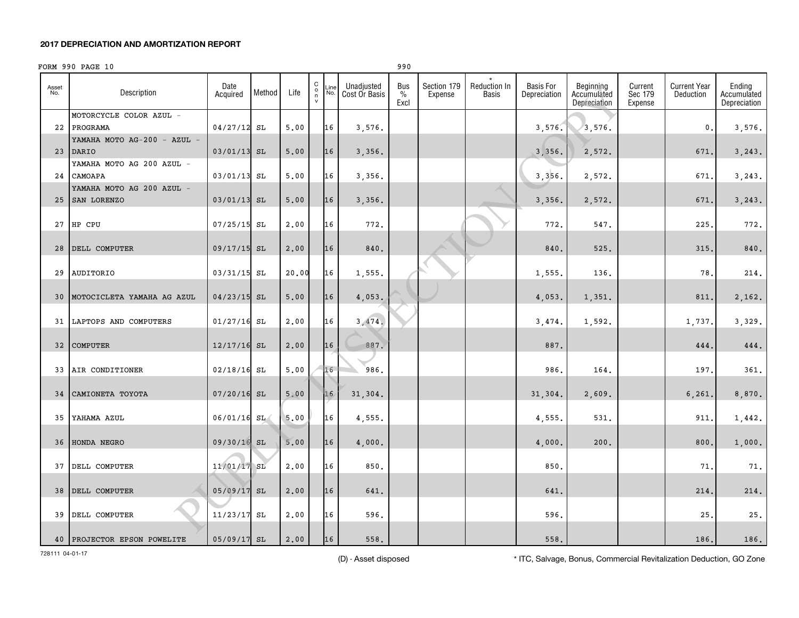### **2017 DEPRECIATION AND AMORTIZATION REPORT**

|              | FORM 990 PAGE 10                        |                  |        |       |                         |             |                             | 990                          |                        |                              |                                  |                                          |                               |                                  |                                       |
|--------------|-----------------------------------------|------------------|--------|-------|-------------------------|-------------|-----------------------------|------------------------------|------------------------|------------------------------|----------------------------------|------------------------------------------|-------------------------------|----------------------------------|---------------------------------------|
| Asset<br>No. | Description                             | Date<br>Acquired | Method | Life  | C<br>$_{\rm n}^{\rm o}$ | .ine<br>No. | Unadjusted<br>Cost Or Basis | Bus<br>$\frac{0}{0}$<br>Excl | Section 179<br>Expense | <b>Reduction In</b><br>Basis | <b>Basis For</b><br>Depreciation | Beginning<br>Accumulated<br>Depreciation | Current<br>Sec 179<br>Expense | <b>Current Year</b><br>Deduction | Ending<br>Accumulated<br>Depreciation |
|              | MOTORCYCLE COLOR AZUL -                 |                  |        |       |                         |             |                             |                              |                        |                              |                                  |                                          |                               |                                  |                                       |
|              | 22 PROGRAMA                             | 04/27/12         | SL     | 5,00  |                         | 16          | 3,576.                      |                              |                        |                              | 3,576.                           | 3,576.                                   |                               | $\mathbf{0}$                     | 3,576.                                |
|              | YAMAHA MOTO AG-200 - AZUL -<br>23 DARIO | $03/01/13$ SL    |        | 5,00  |                         | 16          | 3,356.                      |                              |                        |                              | 3,356.                           | 2,572.                                   |                               | 671                              | 3, 243.                               |
|              | YAMAHA MOTO AG 200 AZUL -               |                  |        |       |                         |             |                             |                              |                        |                              |                                  |                                          |                               |                                  |                                       |
|              | 24 CAMOAPA                              | 03/01/13 SL      |        | 5,00  |                         | 16          | 3,356.                      |                              |                        |                              | 3,356.                           | 2,572.                                   |                               | 671                              | 3, 243.                               |
|              | YAMAHA MOTO AG 200 AZUL -               |                  |        |       |                         |             |                             |                              |                        |                              |                                  |                                          |                               |                                  |                                       |
|              | 25 SAN LORENZO                          | $03/01/13$ SL    |        | 5,00  |                         | 16          | 3,356.                      |                              |                        |                              | 3,356.                           | 2,572.                                   |                               | 671                              | 3, 243.                               |
|              | 27 HP CPU                               | $07/25/15$ SL    |        | 2,00  |                         | 16          | 772.                        |                              |                        |                              | 772.                             | 547.                                     |                               | 225                              | 772.                                  |
|              |                                         |                  |        |       |                         |             |                             |                              |                        |                              |                                  |                                          |                               |                                  |                                       |
|              | 28 DELL COMPUTER                        | 09/17/15 SL      |        | 2,00  |                         | 16          | 840.                        |                              |                        |                              | 840.                             | 525.                                     |                               | 315                              | 840.                                  |
|              |                                         |                  |        |       |                         |             |                             |                              |                        |                              |                                  |                                          |                               |                                  |                                       |
|              | 29 AUDITORIO                            | 03/31/15 SL      |        | 20.00 |                         | 16          | 1,555.                      |                              |                        |                              | 1,555.                           | 136.                                     |                               | 78                               | 214.                                  |
|              | 30 MOTOCICLETA YAMAHA AG AZUL           | $04/23/15$ SL    |        | 5,00  |                         | 16          | 4,053.                      |                              |                        |                              | 4,053.                           | 1,351.                                   |                               | 811                              | 2,162.                                |
|              | 31 LAPTOPS AND COMPUTERS                | $01/27/16$ SL    |        | 2,00  |                         | 16          | 3,474.                      |                              |                        |                              | 3,474.                           | 1,592.                                   |                               | 1,737                            | 3,329.                                |
|              |                                         |                  |        |       |                         |             |                             |                              |                        |                              |                                  |                                          |                               |                                  |                                       |
|              | 32 COMPUTER                             | $12/17/16$ SL    |        | 2.00  |                         | 16          | 887.                        |                              |                        |                              | 887.                             |                                          |                               | 444                              | 444.                                  |
|              |                                         |                  |        |       |                         |             |                             |                              |                        |                              |                                  |                                          |                               |                                  |                                       |
|              | 33 AIR CONDITIONER                      | $02/18/16$ SL    |        | 5,00  |                         | 16          | 986.                        |                              |                        |                              | 986.                             | 164.                                     |                               | 197                              | 361.                                  |
|              | 34 CAMIONETA TOYOTA                     | $07/20/16$ SL    |        | 5.00  |                         | 16          | 31,304.                     |                              |                        |                              | 31,304.                          | 2,609.                                   |                               | 6,261                            | 8,870.                                |
|              |                                         |                  |        | 5.00  |                         | 16          |                             |                              |                        |                              |                                  |                                          |                               |                                  |                                       |
|              | 35 YAHAMA AZUL                          | $06/01/16$ SL    |        |       |                         |             | 4,555.                      |                              |                        |                              | 4,555.                           | 531.                                     |                               | 911                              | 1,442.                                |
| 36           | HONDA NEGRO                             | 09/30/16 SL      |        | 5.00  |                         | 16          | 4,000.                      |                              |                        |                              | 4,000.                           | 200.                                     |                               | 800                              | 1,000.                                |
|              |                                         |                  |        |       |                         |             |                             |                              |                        |                              |                                  |                                          |                               |                                  |                                       |
|              | 37 DELL COMPUTER                        | $11/01/17$ SL    |        | 2,00  |                         | 16          | 850.                        |                              |                        |                              | 850.                             |                                          |                               | 71                               | 71.                                   |
|              | 38 DELL COMPUTER                        | $05/09/17$ SL    |        | 2,00  |                         | 16          | 641.                        |                              |                        |                              | 641.                             |                                          |                               | 214                              | 214.                                  |
|              |                                         |                  |        |       |                         |             |                             |                              |                        |                              |                                  |                                          |                               |                                  |                                       |
|              | 39 DELL COMPUTER                        | $11/23/17$ SL    |        | 2,00  |                         | 16          | 596.                        |                              |                        |                              | 596.                             |                                          |                               | 25                               | 25.                                   |
|              | 40 PROJECTOR EPSON POWELITE             | $05/09/17$ SL    |        | 2,00  |                         | 16          | 558.                        |                              |                        |                              | 558.                             |                                          |                               | 186                              | 186.                                  |
|              |                                         |                  |        |       |                         |             |                             |                              |                        |                              |                                  |                                          |                               |                                  |                                       |

728111 04-01-17

(D) - Asset disposed \* ITC, Salvage, Bonus, Commercial Revitalization Deduction, GO Zone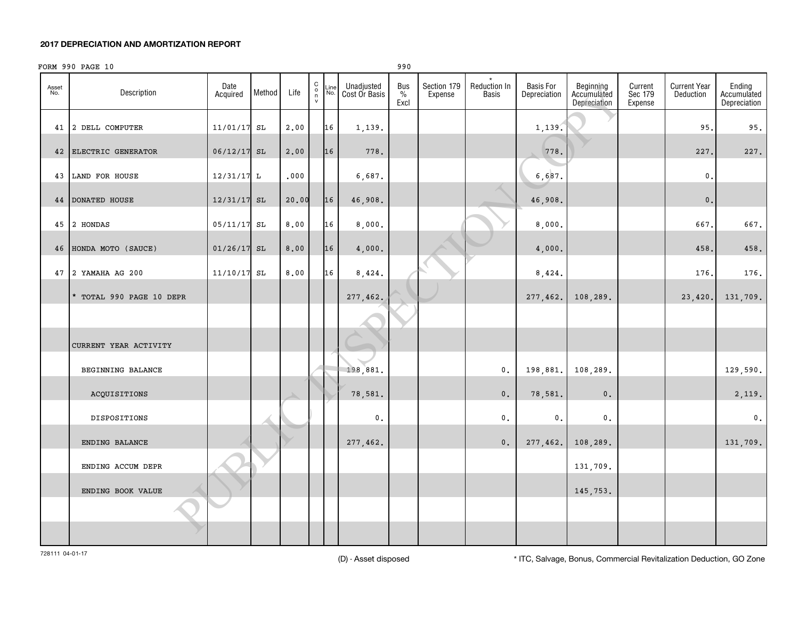### **2017 DEPRECIATION AND AMORTIZATION REPORT**

|              | FORM 990 PAGE 10         |                  |        |       |                                              |             |                             | 990                 |                        |                       |                                  |                                          |                               |                                         |                                       |
|--------------|--------------------------|------------------|--------|-------|----------------------------------------------|-------------|-----------------------------|---------------------|------------------------|-----------------------|----------------------------------|------------------------------------------|-------------------------------|-----------------------------------------|---------------------------------------|
| Asset<br>No. | Description              | Date<br>Acquired | Method | Life  | $\begin{array}{c}\nC \\ O \\ N\n\end{array}$ | Line<br>No. | Unadjusted<br>Cost Or Basis | Bus<br>$\%$<br>Excl | Section 179<br>Expense | Reduction In<br>Basis | <b>Basis For</b><br>Depreciation | Beginning<br>Accumulated<br>Depreciation | Current<br>Sec 179<br>Expense | <b>Current Year</b><br><b>Deduction</b> | Ending<br>Accumulated<br>Depreciation |
|              | 41 2 DELL COMPUTER       | $11/01/17$ SL    |        | 2,00  |                                              | 16          | 1,139.                      |                     |                        |                       | 1,139.                           |                                          |                               | 95                                      | 95.                                   |
|              | 42 ELECTRIC GENERATOR    | $06/12/17$ SL    |        | 2,00  |                                              | 16          | 778.                        |                     |                        |                       | 778.                             |                                          |                               | 227.                                    | 227.                                  |
|              | 43 LAND FOR HOUSE        | 12/31/17 L       |        | .000  |                                              |             | 6,687.                      |                     |                        |                       | 6,687.                           |                                          |                               | $\mathbf{0}$                            |                                       |
|              | <b>44 DONATED HOUSE</b>  | $12/31/17$ SL    |        | 20.00 |                                              | 16          | 46,908.                     |                     |                        |                       | 46,908.                          |                                          |                               | $\mathbf 0$ .                           |                                       |
|              | 45 2 HONDAS              | $05/11/17$ SL    |        | 8.00  |                                              | 16          | 8,000.                      |                     |                        |                       | 8,000.                           |                                          |                               | 667                                     | 667.                                  |
|              | 46 HONDA MOTO (SAUCE)    | $01/26/17$ SL    |        | 8.00  |                                              | 16          | 4,000.                      |                     |                        |                       | 4,000.                           |                                          |                               | 458                                     | 458.                                  |
|              | 47 2 YAMAHA AG 200       | $11/10/17$ SL    |        | 8,00  |                                              | 16          | 8,424.                      |                     |                        |                       | 8,424.                           |                                          |                               | 176.                                    | 176.                                  |
|              | * TOTAL 990 PAGE 10 DEPR |                  |        |       |                                              |             | 277,462.                    |                     |                        |                       | 277,462.                         | 108,289.                                 |                               | 23,420.                                 | 131,709.                              |
|              |                          |                  |        |       |                                              |             |                             |                     |                        |                       |                                  |                                          |                               |                                         |                                       |
|              | CURRENT YEAR ACTIVITY    |                  |        |       |                                              |             |                             |                     |                        |                       |                                  |                                          |                               |                                         |                                       |
|              | BEGINNING BALANCE        |                  |        |       |                                              |             | 198,881.                    |                     |                        | $\mathbf{0}$ .        | 198,881.                         | 108,289.                                 |                               |                                         | 129,590.                              |
|              | ACQUISITIONS             |                  |        |       |                                              |             | 78,581.                     |                     |                        | $\mathbf{0}$ .        | 78,581.                          | $\mathbf 0$ .                            |                               |                                         | 2,119.                                |
|              | DISPOSITIONS             |                  |        |       |                                              |             | $\mathbf 0$ .               |                     |                        | $\mathbf{0}$ .        | $\mathbf 0$ .                    | 0.                                       |                               |                                         | $\mathbf 0$ .                         |
|              | ENDING BALANCE           |                  |        |       |                                              |             | 277,462.                    |                     |                        | $\mathbf 0$ .         | 277,462.                         | 108,289.                                 |                               |                                         | 131,709.                              |
|              | ENDING ACCUM DEPR        |                  |        |       |                                              |             |                             |                     |                        |                       |                                  | 131,709.                                 |                               |                                         |                                       |
|              | ENDING BOOK VALUE        |                  |        |       |                                              |             |                             |                     |                        |                       |                                  | 145,753.                                 |                               |                                         |                                       |
|              |                          |                  |        |       |                                              |             |                             |                     |                        |                       |                                  |                                          |                               |                                         |                                       |
|              |                          |                  |        |       |                                              |             |                             |                     |                        |                       |                                  |                                          |                               |                                         |                                       |

(D) - Asset disposed \* ITC, Salvage, Bonus, Commercial Revitalization Deduction, GO Zone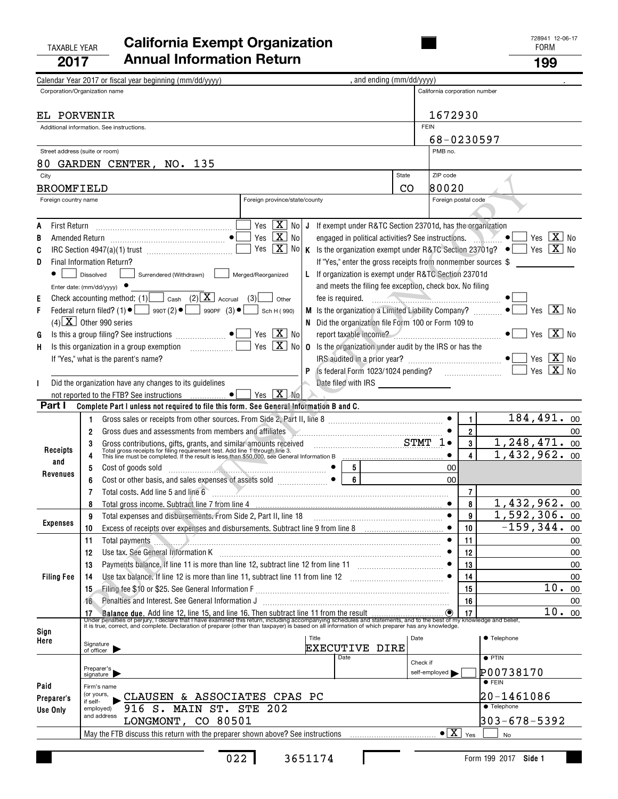## TAXABLE YEAR **California Exempt Organization Taxable Year 19941 2017Annual Information Return <sup>199</sup>**

|        |                      | Calendar Year 2017 or fiscal year beginning (mm/dd/yyyy)                                                                                                                                                                                  | , and ending (mm/dd/yyyy)                                                                                  |             |                               |                     |                           |                                  |
|--------|----------------------|-------------------------------------------------------------------------------------------------------------------------------------------------------------------------------------------------------------------------------------------|------------------------------------------------------------------------------------------------------------|-------------|-------------------------------|---------------------|---------------------------|----------------------------------|
|        |                      | Corporation/Organization name                                                                                                                                                                                                             |                                                                                                            |             | California corporation number |                     |                           |                                  |
|        |                      |                                                                                                                                                                                                                                           |                                                                                                            |             |                               |                     |                           |                                  |
|        |                      | EL PORVENIR                                                                                                                                                                                                                               |                                                                                                            |             | 1672930                       |                     |                           |                                  |
|        |                      | Additional information. See instructions.                                                                                                                                                                                                 |                                                                                                            | <b>FEIN</b> |                               |                     |                           |                                  |
|        |                      |                                                                                                                                                                                                                                           |                                                                                                            |             | 68-0230597                    |                     |                           |                                  |
|        |                      | Street address (suite or room)                                                                                                                                                                                                            |                                                                                                            |             | PMB no.                       |                     |                           |                                  |
| City   |                      | 80 GARDEN CENTER, NO. 135                                                                                                                                                                                                                 |                                                                                                            | State       | ZIP code                      |                     |                           |                                  |
|        | BROOMFIELD           |                                                                                                                                                                                                                                           |                                                                                                            | CO          | 80020                         |                     |                           |                                  |
|        | Foreign country name | Foreign province/state/county                                                                                                                                                                                                             |                                                                                                            |             |                               | Foreign postal code |                           |                                  |
|        |                      |                                                                                                                                                                                                                                           |                                                                                                            |             |                               |                     |                           |                                  |
|        | First Return         |                                                                                                                                                                                                                                           | Yes $\boxed{\mathbf{X}}$ No $\boxed{\mathbf{J}}$ If exempt under R&TC Section 23701d, has the organization |             |                               |                     |                           |                                  |
| B      |                      | Yes $\boxed{\mathbf{X}}$<br>No                                                                                                                                                                                                            | engaged in political activities? See instructions.                                                         |             |                               |                     | Yes                       | $\boxed{\text{X}}$ No            |
| C      |                      | Yes $\boxed{\mathbf{X}}$                                                                                                                                                                                                                  | No   K Is the organization exempt under R&TC Section 23701g? $\bullet$   Yes $\boxed{\mathbf{X}}$ No       |             |                               |                     |                           |                                  |
| D      |                      | Final Information Return?                                                                                                                                                                                                                 | If "Yes," enter the gross receipts from nonmember sources \$                                               |             |                               |                     |                           |                                  |
|        |                      | Surrendered (Withdrawn) Merged/Reorganized<br>Dissolved                                                                                                                                                                                   | L If organization is exempt under R&TC Section 23701d                                                      |             |                               |                     |                           |                                  |
|        |                      | Enter date: (mm/dd/yyyy) ●                                                                                                                                                                                                                | and meets the filing fee exception, check box. No filing                                                   |             |                               |                     |                           |                                  |
| E      |                      | Check accounting method: (1) $\Box$ Cash (2) $\Box$ Accrual (3)<br>Other                                                                                                                                                                  | fee is required.                                                                                           |             |                               |                     |                           |                                  |
| F      |                      | Federal return filed? (1) $\bullet$ $\Box$ 990T (2) $\bullet$ $\Box$ 990PF (3) $\bullet$<br>Sch H (990)                                                                                                                                   |                                                                                                            |             |                               |                     |                           | Yes $\overline{X}$ No            |
|        |                      | $(4)$ $X$ Other 990 series<br>$\boxed{\mathbf{X}}$ No                                                                                                                                                                                     | N Did the organization file Form 100 or Form 109 to                                                        |             |                               |                     |                           | Yes $ \overline{\mathbf{X}} $ No |
| G<br>н |                      | Yes<br>$\boxed{\text{X}}$<br>Yes<br><b>No</b>                                                                                                                                                                                             | <b>0</b> Is the organization under audit by the IRS or has the                                             |             |                               |                     |                           |                                  |
|        |                      | If "Yes," what is the parent's name?                                                                                                                                                                                                      |                                                                                                            |             |                               |                     | Yes                       | - X  <br>No                      |
|        |                      |                                                                                                                                                                                                                                           |                                                                                                            |             |                               |                     | Yes                       | $X$ No                           |
|        |                      | Did the organization have any changes to its guidelines                                                                                                                                                                                   | Date filed with IRS __________________                                                                     |             |                               |                     |                           |                                  |
|        |                      | Yes $\boxed{\mathbf{X}}$ No.<br>not reported to the FTB? See instructions<br>$\bullet$                                                                                                                                                    |                                                                                                            |             |                               |                     |                           |                                  |
|        | Part I               | Complete Part I unless not required to file this form. See General Information B and C.                                                                                                                                                   |                                                                                                            |             |                               |                     |                           |                                  |
|        |                      | 1                                                                                                                                                                                                                                         |                                                                                                            |             |                               | $\mathbf{1}$        | 184,491.00                |                                  |
|        |                      | Gross dues and assessments from members and affiliates Manuscritt Manuscritt and assessments from members and<br>2                                                                                                                        |                                                                                                            |             |                               | $\mathbf 2$         |                           | 00                               |
|        | Receipts             | Gross contributions, gifts, grants, and similar amounts received<br>Total gross receipts for filing requirement test. Add line 1 through line 3.<br>This line must be completed. If the result is less than \$50,000, see General In<br>3 |                                                                                                            |             |                               | $\mathbf{3}$        | $1,248,471.$ 00           |                                  |
|        | and                  | 4                                                                                                                                                                                                                                         |                                                                                                            |             |                               | 4                   | $1,432,962.$ 00           |                                  |
|        | Revenues             | Cost of goods sold entertainment of the state of the state of the state of the state of the state of the state of the state of the state of the state of the state of the state of the state of the state of the state of the<br>5        | 5 <sup>1</sup><br>$\overline{6}$                                                                           |             | 00                            |                     |                           |                                  |
|        |                      | 6<br>7                                                                                                                                                                                                                                    |                                                                                                            |             | 00                            | 7                   |                           | 00                               |
|        |                      | Total costs. Add line 5 and line 6 manual contract of the Second Line of the Second Line of the Second Line of the Second Line of the Second Line of the Second Line of the Second Line of the Second Line of the Second Line<br>8        |                                                                                                            |             |                               | 8                   | 1,432,962. 00             |                                  |
|        |                      | 9                                                                                                                                                                                                                                         |                                                                                                            |             | $\bullet$                     | 9                   | 1,592,306.00              |                                  |
|        | <b>Expenses</b>      | Excess of receipts over expenses and disbursements. Subtract line 9 from line 8<br>10                                                                                                                                                     |                                                                                                            |             |                               | 10                  | $-159, 344.$ 00           |                                  |
|        |                      | 11<br>Total payments                                                                                                                                                                                                                      |                                                                                                            |             |                               | 11                  |                           | 00                               |
|        |                      | Use tax. See General Information K<br>12                                                                                                                                                                                                  |                                                                                                            |             |                               | 12                  |                           | 00                               |
|        |                      | Payments balance. If line 11 is more than line 12, subtract line 12 from line 11<br>13                                                                                                                                                    |                                                                                                            |             |                               | 13                  |                           | 00                               |
|        | <b>Filing Fee</b>    | Use tax balance. If line 12 is more than line 11, subtract line 11 from line 12 [11] [12] [11] [12] [11] [12] [11] [12] [11] [12] [11] [12] [11] [12] [11] [12] [11] [12] [11] [12] [11] [12] [11] [12] [11] [12] [11] [12] [1<br>14      |                                                                                                            |             |                               | 14                  |                           | 00                               |
|        |                      | 15                                                                                                                                                                                                                                        |                                                                                                            |             |                               | 15                  |                           | 10.00                            |
|        |                      | Penalties and Interest. See General Information J<br>16                                                                                                                                                                                   |                                                                                                            |             |                               | 16                  |                           | 00                               |
|        |                      |                                                                                                                                                                                                                                           |                                                                                                            |             |                               |                     |                           | 10.00                            |
| Sign   |                      |                                                                                                                                                                                                                                           |                                                                                                            |             |                               |                     |                           |                                  |
| Here   |                      | Signature                                                                                                                                                                                                                                 | Title<br>EXECUTIVE DIRE                                                                                    | Date        |                               |                     | <b>• Telephone</b>        |                                  |
|        |                      | of officer                                                                                                                                                                                                                                | Date                                                                                                       | Check if    |                               |                     | $\overline{\bullet}$ PTIN |                                  |
|        |                      | Preparer's<br>signature                                                                                                                                                                                                                   |                                                                                                            |             | self-employed                 |                     | P00738170                 |                                  |
| Paid   |                      | Firm's name                                                                                                                                                                                                                               |                                                                                                            |             |                               |                     | $\bullet$ FEIN            |                                  |
|        | Preparer's           | (or yours,<br>CLAUSEN & ASSOCIATES CPAS PC<br>if self-                                                                                                                                                                                    |                                                                                                            |             |                               |                     | 20-1461086                |                                  |
|        | Use Only             | 916 S. MAIN ST. STE 202<br>employed)                                                                                                                                                                                                      |                                                                                                            |             |                               |                     | $\bullet$ Telephone       |                                  |
|        |                      | and address<br>LONGMONT, CO 80501                                                                                                                                                                                                         |                                                                                                            |             |                               |                     | 303-678-5392              |                                  |
|        |                      |                                                                                                                                                                                                                                           |                                                                                                            |             | $\bullet$ $\boxed{\text{X}}$  | Yes                 | No                        |                                  |
|        |                      |                                                                                                                                                                                                                                           |                                                                                                            |             |                               |                     |                           |                                  |

<sup>022</sup> <sup>3651174</sup>

 $\mathbf I$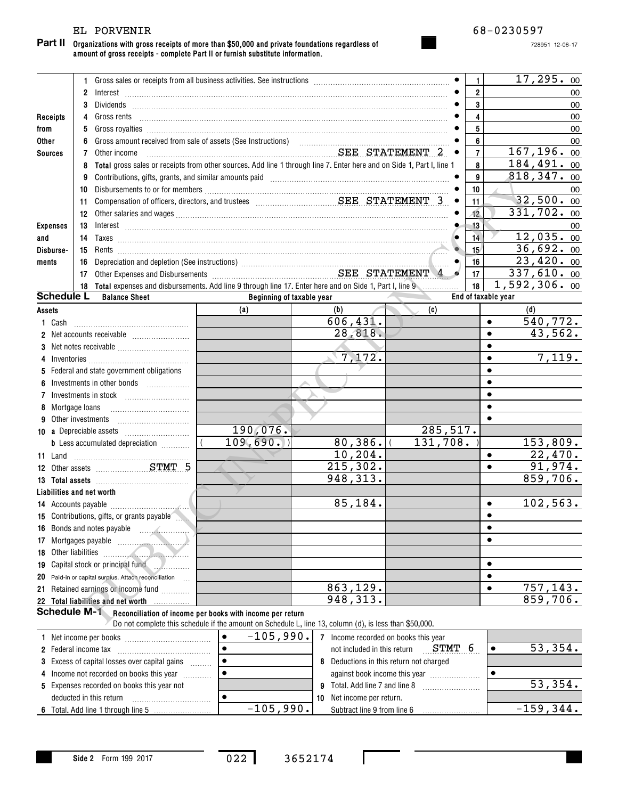# EL PORVENIR 68-0230597

**Organizations with gross receipts of more than \$50,000 and private foundations regardless of amount of gross receipts - complete Part II or furnish substitute information. Part II**

728951 12-06-17

|                 |                             |                 | 1 Gross sales or receipts from all business activities. See instructions [11] Gross sales or receipts from all business activities. See instructions [11] Gross sales or receipts from all business activities.                                                                                                                                          |                               |                                      |                                       | $\mathbf{1}$            |           | 17,295.00       |
|-----------------|-----------------------------|-----------------|----------------------------------------------------------------------------------------------------------------------------------------------------------------------------------------------------------------------------------------------------------------------------------------------------------------------------------------------------------|-------------------------------|--------------------------------------|---------------------------------------|-------------------------|-----------|-----------------|
|                 |                             | $\mathbf{2}$    |                                                                                                                                                                                                                                                                                                                                                          |                               |                                      |                                       | $\overline{2}$          |           | 00              |
|                 |                             | 3               |                                                                                                                                                                                                                                                                                                                                                          |                               |                                      |                                       | $\mathbf 3$             |           | 00              |
| Receipts        |                             | 4               |                                                                                                                                                                                                                                                                                                                                                          |                               |                                      |                                       | $\overline{\mathbf{4}}$ |           | 00              |
| from            |                             | 5               |                                                                                                                                                                                                                                                                                                                                                          |                               |                                      |                                       | $5\phantom{a}$          |           | 00              |
| Other           |                             | 6               |                                                                                                                                                                                                                                                                                                                                                          |                               |                                      |                                       | 6                       |           | 00              |
| <b>Sources</b>  |                             | $\mathbf{7}$    | Other income                                                                                                                                                                                                                                                                                                                                             |                               | SEE STATEMENT 2                      |                                       | $\overline{7}$          |           | 167, 196.00     |
|                 |                             | 8               | Total gross sales or receipts from other sources. Add line 1 through line 7. Enter here and on Side 1, Part I, line 1                                                                                                                                                                                                                                    |                               |                                      |                                       | 8                       |           | 184,491.00      |
|                 |                             | 9               | Contributions, gifts, grants, and similar amounts paid [11] [11] [12] [12] [12] [12] [13] [13] [13] [13] [13] [                                                                                                                                                                                                                                          |                               |                                      |                                       | $\boldsymbol{9}$        |           | 818, 347.00     |
|                 |                             | 10              |                                                                                                                                                                                                                                                                                                                                                          |                               |                                      |                                       | 10                      |           | 00              |
|                 |                             |                 |                                                                                                                                                                                                                                                                                                                                                          |                               |                                      |                                       | 11                      |           | 32,500.00       |
|                 |                             | 12 <sup>°</sup> |                                                                                                                                                                                                                                                                                                                                                          |                               |                                      |                                       | $\overline{A2}$         |           | 331,702.00      |
| <b>Expenses</b> |                             | 13              | $Interest \begin{array}{c} \rule{2.5cm}{0.15cm} \rule{2.5cm}{0.15cm} \rule{2.5cm}{0.15cm} \rule{2.5cm}{0.15cm} \rule{2.5cm}{0.15cm} \rule{2.5cm}{0.15cm} \rule{2.5cm}{0.15cm} \rule{2.5cm}{0.15cm} \rule{2.5cm}{0.15cm} \rule{2.5cm}{0.15cm} \rule{2.5cm}{0.15cm} \rule{2.5cm}{0.15cm} \rule{2.5cm}{0.15cm} \rule{2.5cm}{0.15cm} \rule{2.5cm}{0.15cm} \$ |                               |                                      |                                       | 13                      |           | 00              |
| and             |                             |                 |                                                                                                                                                                                                                                                                                                                                                          |                               |                                      |                                       | 14                      |           | 12,035.00       |
| Disburse-       |                             |                 |                                                                                                                                                                                                                                                                                                                                                          |                               |                                      |                                       | 15                      |           | 36,692.00       |
| ments           |                             | 16              |                                                                                                                                                                                                                                                                                                                                                          |                               |                                      |                                       | 16                      |           | 23,420.00       |
|                 |                             | 17              |                                                                                                                                                                                                                                                                                                                                                          |                               |                                      |                                       | 17 <sup>17</sup>        |           | 337,610.00      |
|                 |                             |                 | 18 Total expenses and disbursements. Add line 9 through line 17. Enter here and on Side 1, Part I, line 9                                                                                                                                                                                                                                                |                               |                                      |                                       | 18                      |           | 1,592,306.00    |
|                 | <b>Schedule L</b>           |                 | <b>Balance Sheet</b>                                                                                                                                                                                                                                                                                                                                     | Beginning of taxable year     |                                      |                                       | End of taxable year     |           |                 |
| Assets          |                             |                 |                                                                                                                                                                                                                                                                                                                                                          | (a)                           | (b)                                  | (c)                                   |                         |           | (d)             |
|                 | 1 Cash                      |                 |                                                                                                                                                                                                                                                                                                                                                          |                               | 606, 431.                            |                                       |                         | $\bullet$ | 540, 772.       |
|                 |                             |                 |                                                                                                                                                                                                                                                                                                                                                          |                               | 28,818.                              |                                       |                         | $\bullet$ | 43,562.         |
|                 |                             |                 |                                                                                                                                                                                                                                                                                                                                                          |                               |                                      |                                       |                         |           |                 |
|                 |                             |                 |                                                                                                                                                                                                                                                                                                                                                          |                               | 7,172.                               |                                       |                         |           | 7,119.          |
|                 |                             |                 | 5 Federal and state government obligations                                                                                                                                                                                                                                                                                                               |                               |                                      |                                       |                         |           |                 |
|                 |                             |                 | Investments in other bonds                                                                                                                                                                                                                                                                                                                               |                               |                                      |                                       |                         |           |                 |
|                 |                             |                 |                                                                                                                                                                                                                                                                                                                                                          |                               |                                      |                                       |                         |           |                 |
|                 | Mortgage loans              |                 |                                                                                                                                                                                                                                                                                                                                                          |                               |                                      |                                       |                         |           |                 |
|                 |                             |                 | Other investments <b>contained contained contained contained contained contained </b>                                                                                                                                                                                                                                                                    |                               |                                      |                                       |                         |           |                 |
|                 |                             |                 |                                                                                                                                                                                                                                                                                                                                                          | 190,076.                      |                                      | 285,517.                              |                         |           |                 |
|                 |                             |                 | <b>b</b> Less accumulated depreciation <i></i>                                                                                                                                                                                                                                                                                                           | 109,690.                      | 80,386.                              | 131,708.                              |                         |           | 153,809.        |
|                 |                             |                 |                                                                                                                                                                                                                                                                                                                                                          |                               | 10, 204.                             |                                       |                         | $\bullet$ | 22,470.         |
|                 |                             |                 | 12 Other assets <b>STMT 5</b>                                                                                                                                                                                                                                                                                                                            |                               | 215, 302.                            |                                       |                         | $\bullet$ | 91,974.         |
|                 |                             |                 |                                                                                                                                                                                                                                                                                                                                                          |                               | 948, 313.                            |                                       |                         |           | 859,706.        |
|                 |                             |                 | Liabilities and net worth                                                                                                                                                                                                                                                                                                                                |                               |                                      |                                       |                         |           |                 |
|                 |                             |                 |                                                                                                                                                                                                                                                                                                                                                          |                               | 85,184.                              |                                       |                         | $\bullet$ | 102, 563.       |
|                 |                             |                 | 15 Contributions, gifts, or grants payable                                                                                                                                                                                                                                                                                                               |                               |                                      |                                       |                         |           |                 |
|                 |                             |                 |                                                                                                                                                                                                                                                                                                                                                          |                               |                                      |                                       |                         | $\bullet$ |                 |
| 17              |                             |                 | Mortgages payable                                                                                                                                                                                                                                                                                                                                        |                               |                                      |                                       |                         |           |                 |
| 18              | Other liabilities           |                 |                                                                                                                                                                                                                                                                                                                                                          |                               |                                      |                                       |                         |           |                 |
| 19              |                             |                 | Capital stock or principal fund                                                                                                                                                                                                                                                                                                                          |                               |                                      |                                       |                         |           |                 |
| 20              |                             |                 | Paid-in or capital surplus. Attach reconciliation                                                                                                                                                                                                                                                                                                        |                               |                                      |                                       |                         |           |                 |
| 21              |                             |                 | Retained earnings or income fund                                                                                                                                                                                                                                                                                                                         |                               | 863,129.                             |                                       |                         |           | <u>757,143.</u> |
|                 |                             |                 | 22 Total liabilities and net worth                                                                                                                                                                                                                                                                                                                       |                               | 948, 313.                            |                                       |                         |           | 859,706.        |
|                 | <b>Schedule M-1</b>         |                 | Reconciliation of income per books with income per return                                                                                                                                                                                                                                                                                                |                               |                                      |                                       |                         |           |                 |
|                 |                             |                 | Do not complete this schedule if the amount on Schedule L, line 13, column (d), is less than \$50,000.                                                                                                                                                                                                                                                   |                               |                                      |                                       |                         |           |                 |
|                 |                             |                 |                                                                                                                                                                                                                                                                                                                                                          | $-105,990.$<br>$\bullet$      | 7 Income recorded on books this year |                                       |                         |           |                 |
|                 | <b>2</b> Federal income tax |                 |                                                                                                                                                                                                                                                                                                                                                          |                               | not included in this return          | STMT 6                                |                         |           | 53,354.         |
| 3               |                             |                 | Excess of capital losses over capital gains                                                                                                                                                                                                                                                                                                              | $\bullet$                     | 8                                    | Deductions in this return not charged |                         |           |                 |
|                 |                             |                 | Income not recorded on books this year                                                                                                                                                                                                                                                                                                                   | against book income this year |                                      |                                       |                         |           |                 |
|                 |                             |                 | 5 Expenses recorded on books this year not                                                                                                                                                                                                                                                                                                               |                               | Total. Add line 7 and line 8<br>9    |                                       |                         | 53,354.   |                 |
|                 |                             |                 | deducted in this return                                                                                                                                                                                                                                                                                                                                  | $\bullet$                     | Net income per return.<br>10         |                                       |                         |           |                 |
|                 |                             |                 |                                                                                                                                                                                                                                                                                                                                                          | $-105,990.$                   | Subtract line 9 from line 6          |                                       |                         |           | $-159, 344.$    |
|                 |                             |                 |                                                                                                                                                                                                                                                                                                                                                          |                               |                                      |                                       |                         |           |                 |

022 3652174

 $\mathbf I$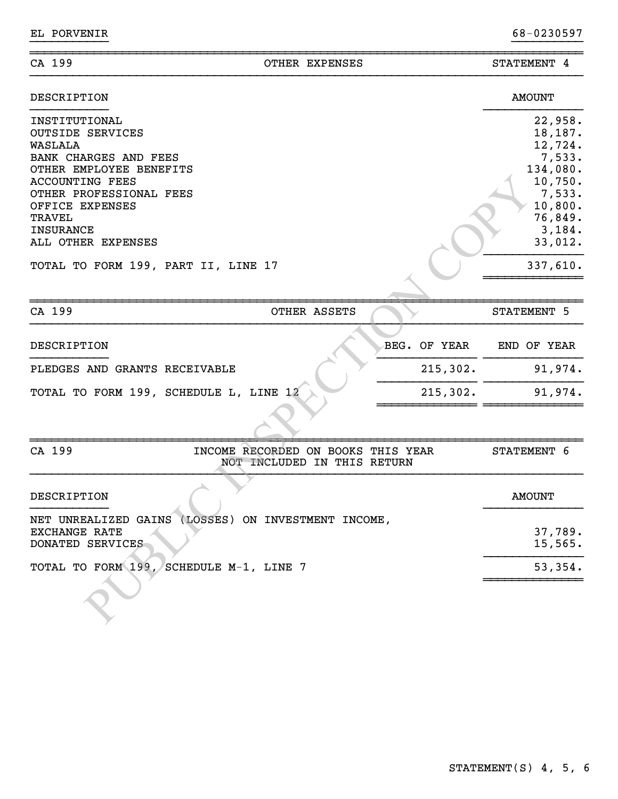| EL PORVENIR |  |
|-------------|--|
|             |  |

| CA 199                                                                                                                                                                                                                                                                            | OTHER EXPENSES                                                    |                 | STATEMENT 4                                                                                                                     |
|-----------------------------------------------------------------------------------------------------------------------------------------------------------------------------------------------------------------------------------------------------------------------------------|-------------------------------------------------------------------|-----------------|---------------------------------------------------------------------------------------------------------------------------------|
| DESCRIPTION                                                                                                                                                                                                                                                                       |                                                                   |                 | <b>AMOUNT</b>                                                                                                                   |
| INSTITUTIONAL<br><b>OUTSIDE SERVICES</b><br>WASLALA<br>BANK CHARGES AND FEES<br>OTHER EMPLOYEE BENEFITS<br><b>ACCOUNTING FEES</b><br>OTHER PROFESSIONAL FEES<br>OFFICE EXPENSES<br><b>TRAVEL</b><br><b>INSURANCE</b><br>ALL OTHER EXPENSES<br>TOTAL TO FORM 199, PART II, LINE 17 |                                                                   |                 | 22,958.<br>18,187.<br>12,724.<br>7,533.<br>134,080.<br>10,750.<br>7,533.<br>10,800.<br>76,849.<br>3,184.<br>33,012.<br>337,610. |
| CA 199                                                                                                                                                                                                                                                                            | OTHER ASSETS                                                      |                 | STATEMENT 5                                                                                                                     |
| DESCRIPTION                                                                                                                                                                                                                                                                       |                                                                   | OF YEAR<br>BEG. | END OF YEAR                                                                                                                     |
| PLEDGES AND GRANTS RECEIVABLE                                                                                                                                                                                                                                                     |                                                                   | 215, 302.       | 91,974.                                                                                                                         |
| TOTAL TO FORM 199, SCHEDULE L, LINE 12                                                                                                                                                                                                                                            |                                                                   | 215,302.        | 91,974.                                                                                                                         |
|                                                                                                                                                                                                                                                                                   |                                                                   |                 |                                                                                                                                 |
| CA 199                                                                                                                                                                                                                                                                            | INCOME RECORDED ON BOOKS THIS YEAR<br>NOT INCLUDED IN THIS RETURN |                 | STATEMENT 6                                                                                                                     |
| DESCRIPTION                                                                                                                                                                                                                                                                       |                                                                   |                 | <b>AMOUNT</b>                                                                                                                   |
| NET UNREALIZED GAINS (LOSSES) ON INVESTMENT INCOME,<br><b>EXCHANGE RATE</b><br>DONATED SERVICES                                                                                                                                                                                   |                                                                   |                 | 37,789.<br>15,565.                                                                                                              |
| TOTAL TO FORM 199,<br>SCHEDULE M-1, LINE 7                                                                                                                                                                                                                                        |                                                                   |                 | 53,354.                                                                                                                         |
|                                                                                                                                                                                                                                                                                   |                                                                   |                 |                                                                                                                                 |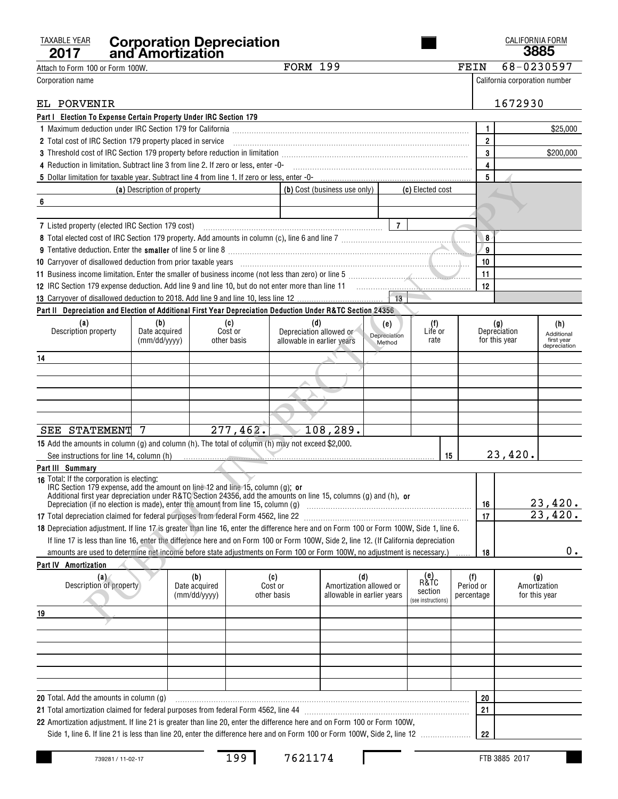| <b>TAXABLE YEAR</b><br>2017                                                                                                                                                                                                                                                            |                             | <b>Corporation Depreciation</b><br>and Amortization |                                      |                            |                                                              |              |                                              |                                |          | CALIFORNIA FORM                      | 3885                       |
|----------------------------------------------------------------------------------------------------------------------------------------------------------------------------------------------------------------------------------------------------------------------------------------|-----------------------------|-----------------------------------------------------|--------------------------------------|----------------------------|--------------------------------------------------------------|--------------|----------------------------------------------|--------------------------------|----------|--------------------------------------|----------------------------|
| Attach to Form 100 or Form 100W.                                                                                                                                                                                                                                                       |                             |                                                     |                                      | <b>FORM 199</b>            |                                                              |              |                                              |                                | FEIN     | 68-0230597                           |                            |
| Corporation name                                                                                                                                                                                                                                                                       |                             |                                                     |                                      |                            |                                                              |              |                                              |                                |          | California corporation number        |                            |
| EL PORVENIR                                                                                                                                                                                                                                                                            |                             |                                                     |                                      |                            |                                                              |              |                                              |                                |          | 1672930                              |                            |
| Part I Election To Expense Certain Property Under IRC Section 179                                                                                                                                                                                                                      |                             |                                                     |                                      |                            |                                                              |              |                                              |                                |          |                                      |                            |
|                                                                                                                                                                                                                                                                                        |                             |                                                     |                                      |                            |                                                              |              |                                              |                                | 1        |                                      | \$25,000                   |
| 2 Total cost of IRC Section 179 property placed in service                                                                                                                                                                                                                             |                             |                                                     |                                      |                            |                                                              |              |                                              | $\mathbf{2}$                   |          |                                      |                            |
|                                                                                                                                                                                                                                                                                        |                             |                                                     |                                      |                            |                                                              |              |                                              |                                | 3        |                                      | \$200,000                  |
| 4 Reduction in limitation. Subtract line 3 from line 2. If zero or less, enter -0-                                                                                                                                                                                                     |                             |                                                     |                                      |                            |                                                              |              |                                              |                                | 4        |                                      |                            |
|                                                                                                                                                                                                                                                                                        |                             |                                                     |                                      |                            |                                                              |              |                                              |                                | 5        |                                      |                            |
|                                                                                                                                                                                                                                                                                        | (a) Description of property |                                                     |                                      |                            | (b) Cost (business use only) $\vert$                         |              | (c) Elected cost                             |                                |          |                                      |                            |
| 6                                                                                                                                                                                                                                                                                      |                             |                                                     |                                      |                            |                                                              |              |                                              |                                |          |                                      |                            |
|                                                                                                                                                                                                                                                                                        |                             |                                                     |                                      |                            |                                                              |              |                                              |                                |          |                                      |                            |
| 7 Listed property (elected IRC Section 179 cost)                                                                                                                                                                                                                                       |                             |                                                     |                                      |                            |                                                              | 7            |                                              |                                |          |                                      |                            |
|                                                                                                                                                                                                                                                                                        |                             |                                                     |                                      |                            |                                                              |              |                                              |                                | 8        |                                      |                            |
|                                                                                                                                                                                                                                                                                        |                             |                                                     |                                      |                            |                                                              |              |                                              |                                | 9        |                                      |                            |
| 10 Carryover of disallowed deduction from prior taxable years [11] [12] carryover contracts and account of the contract of the contract of the contract of the contract of the contract of the contract of the contract of the                                                         |                             |                                                     |                                      |                            |                                                              |              |                                              |                                | 10       |                                      |                            |
|                                                                                                                                                                                                                                                                                        |                             |                                                     |                                      |                            |                                                              |              |                                              |                                | 11<br>12 |                                      |                            |
|                                                                                                                                                                                                                                                                                        |                             |                                                     |                                      |                            |                                                              |              |                                              |                                |          |                                      |                            |
| Part II Depreciation and Election of Additional First Year Depreciation Deduction Under R&TC Section 24356                                                                                                                                                                             |                             |                                                     |                                      |                            |                                                              |              |                                              |                                |          |                                      |                            |
| (a)                                                                                                                                                                                                                                                                                    | (b)                         |                                                     | (c)                                  | (d)                        |                                                              | (e)          | (1)                                          |                                |          | (g)                                  | (h)                        |
| Description property                                                                                                                                                                                                                                                                   | Date acquired               |                                                     | Cost or                              | Depreciation allowed or    |                                                              | Depreciation | Life <sup>or</sup>                           |                                |          | Depreciation                         | Additional                 |
|                                                                                                                                                                                                                                                                                        | (mm/dd/yyyy)                |                                                     | other basis                          | allowable in earlier years |                                                              | Method       | rate                                         |                                |          | for this year                        | first year<br>depreciation |
| 14                                                                                                                                                                                                                                                                                     |                             |                                                     |                                      |                            |                                                              |              |                                              |                                |          |                                      |                            |
|                                                                                                                                                                                                                                                                                        |                             |                                                     |                                      |                            |                                                              |              |                                              |                                |          |                                      |                            |
|                                                                                                                                                                                                                                                                                        |                             |                                                     |                                      |                            |                                                              |              |                                              |                                |          |                                      |                            |
|                                                                                                                                                                                                                                                                                        |                             |                                                     |                                      |                            |                                                              |              |                                              |                                |          |                                      |                            |
|                                                                                                                                                                                                                                                                                        |                             |                                                     |                                      |                            |                                                              |              |                                              |                                |          |                                      |                            |
|                                                                                                                                                                                                                                                                                        |                             |                                                     |                                      |                            |                                                              |              |                                              |                                |          |                                      |                            |
| SEE STATEMENT                                                                                                                                                                                                                                                                          | 7                           |                                                     | 277,462.                             |                            | 108,289.                                                     |              |                                              |                                |          |                                      |                            |
| 15 Add the amounts in column (g) and column (h). The total of column (h) may not exceed \$2,000.                                                                                                                                                                                       |                             |                                                     |                                      |                            |                                                              |              |                                              |                                |          |                                      |                            |
| See instructions for line 14, column (h)                                                                                                                                                                                                                                               |                             |                                                     |                                      |                            |                                                              |              |                                              | 15                             |          | 23,420.                              |                            |
| Part III Summary<br>16 Total: If the corporation is electing:                                                                                                                                                                                                                          |                             |                                                     |                                      |                            |                                                              |              |                                              |                                |          |                                      |                            |
| IRC Section 179 expense, add the amount on line 12 and line 15, column (g); or<br>Additional first year depreciation under R&TC Section 24356, add the amounts on line 15, columns (g) and (h), or<br>Depreciation (if no election is made), enter the amount from line 15, column (g) |                             |                                                     |                                      |                            |                                                              |              |                                              |                                | 16       |                                      | <u>23,420.</u>             |
| 17 Total depreciation claimed for federal purposes from federal Form 4562, line 22                                                                                                                                                                                                     |                             |                                                     |                                      |                            |                                                              |              |                                              |                                | 17       |                                      | $\overline{23,420}$ .      |
| 18 Depreciation adjustment. If line 17 is greater than line 16, enter the difference here and on Form 100 or Form 100W, Side 1, line 6.                                                                                                                                                |                             |                                                     |                                      |                            |                                                              |              |                                              |                                |          |                                      |                            |
| If line 17 is less than line 16, enter the difference here and on Form 100 or Form 100W, Side 2, line 12. (If California depreciation                                                                                                                                                  |                             |                                                     |                                      |                            |                                                              |              |                                              |                                |          |                                      |                            |
| amounts are used to determine net income before state adjustments on Form 100 or Form 100W, no adjustment is necessary.)                                                                                                                                                               |                             |                                                     |                                      |                            |                                                              |              |                                              |                                | 18       |                                      | $0$ .                      |
| <b>Part IV</b> Amortization                                                                                                                                                                                                                                                            |                             |                                                     |                                      |                            |                                                              |              |                                              |                                |          |                                      |                            |
| (a)<br>Description of property                                                                                                                                                                                                                                                         |                             | Date acquired<br>(mm/dd/yyyy)                       | (b)<br>(c)<br>Cost or<br>other basis |                            | (d)<br>Amortization allowed or<br>allowable in earlier years |              | (e)<br>R&TC<br>section<br>(see instructions) | (1)<br>Period or<br>percentage |          | (g)<br>Amortization<br>for this year |                            |
| 19                                                                                                                                                                                                                                                                                     |                             |                                                     |                                      |                            |                                                              |              |                                              |                                |          |                                      |                            |
|                                                                                                                                                                                                                                                                                        |                             |                                                     |                                      |                            |                                                              |              |                                              |                                |          |                                      |                            |
|                                                                                                                                                                                                                                                                                        |                             |                                                     |                                      |                            |                                                              |              |                                              |                                |          |                                      |                            |
|                                                                                                                                                                                                                                                                                        |                             |                                                     |                                      |                            |                                                              |              |                                              |                                |          |                                      |                            |
|                                                                                                                                                                                                                                                                                        |                             |                                                     |                                      |                            |                                                              |              |                                              |                                |          |                                      |                            |
|                                                                                                                                                                                                                                                                                        |                             |                                                     |                                      |                            |                                                              |              |                                              |                                |          |                                      |                            |
|                                                                                                                                                                                                                                                                                        |                             |                                                     |                                      |                            |                                                              |              |                                              |                                |          |                                      |                            |
| <b>20</b> Total. Add the amounts in column (g)                                                                                                                                                                                                                                         |                             |                                                     |                                      |                            |                                                              |              |                                              |                                | 20       |                                      |                            |
| 21 Total amortization claimed for federal purposes from federal Form 4562, line 44                                                                                                                                                                                                     |                             |                                                     |                                      |                            |                                                              |              |                                              |                                | 21       |                                      |                            |
| 22 Amortization adjustment. If line 21 is greater than line 20, enter the difference here and on Form 100 or Form 100W,                                                                                                                                                                |                             |                                                     |                                      |                            |                                                              |              |                                              |                                | 22       |                                      |                            |

<sup>199</sup> <sup>7621174</sup>

 $\mathsf{L}$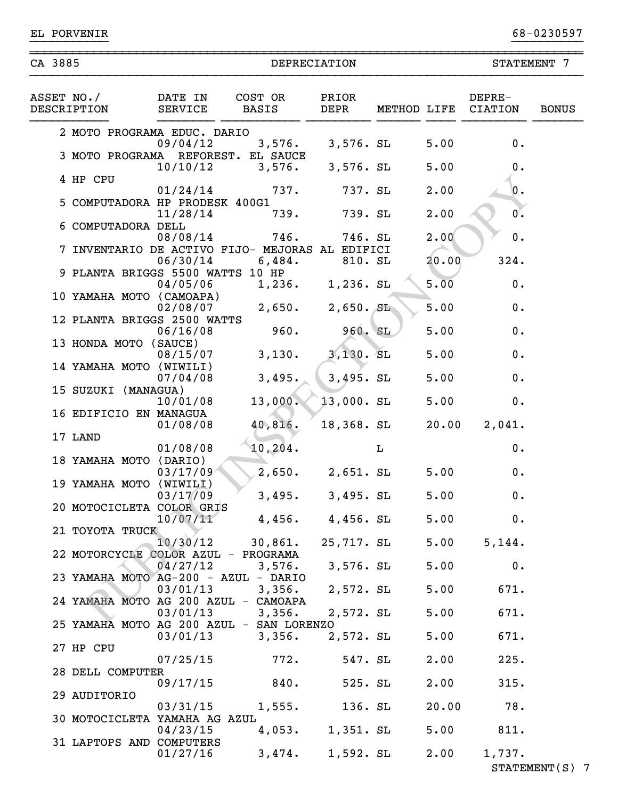# 68-0230597

| CA 3885 |                                                       |                           | DEPRECIATION            |               |             |                   | STATEMENT 7              |              |
|---------|-------------------------------------------------------|---------------------------|-------------------------|---------------|-------------|-------------------|--------------------------|--------------|
|         | ASSET NO./<br>DESCRIPTION                             | DATE IN<br><b>SERVICE</b> | COST OR<br><b>BASIS</b> | PRIOR<br>DEPR | METHOD LIFE |                   | DEPRE-<br><b>CIATION</b> | <b>BONUS</b> |
|         | 2 MOTO PROGRAMA EDUC. DARIO                           | 09/04/12                  | 3,576.                  | $3,576.$ SL   |             | 5.00              | 0.                       |              |
|         | 3 MOTO PROGRAMA REFOREST. EL SAUCE                    | 10/10/12                  | 3,576.                  | $3,576.$ SL   |             | 5.00              | 0.                       |              |
|         | 4 HP CPU                                              | 01/24/14                  | 737.                    | 737. SL       |             | 2.00              | $\mathbf{0}$ .           |              |
|         | 5 COMPUTADORA HP PRODESK 400G1                        | 11/28/14                  | 739.                    | 739. SL       |             | 2.00              | $0^{\prime}$             |              |
|         | 6 COMPUTADORA DELL                                    | 08/08/14                  | 746.                    | 746. SL       |             | 2.00              | 0.                       |              |
|         | 7 INVENTARIO DE ACTIVO FIJO- MEJORAS AL EDIFICI       | 06/30/14                  | 6,484.                  | 810. SL       |             | 20.00             | 324.                     |              |
|         | 9 PLANTA BRIGGS 5500 WATTS 10 HP                      | 04/05/06                  | 1,236.                  | 1,236. SL     |             | $5.\overline{00}$ | 0.                       |              |
|         | 10 YAMAHA MOTO (CAMOAPA)                              | 02/08/07                  | 2,650.                  | $2,650.$ SL   |             | 5.00              | 0.                       |              |
|         | 12 PLANTA BRIGGS 2500 WATTS                           | 06/16/08                  | 960.                    | 960. SL       |             | 5.00              | 0.                       |              |
|         | 13 HONDA MOTO (SAUCE)                                 | 08/15/07                  | 3,130.                  | 3,130. SL     |             | 5.00              | 0.                       |              |
|         | 14 YAMAHA MOTO (WIWILI)                               | 07/04/08                  | 3,495.                  | 3,495. SL     |             | 5.00              | 0.                       |              |
|         | 15 SUZUKI (MANAGUA)                                   | 10/01/08                  | 13,000.                 | 13,000. SL    |             | 5.00              | 0.                       |              |
|         | 16 EDIFICIO EN MANAGUA                                | 01/08/08                  | 40,816.                 | 18,368. SL    |             | 20.00             | 2,041.                   |              |
|         | 17 LAND                                               | 01/08/08                  | 10, 204.                |               | г           |                   | 0.                       |              |
|         | 18 YAMAHA MOTO (DARIO)                                | 03/17/09                  | 2,650.                  | 2,651. SL     |             | 5.00              | 0.                       |              |
|         | 19 YAMAHA MOTO (WIWILI)                               | 03/17/09                  | 3,495.                  | 3,495. SL     |             | 5.00              | 0.                       |              |
|         | 20 MOTOCICLETA COLOR GRIS                             | 10/07/11                  | $4,456$ . $4,456$ . SL  |               |             | 5.00              | 0.                       |              |
|         | 21 TOYOTA TRUCK                                       | 10/30/12                  | 30,861.                 | 25,717. SL    |             | 5.00              | 5,144.                   |              |
|         | 22 MOTORCYCLE COLOR AZUL - PROGRAMA                   | 04/27/12                  | 3,576.                  | 3,576. SL     |             | 5.00              | 0.                       |              |
|         | 23 YAMAHA MOTO AG-200 - AZUL - DARIO                  | 03/01/13                  | 3,356.                  | 2,572. SL     |             | 5.00              | 671.                     |              |
|         | 24 YAMAHA MOTO AG 200 AZUL - CAMOAPA                  | 03/01/13                  | 3,356.                  | 2,572. SL     |             | 5.00              | 671.                     |              |
|         | 25 YAMAHA MOTO AG 200 AZUL - SAN LORENZO<br>27 HP CPU | 03/01/13                  | 3,356.                  | $2,572.$ SL   |             | 5.00              | 671.                     |              |
|         | 28 DELL COMPUTER                                      | 07/25/15                  | 772.                    | 547. SL       |             | 2.00              | 225.                     |              |
|         | 29 AUDITORIO                                          | 09/17/15                  | 840.                    | 525. SL       |             | 2.00              | 315.                     |              |
|         | 30 MOTOCICLETA YAMAHA AG AZUL                         | 03/31/15                  | 1,555.                  | 136. SL       |             | 20.00             | 78.                      |              |
|         | 31 LAPTOPS AND COMPUTERS                              | 04/23/15                  | 4,053.                  | 1,351. SL     |             | 5.00              | 811.                     |              |
|         |                                                       | 01/27/16                  | 3,474.                  | 1,592. SL     |             | 2.00              | 1,737.                   |              |

}}}}}}}}}}} }}}}}}}}}}

~~~~~~~~~~~~~~~~~~~~~~~~~~~~~~~~~~~~~~~~~~~~~~~~~~~~~~~~~~~~~~~~~~~~~~~~~~~~~~

STATEMENT(S) 7